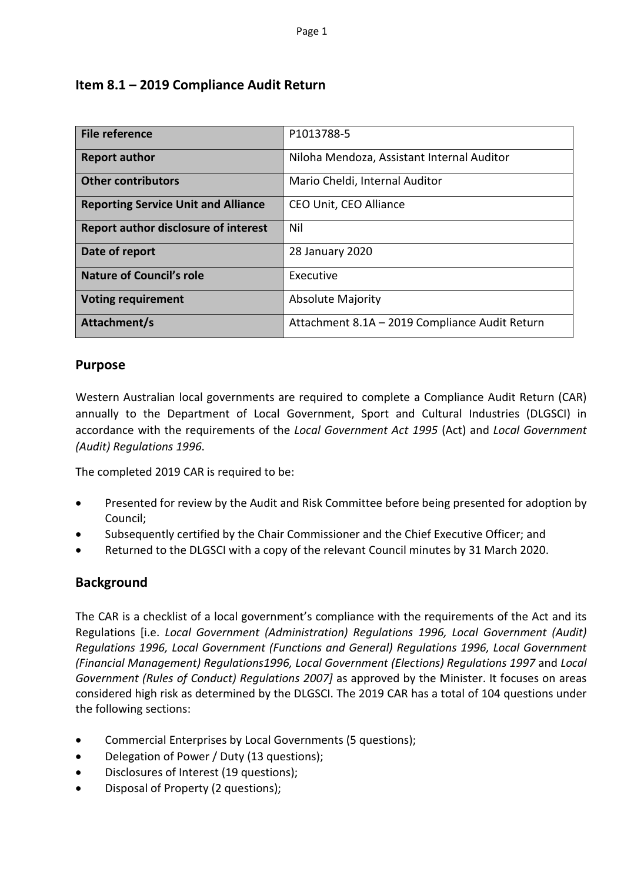### **Item 8.1 – 2019 Compliance Audit Return**

| <b>File reference</b>                       | P1013788-5                                     |
|---------------------------------------------|------------------------------------------------|
| <b>Report author</b>                        | Niloha Mendoza, Assistant Internal Auditor     |
| <b>Other contributors</b>                   | Mario Cheldi, Internal Auditor                 |
| <b>Reporting Service Unit and Alliance</b>  | CEO Unit, CEO Alliance                         |
| <b>Report author disclosure of interest</b> | Nil                                            |
| Date of report                              | 28 January 2020                                |
| <b>Nature of Council's role</b>             | Executive                                      |
| <b>Voting requirement</b>                   | <b>Absolute Majority</b>                       |
| Attachment/s                                | Attachment 8.1A - 2019 Compliance Audit Return |

### **Purpose**

Western Australian local governments are required to complete a Compliance Audit Return (CAR) annually to the Department of Local Government, Sport and Cultural Industries (DLGSCI) in accordance with the requirements of the *Local Government Act 1995* (Act) and *Local Government (Audit) Regulations 1996*.

The completed 2019 CAR is required to be:

- Presented for review by the Audit and Risk Committee before being presented for adoption by Council;
- Subsequently certified by the Chair Commissioner and the Chief Executive Officer; and
- Returned to the DLGSCI with a copy of the relevant Council minutes by 31 March 2020.

### **Background**

The CAR is a checklist of a local government's compliance with the requirements of the Act and its Regulations [i.e. *Local Government (Administration) Regulations 1996, Local Government (Audit) Regulations 1996, Local Government (Functions and General) Regulations 1996, Local Government (Financial Management) Regulations1996, Local Government (Elections) Regulations 1997* and *Local Government (Rules of Conduct) Regulations 2007]* as approved by the Minister. It focuses on areas considered high risk as determined by the DLGSCI. The 2019 CAR has a total of 104 questions under the following sections:

- Commercial Enterprises by Local Governments (5 questions);
- Delegation of Power / Duty (13 questions);
- Disclosures of Interest (19 questions);
- Disposal of Property (2 questions);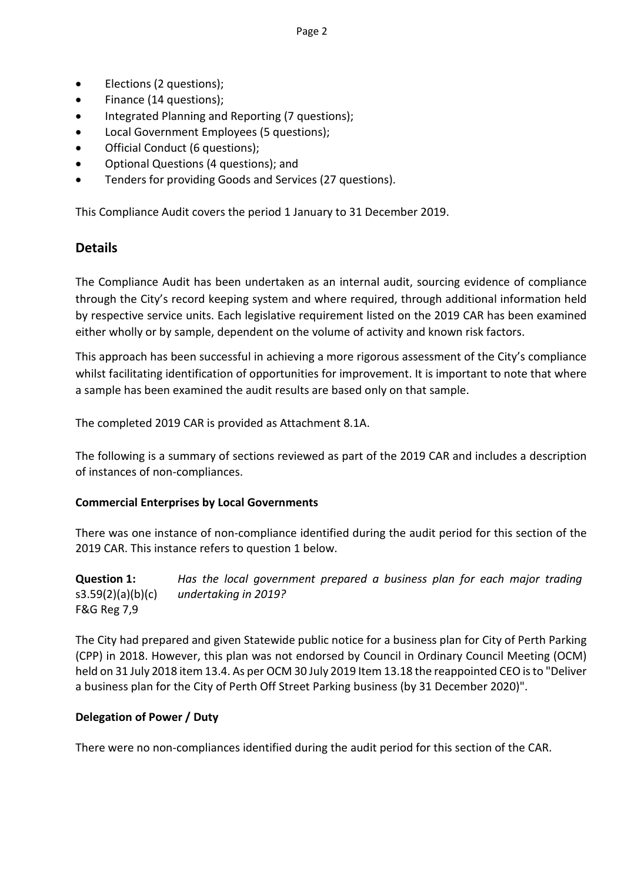- Elections (2 questions);
- Finance (14 questions);
- Integrated Planning and Reporting (7 questions);
- Local Government Employees (5 questions);
- Official Conduct (6 questions);
- Optional Questions (4 questions); and
- Tenders for providing Goods and Services (27 questions).

This Compliance Audit covers the period 1 January to 31 December 2019.

### **Details**

The Compliance Audit has been undertaken as an internal audit, sourcing evidence of compliance through the City's record keeping system and where required, through additional information held by respective service units. Each legislative requirement listed on the 2019 CAR has been examined either wholly or by sample, dependent on the volume of activity and known risk factors.

This approach has been successful in achieving a more rigorous assessment of the City's compliance whilst facilitating identification of opportunities for improvement. It is important to note that where a sample has been examined the audit results are based only on that sample.

The completed 2019 CAR is provided as Attachment 8.1A.

The following is a summary of sections reviewed as part of the 2019 CAR and includes a description of instances of non-compliances.

### **Commercial Enterprises by Local Governments**

There was one instance of non-compliance identified during the audit period for this section of the 2019 CAR. This instance refers to question 1 below.

**Question 1:**  s3.59(2)(a)(b)(c) F&G Reg 7,9 *Has the local government prepared a business plan for each major trading undertaking in 2019?*

The City had prepared and given Statewide public notice for a business plan for City of Perth Parking (CPP) in 2018. However, this plan was not endorsed by Council in Ordinary Council Meeting (OCM) held on 31 July 2018 item 13.4. As per OCM 30 July 2019 Item 13.18 the reappointed CEO is to "Deliver a business plan for the City of Perth Off Street Parking business (by 31 December 2020)".

### **Delegation of Power / Duty**

There were no non-compliances identified during the audit period for this section of the CAR.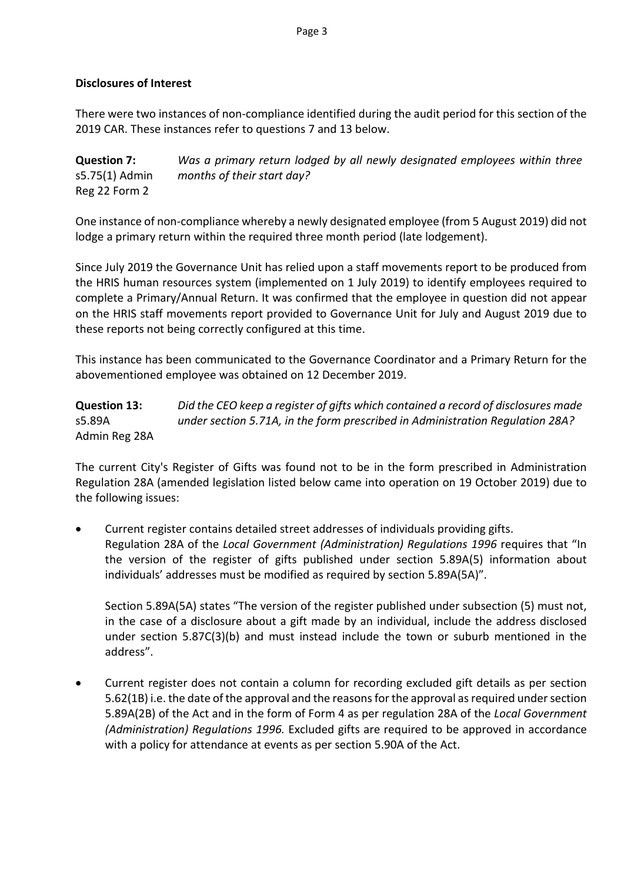Page 3

### **Disclosures of Interest**

There were two instances of non-compliance identified during the audit period for this section of the 2019 CAR. These instances refer to questions 7 and 13 below.

**Question 7:** s5.75(1) Admin Reg 22 Form 2 *Was a primary return lodged by all newly designated employees within three months of their start day?*

One instance of non-compliance whereby a newly designated employee (from 5 August 2019) did not lodge a primary return within the required three month period (late lodgement).

Since July 2019 the Governance Unit has relied upon a staff movements report to be produced from the HRIS human resources system (implemented on 1 July 2019) to identify employees required to complete a Primary/Annual Return. It was confirmed that the employee in question did not appear on the HRIS staff movements report provided to Governance Unit for July and August 2019 due to these reports not being correctly configured at this time.

This instance has been communicated to the Governance Coordinator and a Primary Return for the abovementioned employee was obtained on 12 December 2019.

**Question 13:**  s5.89A Admin Reg 28A *Did the CEO keep a register of gifts which contained a record of disclosures made under section 5.71A, in the form prescribed in Administration Regulation 28A?*

The current City's Register of Gifts was found not to be in the form prescribed in Administration Regulation 28A (amended legislation listed below came into operation on 19 October 2019) due to the following issues:

• Current register contains detailed street addresses of individuals providing gifts. Regulation 28A of the *Local Government (Administration) Regulations 1996* requires that "In the version of the register of gifts published under section 5.89A(5) information about individuals' addresses must be modified as required by section 5.89A(5A)".

Section 5.89A(5A) states "The version of the register published under subsection (5) must not, in the case of a disclosure about a gift made by an individual, include the address disclosed under section 5.87C(3)(b) and must instead include the town or suburb mentioned in the address".

• Current register does not contain a column for recording excluded gift details as per section 5.62(1B) i.e. the date of the approval and the reasons for the approval as required under section 5.89A(2B) of the Act and in the form of Form 4 as per regulation 28A of the *Local Government (Administration) Regulations 1996.* Excluded gifts are required to be approved in accordance with a policy for attendance at events as per section 5.90A of the Act.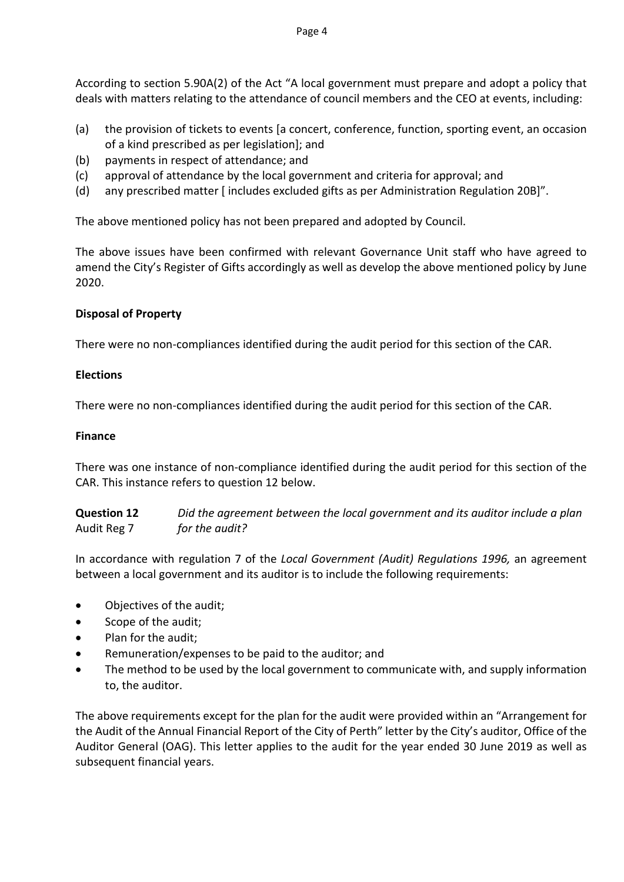According to section 5.90A(2) of the Act "A local government must prepare and adopt a policy that deals with matters relating to the attendance of council members and the CEO at events, including:

- (a) the provision of tickets to events [a concert, conference, function, sporting event, an occasion of a kind prescribed as per legislation]; and
- (b) payments in respect of attendance; and
- (c) approval of attendance by the local government and criteria for approval; and
- (d) any prescribed matter [ includes excluded gifts as per Administration Regulation 20B]".

The above mentioned policy has not been prepared and adopted by Council.

The above issues have been confirmed with relevant Governance Unit staff who have agreed to amend the City's Register of Gifts accordingly as well as develop the above mentioned policy by June 2020.

### **Disposal of Property**

There were no non-compliances identified during the audit period for this section of the CAR.

### **Elections**

There were no non-compliances identified during the audit period for this section of the CAR.

### **Finance**

There was one instance of non-compliance identified during the audit period for this section of the CAR. This instance refers to question 12 below.

**Question 12**  Audit Reg 7 *Did the agreement between the local government and its auditor include a plan for the audit?*

In accordance with regulation 7 of the *Local Government (Audit) Regulations 1996,* an agreement between a local government and its auditor is to include the following requirements:

- Objectives of the audit;
- Scope of the audit;
- Plan for the audit;
- Remuneration/expenses to be paid to the auditor; and
- The method to be used by the local government to communicate with, and supply information to, the auditor.

The above requirements except for the plan for the audit were provided within an "Arrangement for the Audit of the Annual Financial Report of the City of Perth" letter by the City's auditor, Office of the Auditor General (OAG). This letter applies to the audit for the year ended 30 June 2019 as well as subsequent financial years.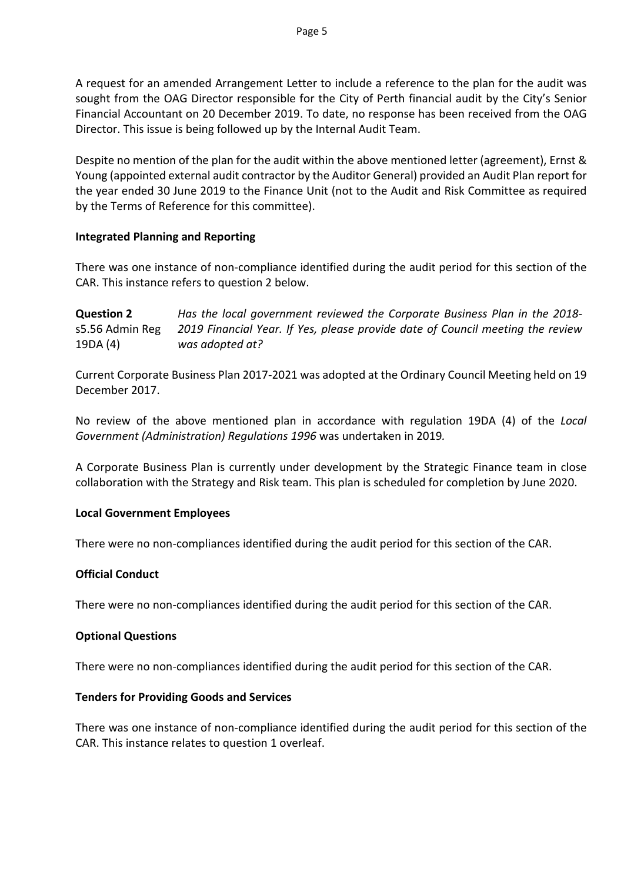A request for an amended Arrangement Letter to include a reference to the plan for the audit was sought from the OAG Director responsible for the City of Perth financial audit by the City's Senior Financial Accountant on 20 December 2019. To date, no response has been received from the OAG Director. This issue is being followed up by the Internal Audit Team.

Despite no mention of the plan for the audit within the above mentioned letter (agreement), Ernst & Young (appointed external audit contractor by the Auditor General) provided an Audit Plan report for the year ended 30 June 2019 to the Finance Unit (not to the Audit and Risk Committee as required by the Terms of Reference for this committee).

### **Integrated Planning and Reporting**

There was one instance of non-compliance identified during the audit period for this section of the CAR. This instance refers to question 2 below.

**Question 2**  s5.56 Admin Reg 19DA (4) *Has the local government reviewed the Corporate Business Plan in the 2018- 2019 Financial Year. If Yes, please provide date of Council meeting the review was adopted at?*

Current Corporate Business Plan 2017-2021 was adopted at the Ordinary Council Meeting held on 19 December 2017.

No review of the above mentioned plan in accordance with regulation 19DA (4) of the *Local Government (Administration) Regulations 1996* was undertaken in 2019*.* 

A Corporate Business Plan is currently under development by the Strategic Finance team in close collaboration with the Strategy and Risk team. This plan is scheduled for completion by June 2020.

### **Local Government Employees**

There were no non-compliances identified during the audit period for this section of the CAR.

### **Official Conduct**

There were no non-compliances identified during the audit period for this section of the CAR.

### **Optional Questions**

There were no non-compliances identified during the audit period for this section of the CAR.

### **Tenders for Providing Goods and Services**

There was one instance of non-compliance identified during the audit period for this section of the CAR. This instance relates to question 1 overleaf.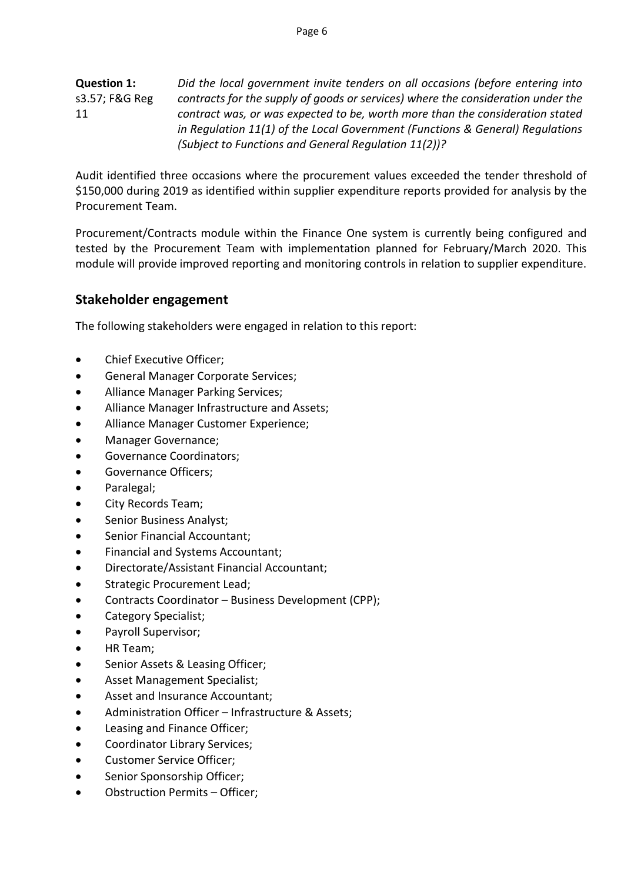**Question 1:** s3.57; F&G Reg 11 *Did the local government invite tenders on all occasions (before entering into contracts for the supply of goods or services) where the consideration under the contract was, or was expected to be, worth more than the consideration stated in Regulation 11(1) of the Local Government (Functions & General) Regulations (Subject to Functions and General Regulation 11(2))?*

Audit identified three occasions where the procurement values exceeded the tender threshold of \$150,000 during 2019 as identified within supplier expenditure reports provided for analysis by the Procurement Team.

Procurement/Contracts module within the Finance One system is currently being configured and tested by the Procurement Team with implementation planned for February/March 2020. This module will provide improved reporting and monitoring controls in relation to supplier expenditure.

### **Stakeholder engagement**

The following stakeholders were engaged in relation to this report:

- Chief Executive Officer;
- General Manager Corporate Services;
- Alliance Manager Parking Services;
- Alliance Manager Infrastructure and Assets;
- Alliance Manager Customer Experience;
- Manager Governance;
- Governance Coordinators;
- Governance Officers;
- Paralegal;
- City Records Team;
- Senior Business Analyst;
- Senior Financial Accountant;
- Financial and Systems Accountant;
- Directorate/Assistant Financial Accountant;
- Strategic Procurement Lead;
- Contracts Coordinator Business Development (CPP);
- Category Specialist;
- Payroll Supervisor;
- HR Team;
- Senior Assets & Leasing Officer;
- Asset Management Specialist;
- Asset and Insurance Accountant;
- Administration Officer Infrastructure & Assets;
- Leasing and Finance Officer:
- Coordinator Library Services;
- Customer Service Officer;
- Senior Sponsorship Officer;
- Obstruction Permits Officer;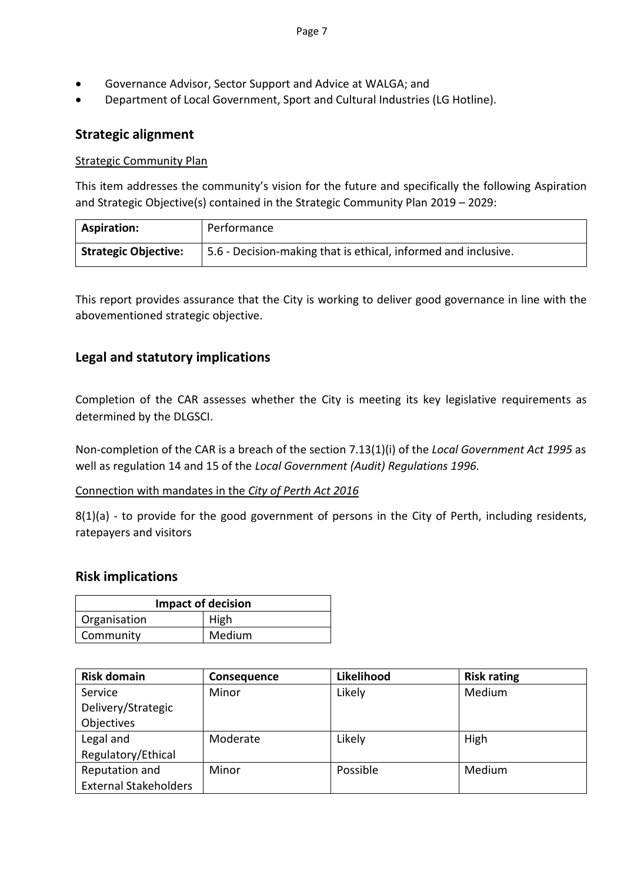- Governance Advisor, Sector Support and Advice at WALGA; and
- Department of Local Government, Sport and Cultural Industries (LG Hotline).

### **Strategic alignment**

### Strategic Community Plan

This item addresses the community's vision for the future and specifically the following Aspiration and Strategic Objective(s) contained in the Strategic Community Plan 2019 – 2029:

| <b>Aspiration:</b>          | Performance                                                    |
|-----------------------------|----------------------------------------------------------------|
| <b>Strategic Objective:</b> | 5.6 - Decision-making that is ethical, informed and inclusive. |

This report provides assurance that the City is working to deliver good governance in line with the abovementioned strategic objective.

### **Legal and statutory implications**

Completion of the CAR assesses whether the City is meeting its key legislative requirements as determined by the DLGSCI.

Non-completion of the CAR is a breach of the section 7.13(1)(i) of the *Local Government Act 1995* as well as regulation 14 and 15 of the *Local Government (Audit) Regulations 1996.*

### Connection with mandates in the *City of Perth Act 2016*

8(1)(a) - to provide for the good government of persons in the City of Perth, including residents, ratepayers and visitors

### **Risk implications**

| <b>Impact of decision</b> |        |  |
|---------------------------|--------|--|
| Organisation              | High   |  |
| Community                 | Medium |  |

| <b>Risk domain</b>           | Consequence | Likelihood | <b>Risk rating</b> |  |
|------------------------------|-------------|------------|--------------------|--|
| Service                      | Minor       | Likely     | Medium             |  |
| Delivery/Strategic           |             |            |                    |  |
| Objectives                   |             |            |                    |  |
| Legal and                    | Moderate    | Likely     | High               |  |
| Regulatory/Ethical           |             |            |                    |  |
| Reputation and               | Minor       | Possible   | Medium             |  |
| <b>External Stakeholders</b> |             |            |                    |  |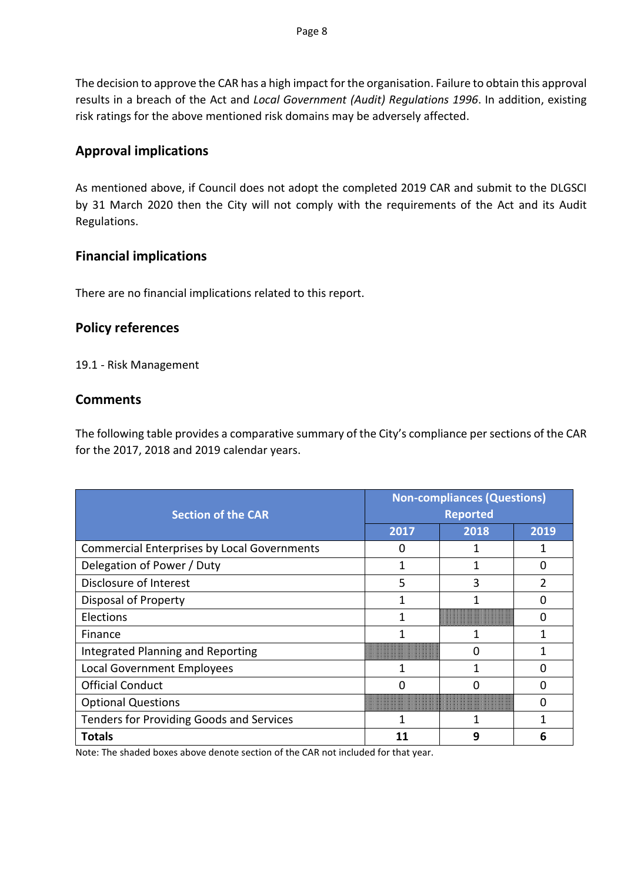The decision to approve the CAR has a high impact for the organisation. Failure to obtain this approval results in a breach of the Act and *Local Government (Audit) Regulations 1996*. In addition, existing risk ratings for the above mentioned risk domains may be adversely affected.

### **Approval implications**

As mentioned above, if Council does not adopt the completed 2019 CAR and submit to the DLGSCI by 31 March 2020 then the City will not comply with the requirements of the Act and its Audit Regulations.

### **Financial implications**

There are no financial implications related to this report.

### **Policy references**

19.1 - Risk Management

### **Comments**

The following table provides a comparative summary of the City's compliance per sections of the CAR for the 2017, 2018 and 2019 calendar years.

| <b>Section of the CAR</b>                          | <b>Non-compliances (Questions)</b><br><b>Reported</b> |      |      |  |  |
|----------------------------------------------------|-------------------------------------------------------|------|------|--|--|
|                                                    | 2017                                                  | 2018 | 2019 |  |  |
| <b>Commercial Enterprises by Local Governments</b> |                                                       |      |      |  |  |
| Delegation of Power / Duty                         |                                                       |      | 0    |  |  |
| Disclosure of Interest                             | 5                                                     | 3    |      |  |  |
| <b>Disposal of Property</b>                        |                                                       |      | 0    |  |  |
| <b>Elections</b>                                   |                                                       |      | n    |  |  |
| Finance                                            |                                                       |      |      |  |  |
| Integrated Planning and Reporting                  |                                                       |      |      |  |  |
| Local Government Employees                         |                                                       |      |      |  |  |
| <b>Official Conduct</b>                            |                                                       |      |      |  |  |
| <b>Optional Questions</b>                          |                                                       |      |      |  |  |
| <b>Tenders for Providing Goods and Services</b>    |                                                       |      |      |  |  |
| <b>Totals</b>                                      |                                                       | 9    | 6    |  |  |

Note: The shaded boxes above denote section of the CAR not included for that year.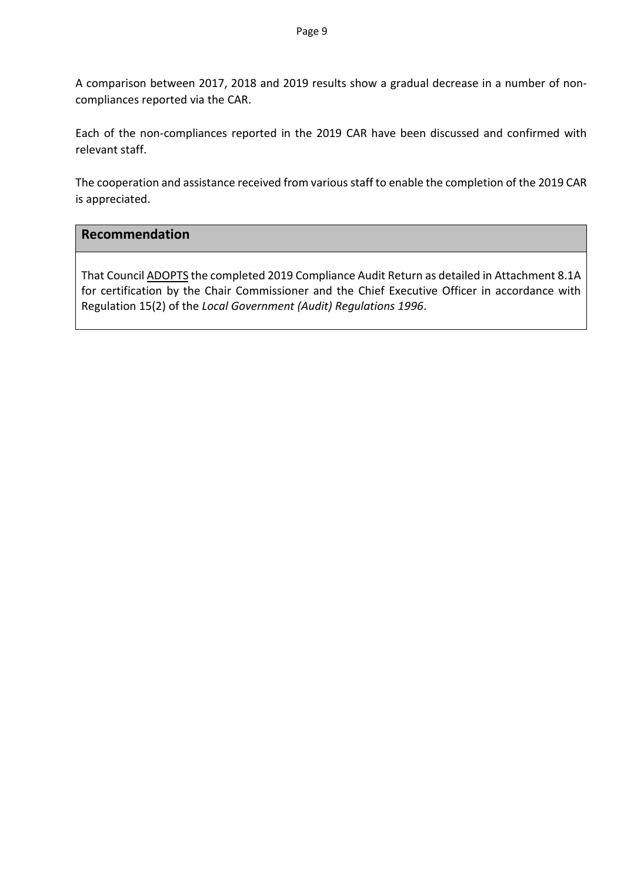A comparison between 2017, 2018 and 2019 results show a gradual decrease in a number of noncompliances reported via the CAR.

Each of the non-compliances reported in the 2019 CAR have been discussed and confirmed with relevant staff.

The cooperation and assistance received from various staff to enable the completion of the 2019 CAR is appreciated.

### **Recommendation**

That Council ADOPTS the completed 2019 Compliance Audit Return as detailed in Attachment 8.1A for certification by the Chair Commissioner and the Chief Executive Officer in accordance with Regulation 15(2) of the *Local Government (Audit) Regulations 1996*.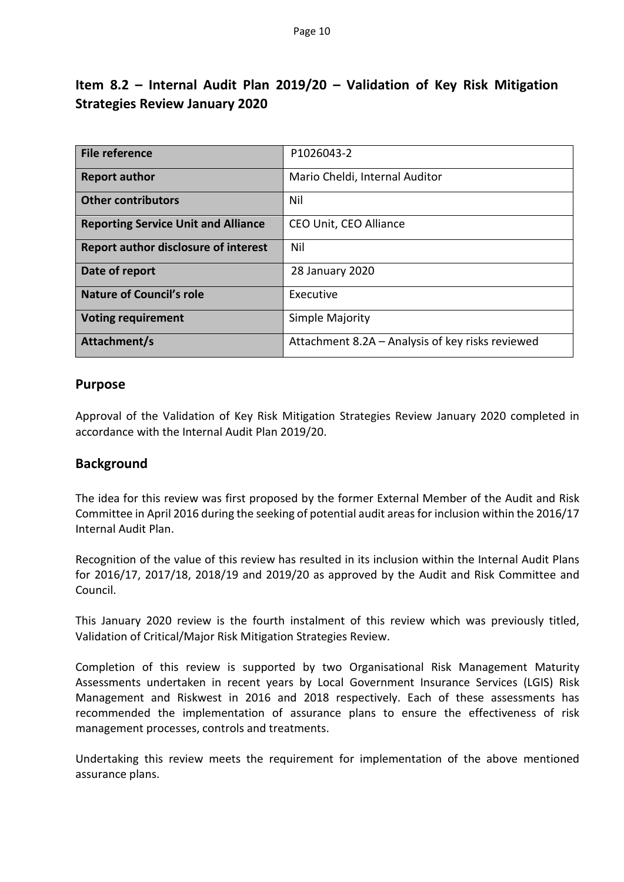### **Item 8.2 – Internal Audit Plan 2019/20 – Validation of Key Risk Mitigation Strategies Review January 2020**

| File reference                              | P1026043-2                                       |
|---------------------------------------------|--------------------------------------------------|
|                                             |                                                  |
| <b>Report author</b>                        | Mario Cheldi, Internal Auditor                   |
|                                             |                                                  |
| <b>Other contributors</b>                   | Nil                                              |
|                                             |                                                  |
| <b>Reporting Service Unit and Alliance</b>  | CEO Unit, CEO Alliance                           |
|                                             |                                                  |
| <b>Report author disclosure of interest</b> | Nil                                              |
|                                             |                                                  |
| Date of report                              | 28 January 2020                                  |
|                                             |                                                  |
| <b>Nature of Council's role</b>             | Executive                                        |
|                                             |                                                  |
| <b>Voting requirement</b>                   | Simple Majority                                  |
|                                             |                                                  |
| Attachment/s                                | Attachment 8.2A – Analysis of key risks reviewed |
|                                             |                                                  |

### **Purpose**

Approval of the Validation of Key Risk Mitigation Strategies Review January 2020 completed in accordance with the Internal Audit Plan 2019/20.

### **Background**

The idea for this review was first proposed by the former External Member of the Audit and Risk Committee in April 2016 during the seeking of potential audit areas for inclusion within the 2016/17 Internal Audit Plan.

Recognition of the value of this review has resulted in its inclusion within the Internal Audit Plans for 2016/17, 2017/18, 2018/19 and 2019/20 as approved by the Audit and Risk Committee and Council.

This January 2020 review is the fourth instalment of this review which was previously titled, Validation of Critical/Major Risk Mitigation Strategies Review.

Completion of this review is supported by two Organisational Risk Management Maturity Assessments undertaken in recent years by Local Government Insurance Services (LGIS) Risk Management and Riskwest in 2016 and 2018 respectively. Each of these assessments has recommended the implementation of assurance plans to ensure the effectiveness of risk management processes, controls and treatments.

Undertaking this review meets the requirement for implementation of the above mentioned assurance plans.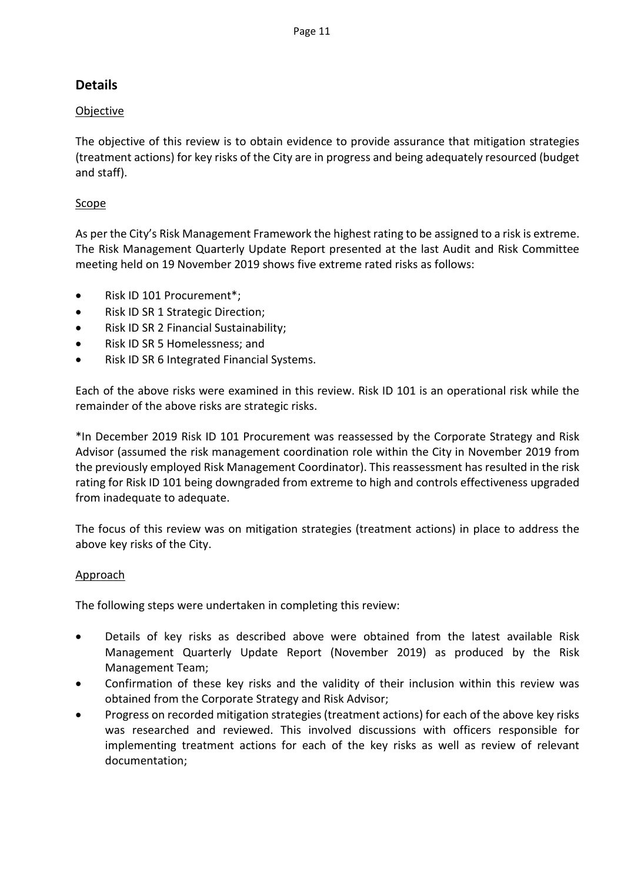### **Details**

### **Objective**

The objective of this review is to obtain evidence to provide assurance that mitigation strategies (treatment actions) for key risks of the City are in progress and being adequately resourced (budget and staff).

### Scope

As per the City's Risk Management Framework the highest rating to be assigned to a risk is extreme. The Risk Management Quarterly Update Report presented at the last Audit and Risk Committee meeting held on 19 November 2019 shows five extreme rated risks as follows:

- Risk ID 101 Procurement\*;
- Risk ID SR 1 Strategic Direction;
- Risk ID SR 2 Financial Sustainability;
- Risk ID SR 5 Homelessness; and
- Risk ID SR 6 Integrated Financial Systems.

Each of the above risks were examined in this review. Risk ID 101 is an operational risk while the remainder of the above risks are strategic risks.

\*In December 2019 Risk ID 101 Procurement was reassessed by the Corporate Strategy and Risk Advisor (assumed the risk management coordination role within the City in November 2019 from the previously employed Risk Management Coordinator). This reassessment has resulted in the risk rating for Risk ID 101 being downgraded from extreme to high and controls effectiveness upgraded from inadequate to adequate.

The focus of this review was on mitigation strategies (treatment actions) in place to address the above key risks of the City.

### Approach

The following steps were undertaken in completing this review:

- Details of key risks as described above were obtained from the latest available Risk Management Quarterly Update Report (November 2019) as produced by the Risk Management Team;
- Confirmation of these key risks and the validity of their inclusion within this review was obtained from the Corporate Strategy and Risk Advisor;
- Progress on recorded mitigation strategies (treatment actions) for each of the above key risks was researched and reviewed. This involved discussions with officers responsible for implementing treatment actions for each of the key risks as well as review of relevant documentation;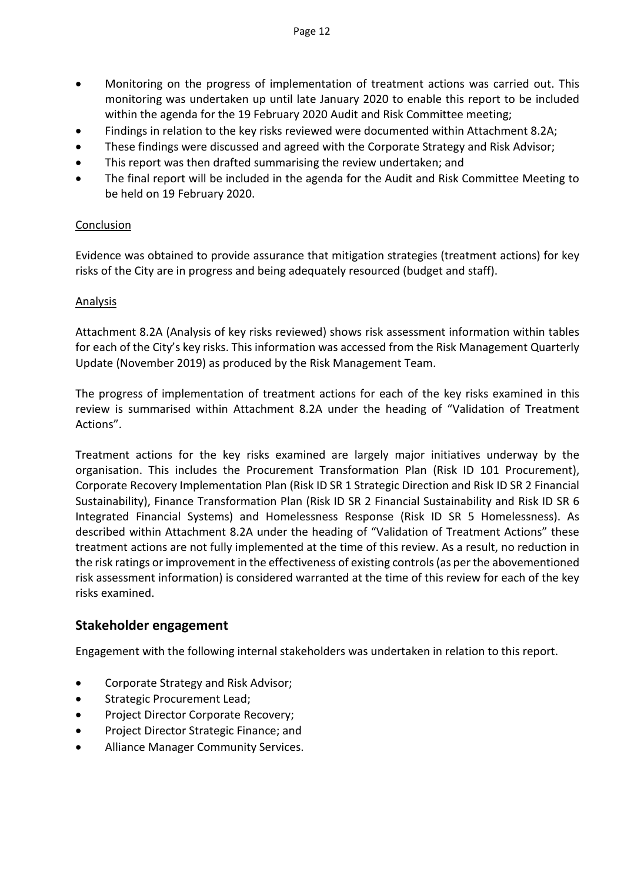- Monitoring on the progress of implementation of treatment actions was carried out. This monitoring was undertaken up until late January 2020 to enable this report to be included within the agenda for the 19 February 2020 Audit and Risk Committee meeting;
- Findings in relation to the key risks reviewed were documented within Attachment 8.2A;
- These findings were discussed and agreed with the Corporate Strategy and Risk Advisor;
- This report was then drafted summarising the review undertaken; and
- The final report will be included in the agenda for the Audit and Risk Committee Meeting to be held on 19 February 2020.

### **Conclusion**

Evidence was obtained to provide assurance that mitigation strategies (treatment actions) for key risks of the City are in progress and being adequately resourced (budget and staff).

### Analysis

Attachment 8.2A (Analysis of key risks reviewed) shows risk assessment information within tables for each of the City's key risks. This information was accessed from the Risk Management Quarterly Update (November 2019) as produced by the Risk Management Team.

The progress of implementation of treatment actions for each of the key risks examined in this review is summarised within Attachment 8.2A under the heading of "Validation of Treatment Actions".

Treatment actions for the key risks examined are largely major initiatives underway by the organisation. This includes the Procurement Transformation Plan (Risk ID 101 Procurement), Corporate Recovery Implementation Plan (Risk ID SR 1 Strategic Direction and Risk ID SR 2 Financial Sustainability), Finance Transformation Plan (Risk ID SR 2 Financial Sustainability and Risk ID SR 6 Integrated Financial Systems) and Homelessness Response (Risk ID SR 5 Homelessness). As described within Attachment 8.2A under the heading of "Validation of Treatment Actions" these treatment actions are not fully implemented at the time of this review. As a result, no reduction in the risk ratings or improvement in the effectiveness of existing controls (as per the abovementioned risk assessment information) is considered warranted at the time of this review for each of the key risks examined.

### **Stakeholder engagement**

Engagement with the following internal stakeholders was undertaken in relation to this report.

- Corporate Strategy and Risk Advisor;
- Strategic Procurement Lead;
- Project Director Corporate Recovery;
- Project Director Strategic Finance; and
- Alliance Manager Community Services.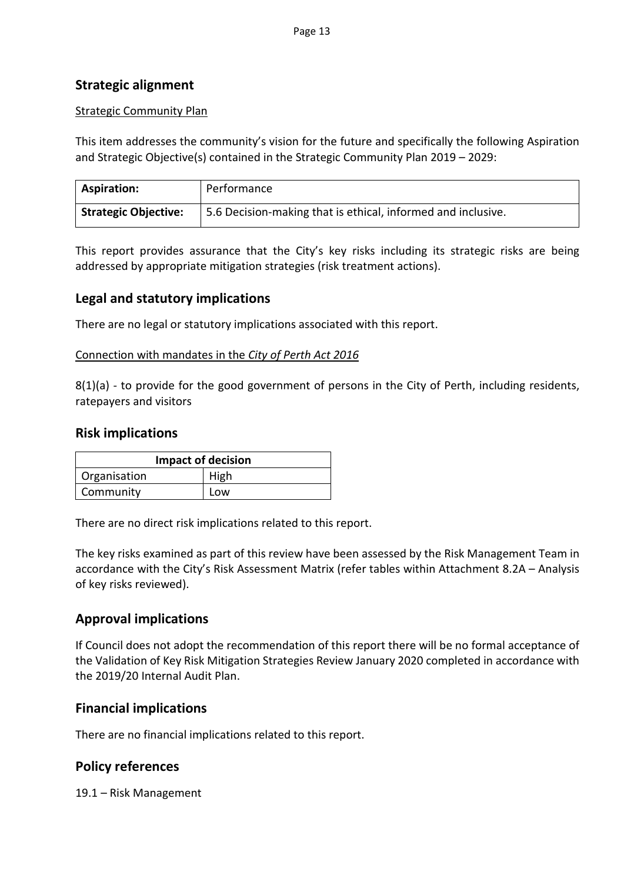### **Strategic alignment**

### Strategic Community Plan

This item addresses the community's vision for the future and specifically the following Aspiration and Strategic Objective(s) contained in the Strategic Community Plan 2019 – 2029:

| <b>Aspiration:</b>          | Performance                                                  |
|-----------------------------|--------------------------------------------------------------|
| <b>Strategic Objective:</b> | 5.6 Decision-making that is ethical, informed and inclusive. |

This report provides assurance that the City's key risks including its strategic risks are being addressed by appropriate mitigation strategies (risk treatment actions).

### **Legal and statutory implications**

There are no legal or statutory implications associated with this report.

### Connection with mandates in the *City of Perth Act 2016*

8(1)(a) - to provide for the good government of persons in the City of Perth, including residents, ratepayers and visitors

### **Risk implications**

| <b>Impact of decision</b> |      |  |
|---------------------------|------|--|
| Organisation              | High |  |
| Community                 | Low  |  |

There are no direct risk implications related to this report.

The key risks examined as part of this review have been assessed by the Risk Management Team in accordance with the City's Risk Assessment Matrix (refer tables within Attachment 8.2A – Analysis of key risks reviewed).

### **Approval implications**

If Council does not adopt the recommendation of this report there will be no formal acceptance of the Validation of Key Risk Mitigation Strategies Review January 2020 completed in accordance with the 2019/20 Internal Audit Plan.

### **Financial implications**

There are no financial implications related to this report.

### **Policy references**

19.1 – Risk Management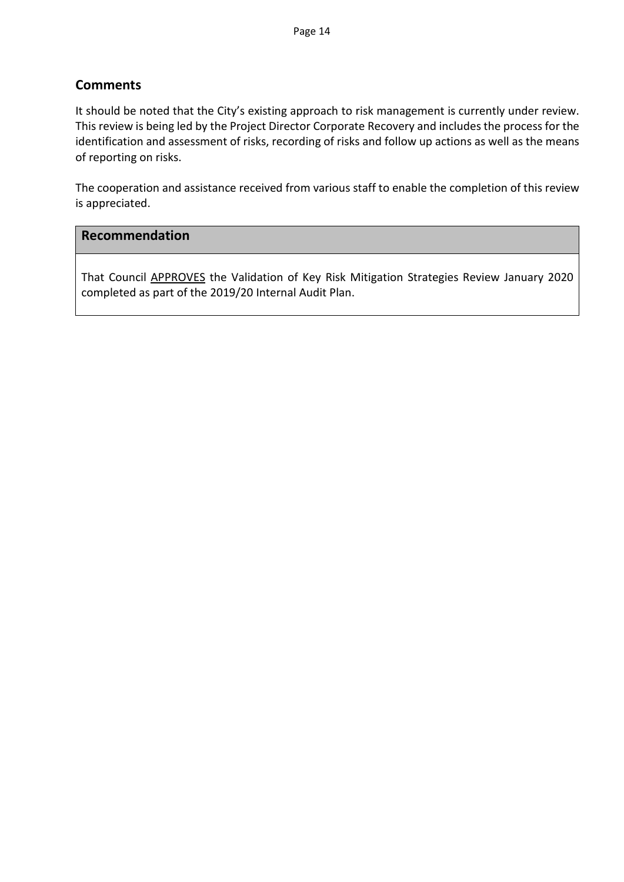### **Comments**

It should be noted that the City's existing approach to risk management is currently under review. This review is being led by the Project Director Corporate Recovery and includes the process for the identification and assessment of risks, recording of risks and follow up actions as well as the means of reporting on risks.

The cooperation and assistance received from various staff to enable the completion of this review is appreciated.

### **Recommendation**

That Council APPROVES the Validation of Key Risk Mitigation Strategies Review January 2020 completed as part of the 2019/20 Internal Audit Plan.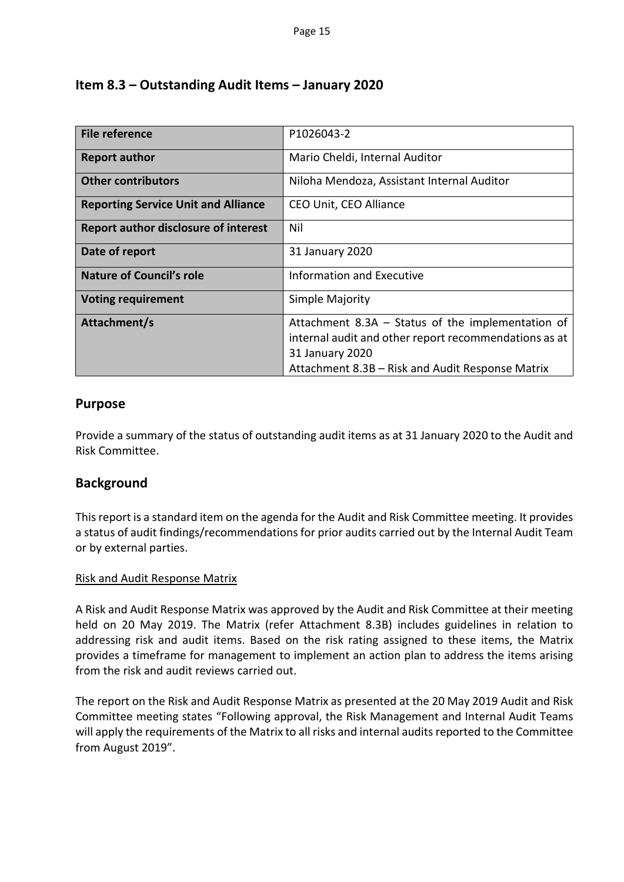### **Item 8.3 – Outstanding Audit Items – January 2020**

| File reference                              | P1026043-2                                                                                                                                                                          |
|---------------------------------------------|-------------------------------------------------------------------------------------------------------------------------------------------------------------------------------------|
| <b>Report author</b>                        | Mario Cheldi, Internal Auditor                                                                                                                                                      |
| <b>Other contributors</b>                   | Niloha Mendoza, Assistant Internal Auditor                                                                                                                                          |
| <b>Reporting Service Unit and Alliance</b>  | CEO Unit, CEO Alliance                                                                                                                                                              |
| <b>Report author disclosure of interest</b> | Nil                                                                                                                                                                                 |
| Date of report                              | 31 January 2020                                                                                                                                                                     |
| <b>Nature of Council's role</b>             | <b>Information and Executive</b>                                                                                                                                                    |
| <b>Voting requirement</b>                   | Simple Majority                                                                                                                                                                     |
| Attachment/s                                | Attachment $8.3A - Status$ of the implementation of<br>internal audit and other report recommendations as at<br>31 January 2020<br>Attachment 8.3B – Risk and Audit Response Matrix |

### **Purpose**

Provide a summary of the status of outstanding audit items as at 31 January 2020 to the Audit and Risk Committee.

### **Background**

This report is a standard item on the agenda for the Audit and Risk Committee meeting. It provides a status of audit findings/recommendations for prior audits carried out by the Internal Audit Team or by external parties.

### Risk and Audit Response Matrix

A Risk and Audit Response Matrix was approved by the Audit and Risk Committee at their meeting held on 20 May 2019. The Matrix (refer Attachment 8.3B) includes guidelines in relation to addressing risk and audit items. Based on the risk rating assigned to these items, the Matrix provides a timeframe for management to implement an action plan to address the items arising from the risk and audit reviews carried out.

The report on the Risk and Audit Response Matrix as presented at the 20 May 2019 Audit and Risk Committee meeting states "Following approval, the Risk Management and Internal Audit Teams will apply the requirements of the Matrix to all risks and internal audits reported to the Committee from August 2019".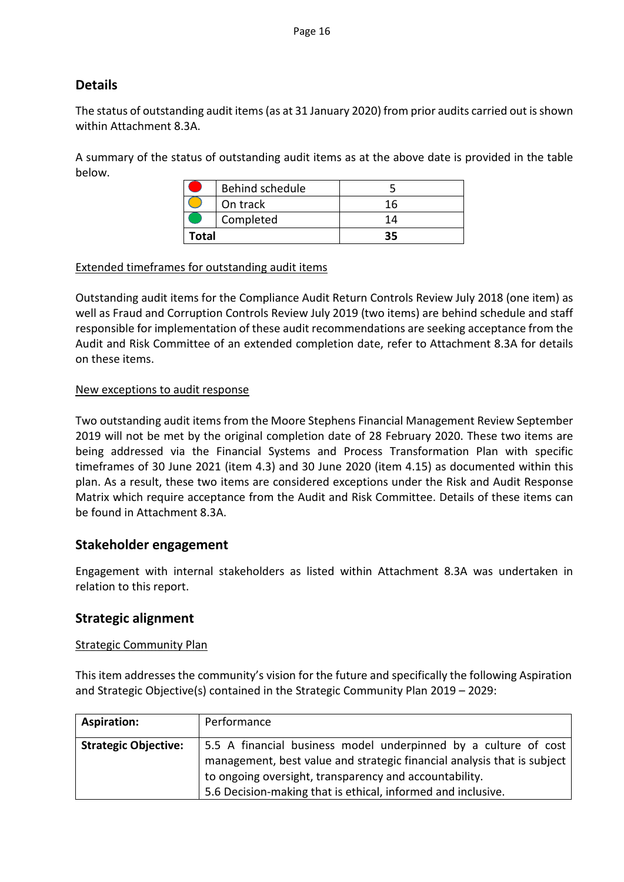### **Details**

The status of outstanding audit items (as at 31 January 2020) from prior audits carried out is shown within Attachment 8.3A.

A summary of the status of outstanding audit items as at the above date is provided in the table below.

|           | Behind schedule |     |
|-----------|-----------------|-----|
|           | On track        | 16  |
| Completed |                 | 1 Д |
| Total     |                 |     |

### Extended timeframes for outstanding audit items

Outstanding audit items for the Compliance Audit Return Controls Review July 2018 (one item) as well as Fraud and Corruption Controls Review July 2019 (two items) are behind schedule and staff responsible for implementation of these audit recommendations are seeking acceptance from the Audit and Risk Committee of an extended completion date, refer to Attachment 8.3A for details on these items.

### New exceptions to audit response

Two outstanding audit items from the Moore Stephens Financial Management Review September 2019 will not be met by the original completion date of 28 February 2020. These two items are being addressed via the Financial Systems and Process Transformation Plan with specific timeframes of 30 June 2021 (item 4.3) and 30 June 2020 (item 4.15) as documented within this plan. As a result, these two items are considered exceptions under the Risk and Audit Response Matrix which require acceptance from the Audit and Risk Committee. Details of these items can be found in Attachment 8.3A.

### **Stakeholder engagement**

Engagement with internal stakeholders as listed within Attachment 8.3A was undertaken in relation to this report.

### **Strategic alignment**

### Strategic Community Plan

This item addresses the community's vision for the future and specifically the following Aspiration and Strategic Objective(s) contained in the Strategic Community Plan 2019 – 2029:

| <b>Aspiration:</b>          | Performance                                                             |  |  |
|-----------------------------|-------------------------------------------------------------------------|--|--|
| <b>Strategic Objective:</b> | 5.5 A financial business model underpinned by a culture of cost         |  |  |
|                             | management, best value and strategic financial analysis that is subject |  |  |
|                             | to ongoing oversight, transparency and accountability.                  |  |  |
|                             | 5.6 Decision-making that is ethical, informed and inclusive.            |  |  |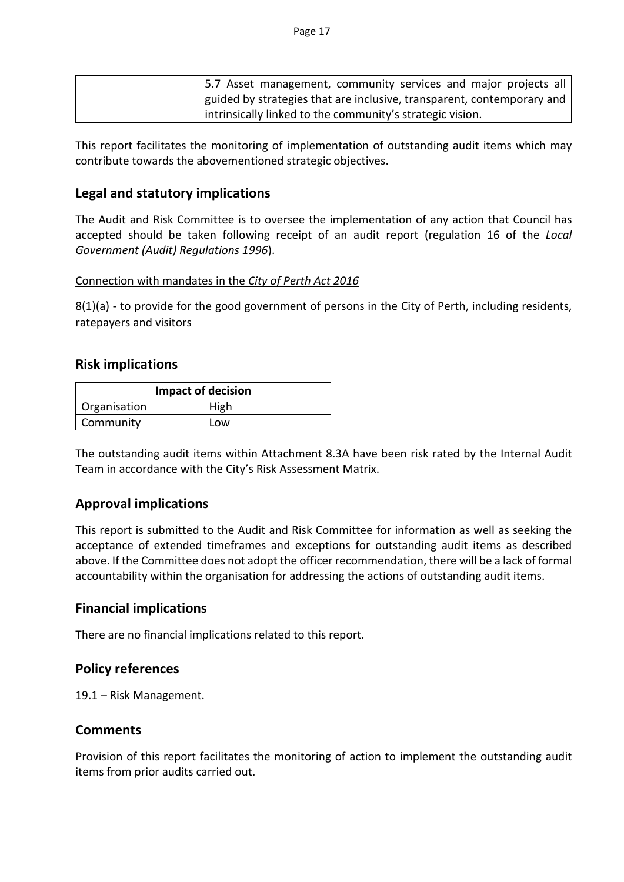|  | 5.7 Asset management, community services and major projects all        |  |  |  |
|--|------------------------------------------------------------------------|--|--|--|
|  | guided by strategies that are inclusive, transparent, contemporary and |  |  |  |
|  | intrinsically linked to the community's strategic vision.              |  |  |  |

This report facilitates the monitoring of implementation of outstanding audit items which may contribute towards the abovementioned strategic objectives.

### **Legal and statutory implications**

The Audit and Risk Committee is to oversee the implementation of any action that Council has accepted should be taken following receipt of an audit report (regulation 16 of the *Local Government (Audit) Regulations 1996*).

### Connection with mandates in the *City of Perth Act 2016*

8(1)(a) - to provide for the good government of persons in the City of Perth, including residents, ratepayers and visitors

### **Risk implications**

| <b>Impact of decision</b> |      |  |  |
|---------------------------|------|--|--|
| Organisation              | High |  |  |
| Community                 | Low  |  |  |

The outstanding audit items within Attachment 8.3A have been risk rated by the Internal Audit Team in accordance with the City's Risk Assessment Matrix.

### **Approval implications**

This report is submitted to the Audit and Risk Committee for information as well as seeking the acceptance of extended timeframes and exceptions for outstanding audit items as described above. If the Committee does not adopt the officer recommendation, there will be a lack of formal accountability within the organisation for addressing the actions of outstanding audit items.

### **Financial implications**

There are no financial implications related to this report.

### **Policy references**

19.1 – Risk Management.

### **Comments**

Provision of this report facilitates the monitoring of action to implement the outstanding audit items from prior audits carried out.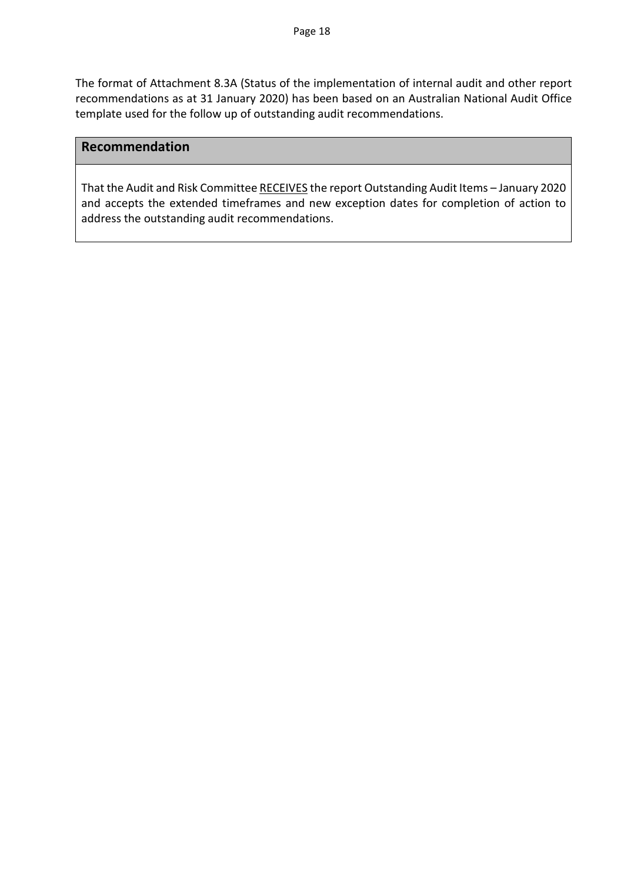The format of Attachment 8.3A (Status of the implementation of internal audit and other report recommendations as at 31 January 2020) has been based on an Australian National Audit Office template used for the follow up of outstanding audit recommendations.

### **Recommendation**

That the Audit and Risk Committee RECEIVES the report Outstanding Audit Items – January 2020 and accepts the extended timeframes and new exception dates for completion of action to address the outstanding audit recommendations.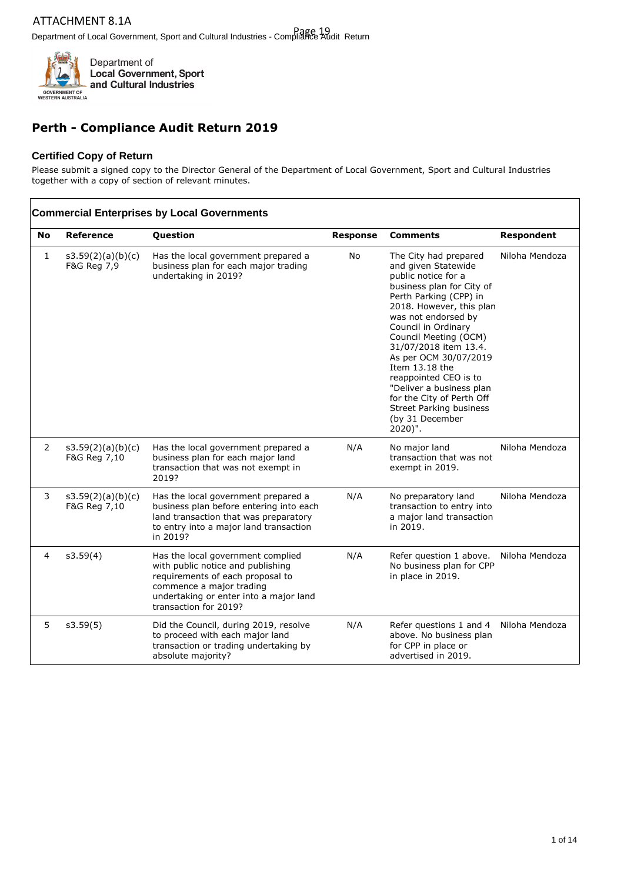

### **Perth - Compliance Audit Return 2019**

### **Certified Copy of Return**

Please submit a signed copy to the Director General of the Department of Local Government, Sport and Cultural Industries together with a copy of section of relevant minutes.

|                |                                   | <b>Commercial Enterprises by Local Governments</b>                                                                                                                                                        |                 |                                                                                                                                                                                                                                                                                                                                                                                                                                                     |                   |
|----------------|-----------------------------------|-----------------------------------------------------------------------------------------------------------------------------------------------------------------------------------------------------------|-----------------|-----------------------------------------------------------------------------------------------------------------------------------------------------------------------------------------------------------------------------------------------------------------------------------------------------------------------------------------------------------------------------------------------------------------------------------------------------|-------------------|
| No             | <b>Reference</b>                  | Question                                                                                                                                                                                                  | <b>Response</b> | <b>Comments</b>                                                                                                                                                                                                                                                                                                                                                                                                                                     | <b>Respondent</b> |
| 1              | s3.59(2)(a)(b)(c)<br>F&G Reg 7,9  | Has the local government prepared a<br>business plan for each major trading<br>undertaking in 2019?                                                                                                       | <b>No</b>       | The City had prepared<br>and given Statewide<br>public notice for a<br>business plan for City of<br>Perth Parking (CPP) in<br>2018. However, this plan<br>was not endorsed by<br>Council in Ordinary<br>Council Meeting (OCM)<br>31/07/2018 item 13.4.<br>As per OCM 30/07/2019<br>Item 13.18 the<br>reappointed CEO is to<br>"Deliver a business plan<br>for the City of Perth Off<br><b>Street Parking business</b><br>(by 31 December<br>2020)". | Niloha Mendoza    |
| $\overline{2}$ | s3.59(2)(a)(b)(c)<br>F&G Reg 7,10 | Has the local government prepared a<br>business plan for each major land<br>transaction that was not exempt in<br>2019?                                                                                   | N/A             | No major land<br>transaction that was not<br>exempt in 2019.                                                                                                                                                                                                                                                                                                                                                                                        | Niloha Mendoza    |
| 3              | s3.59(2)(a)(b)(c)<br>F&G Reg 7,10 | Has the local government prepared a<br>business plan before entering into each<br>land transaction that was preparatory<br>to entry into a major land transaction<br>in 2019?                             | N/A             | No preparatory land<br>transaction to entry into<br>a major land transaction<br>in 2019.                                                                                                                                                                                                                                                                                                                                                            | Niloha Mendoza    |
| $\overline{4}$ | s3.59(4)                          | Has the local government complied<br>with public notice and publishing<br>requirements of each proposal to<br>commence a major trading<br>undertaking or enter into a major land<br>transaction for 2019? | N/A             | Refer question 1 above.<br>No business plan for CPP<br>in place in 2019.                                                                                                                                                                                                                                                                                                                                                                            | Niloha Mendoza    |
| 5              | s3.59(5)                          | Did the Council, during 2019, resolve<br>to proceed with each major land<br>transaction or trading undertaking by<br>absolute majority?                                                                   | N/A             | Refer questions 1 and 4<br>above. No business plan<br>for CPP in place or<br>advertised in 2019.                                                                                                                                                                                                                                                                                                                                                    | Niloha Mendoza    |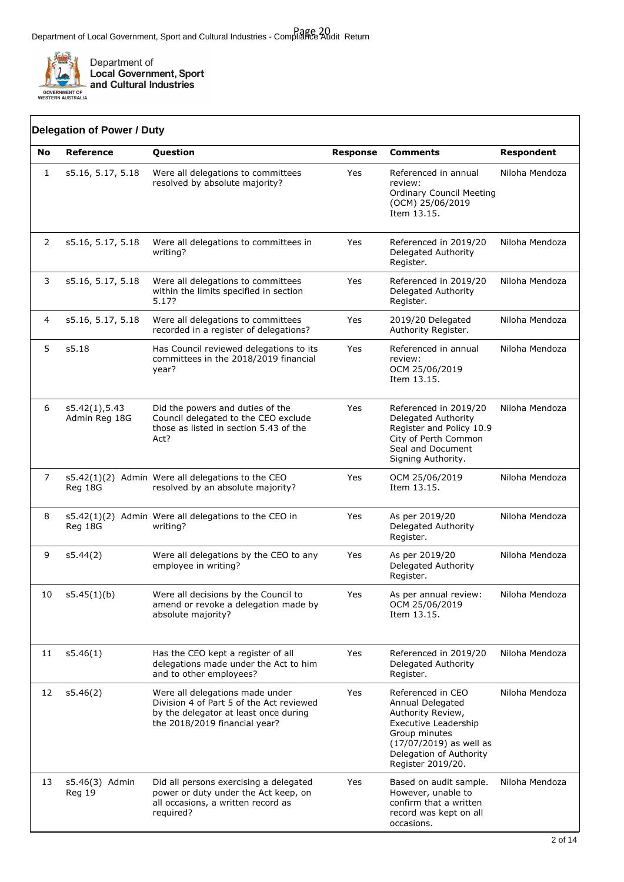

|              | <b>Delegation of Power / Duty</b> |                                                                                                                                                       |                 |                                                                                                                                                                                       |                   |
|--------------|-----------------------------------|-------------------------------------------------------------------------------------------------------------------------------------------------------|-----------------|---------------------------------------------------------------------------------------------------------------------------------------------------------------------------------------|-------------------|
| No           | <b>Reference</b>                  | Question                                                                                                                                              | <b>Response</b> | <b>Comments</b>                                                                                                                                                                       | <b>Respondent</b> |
| $\mathbf{1}$ | s5.16, 5.17, 5.18                 | Were all delegations to committees<br>resolved by absolute majority?                                                                                  | Yes             | Referenced in annual<br>review:<br><b>Ordinary Council Meeting</b><br>(OCM) 25/06/2019<br>Item 13.15.                                                                                 | Niloha Mendoza    |
| 2            | s5.16, 5.17, 5.18                 | Were all delegations to committees in<br>writing?                                                                                                     | Yes             | Referenced in 2019/20<br>Delegated Authority<br>Register.                                                                                                                             | Niloha Mendoza    |
| 3            | s5.16, 5.17, 5.18                 | Were all delegations to committees<br>within the limits specified in section<br>5.17?                                                                 | Yes             | Referenced in 2019/20<br>Delegated Authority<br>Register.                                                                                                                             | Niloha Mendoza    |
| 4            | s5.16, 5.17, 5.18                 | Were all delegations to committees<br>recorded in a register of delegations?                                                                          | Yes             | 2019/20 Delegated<br>Authority Register.                                                                                                                                              | Niloha Mendoza    |
| 5            | s5.18                             | Has Council reviewed delegations to its<br>committees in the 2018/2019 financial<br>year?                                                             | Yes             | Referenced in annual<br>review:<br>OCM 25/06/2019<br>Item 13.15.                                                                                                                      | Niloha Mendoza    |
| 6            | s5.42(1), 5.43<br>Admin Reg 18G   | Did the powers and duties of the<br>Council delegated to the CEO exclude<br>those as listed in section 5.43 of the<br>Act?                            | Yes             | Referenced in 2019/20<br>Delegated Authority<br>Register and Policy 10.9<br>City of Perth Common<br>Seal and Document<br>Signing Authority.                                           | Niloha Mendoza    |
| 7            | Reg 18G                           | s5.42(1)(2) Admin Were all delegations to the CEO<br>resolved by an absolute majority?                                                                | Yes             | OCM 25/06/2019<br>Item 13.15.                                                                                                                                                         | Niloha Mendoza    |
| 8            | Reg 18G                           | s5.42(1)(2) Admin Were all delegations to the CEO in<br>writing?                                                                                      | Yes             | As per 2019/20<br>Delegated Authority<br>Register.                                                                                                                                    | Niloha Mendoza    |
| 9            | s5.44(2)                          | Were all delegations by the CEO to any<br>employee in writing?                                                                                        | Yes             | As per 2019/20<br>Delegated Authority<br>Register.                                                                                                                                    | Niloha Mendoza    |
| 10           | s5.45(1)(b)                       | Were all decisions by the Council to<br>amend or revoke a delegation made by<br>absolute majority?                                                    | Yes             | As per annual review:<br>OCM 25/06/2019<br>Item 13.15.                                                                                                                                | Niloha Mendoza    |
| 11           | s5.46(1)                          | Has the CEO kept a register of all<br>delegations made under the Act to him<br>and to other employees?                                                | Yes             | Referenced in 2019/20<br>Delegated Authority<br>Register.                                                                                                                             | Niloha Mendoza    |
| 12           | s5.46(2)                          | Were all delegations made under<br>Division 4 of Part 5 of the Act reviewed<br>by the delegator at least once during<br>the 2018/2019 financial year? | Yes             | Referenced in CEO<br>Annual Delegated<br>Authority Review,<br><b>Executive Leadership</b><br>Group minutes<br>(17/07/2019) as well as<br>Delegation of Authority<br>Register 2019/20. | Niloha Mendoza    |
| 13           | s5.46(3) Admin<br>Reg 19          | Did all persons exercising a delegated<br>power or duty under the Act keep, on<br>all occasions, a written record as<br>required?                     | Yes             | Based on audit sample.<br>However, unable to<br>confirm that a written<br>record was kept on all<br>occasions.                                                                        | Niloha Mendoza    |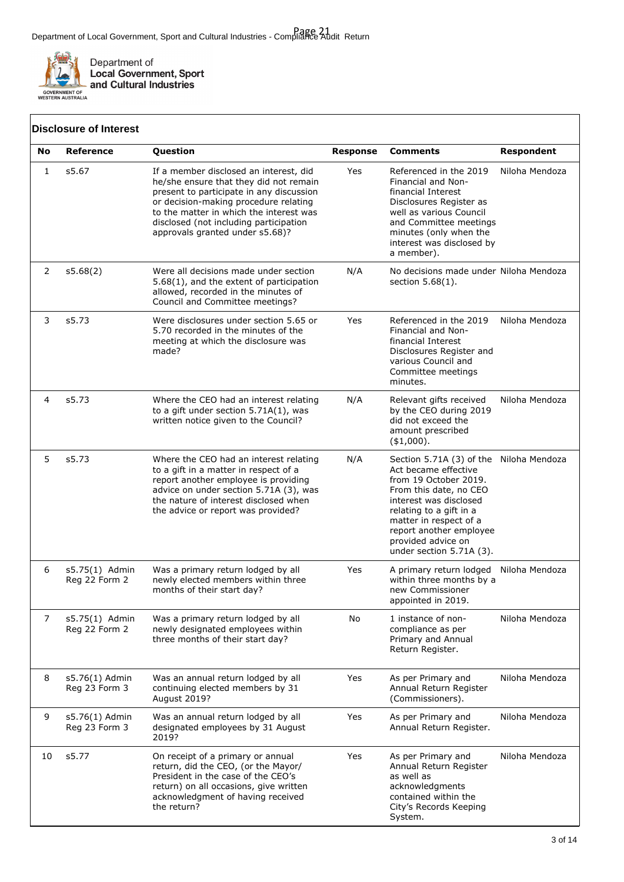

 $\sqrt{ }$ 

Department of<br>Local Government, Sport<br>and Cultural Industries

|    | <b>Disclosure of Interest</b>   |                                                                                                                                                                                                                                                                                               |                 |                                                                                                                                                                                                                                                                                  |                   |
|----|---------------------------------|-----------------------------------------------------------------------------------------------------------------------------------------------------------------------------------------------------------------------------------------------------------------------------------------------|-----------------|----------------------------------------------------------------------------------------------------------------------------------------------------------------------------------------------------------------------------------------------------------------------------------|-------------------|
| No | Reference                       | Question                                                                                                                                                                                                                                                                                      | <b>Response</b> | <b>Comments</b>                                                                                                                                                                                                                                                                  | <b>Respondent</b> |
| 1  | s5.67                           | If a member disclosed an interest, did<br>he/she ensure that they did not remain<br>present to participate in any discussion<br>or decision-making procedure relating<br>to the matter in which the interest was<br>disclosed (not including participation<br>approvals granted under s5.68)? | Yes             | Referenced in the 2019<br>Financial and Non-<br>financial Interest<br>Disclosures Register as<br>well as various Council<br>and Committee meetings<br>minutes (only when the<br>interest was disclosed by<br>a member).                                                          | Niloha Mendoza    |
| 2  | s5.68(2)                        | Were all decisions made under section<br>5.68(1), and the extent of participation<br>allowed, recorded in the minutes of<br>Council and Committee meetings?                                                                                                                                   | N/A             | No decisions made under Niloha Mendoza<br>section $5.68(1)$ .                                                                                                                                                                                                                    |                   |
| 3  | s5.73                           | Were disclosures under section 5.65 or<br>5.70 recorded in the minutes of the<br>meeting at which the disclosure was<br>made?                                                                                                                                                                 | Yes             | Referenced in the 2019<br>Financial and Non-<br>financial Interest<br>Disclosures Register and<br>various Council and<br>Committee meetings<br>minutes.                                                                                                                          | Niloha Mendoza    |
| 4  | s5.73                           | Where the CEO had an interest relating<br>to a gift under section $5.71A(1)$ , was<br>written notice given to the Council?                                                                                                                                                                    | N/A             | Relevant gifts received<br>by the CEO during 2019<br>did not exceed the<br>amount prescribed<br>$(*1,000).$                                                                                                                                                                      | Niloha Mendoza    |
| 5  | s5.73                           | Where the CEO had an interest relating<br>to a gift in a matter in respect of a<br>report another employee is providing<br>advice on under section 5.71A (3), was<br>the nature of interest disclosed when<br>the advice or report was provided?                                              | N/A             | Section 5.71A (3) of the Niloha Mendoza<br>Act became effective<br>from 19 October 2019.<br>From this date, no CEO<br>interest was disclosed<br>relating to a gift in a<br>matter in respect of a<br>report another employee<br>provided advice on<br>under section $5.71A(3)$ . |                   |
| 6  | s5.75(1) Admin<br>Reg 22 Form 2 | Was a primary return lodged by all<br>newly elected members within three<br>months of their start day?                                                                                                                                                                                        | Yes             | A primary return lodged<br>within three months by a<br>new Commissioner<br>appointed in 2019.                                                                                                                                                                                    | Niloha Mendoza    |
| 7  | s5.75(1) Admin<br>Reg 22 Form 2 | Was a primary return lodged by all<br>newly designated employees within<br>three months of their start day?                                                                                                                                                                                   | No              | 1 instance of non-<br>compliance as per<br>Primary and Annual<br>Return Register.                                                                                                                                                                                                | Niloha Mendoza    |
| 8  | s5.76(1) Admin<br>Reg 23 Form 3 | Was an annual return lodged by all<br>continuing elected members by 31<br>August 2019?                                                                                                                                                                                                        | Yes             | As per Primary and<br>Annual Return Register<br>(Commissioners).                                                                                                                                                                                                                 | Niloha Mendoza    |
| 9  | s5.76(1) Admin<br>Reg 23 Form 3 | Was an annual return lodged by all<br>designated employees by 31 August<br>2019?                                                                                                                                                                                                              | Yes             | As per Primary and<br>Annual Return Register.                                                                                                                                                                                                                                    | Niloha Mendoza    |
| 10 | s5.77                           | On receipt of a primary or annual<br>return, did the CEO, (or the Mayor/<br>President in the case of the CEO's<br>return) on all occasions, give written<br>acknowledgment of having received<br>the return?                                                                                  | Yes             | As per Primary and<br>Annual Return Register<br>as well as<br>acknowledgments<br>contained within the<br>City's Records Keeping<br>System.                                                                                                                                       | Niloha Mendoza    |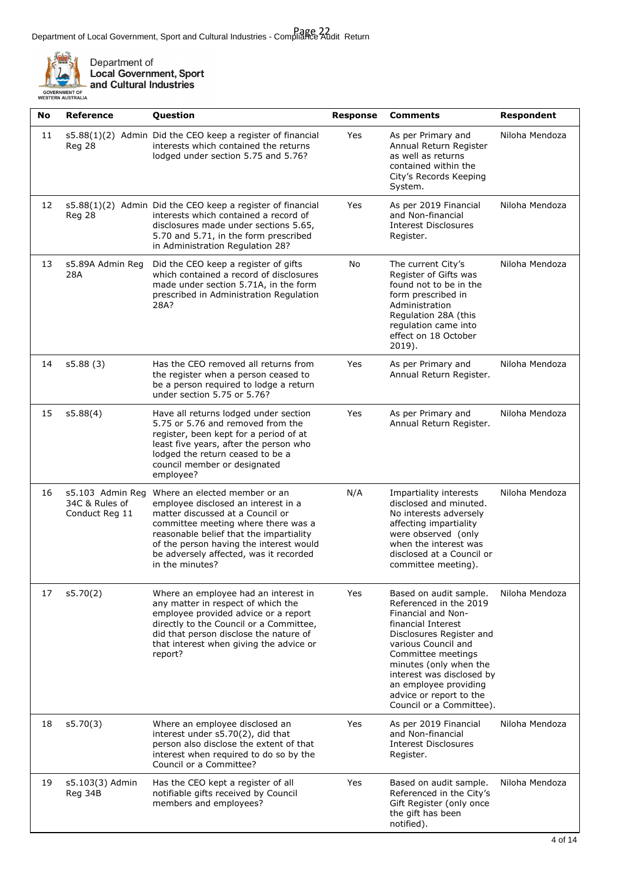

Department of<br>Local Government, Sport<br>and Cultural Industries

| No | Reference                                            | Question                                                                                                                                                                                                                                                                                           | <b>Response</b> | <b>Comments</b>                                                                                                                                                                                                                                                                                              | <b>Respondent</b> |
|----|------------------------------------------------------|----------------------------------------------------------------------------------------------------------------------------------------------------------------------------------------------------------------------------------------------------------------------------------------------------|-----------------|--------------------------------------------------------------------------------------------------------------------------------------------------------------------------------------------------------------------------------------------------------------------------------------------------------------|-------------------|
| 11 | Reg 28                                               | s5.88(1)(2) Admin Did the CEO keep a register of financial<br>interests which contained the returns<br>lodged under section 5.75 and 5.76?                                                                                                                                                         | Yes             | As per Primary and<br>Annual Return Register<br>as well as returns<br>contained within the<br>City's Records Keeping<br>System.                                                                                                                                                                              | Niloha Mendoza    |
| 12 | Reg 28                                               | s5.88(1)(2) Admin Did the CEO keep a register of financial<br>interests which contained a record of<br>disclosures made under sections 5.65,<br>5.70 and 5.71, in the form prescribed<br>in Administration Regulation 28?                                                                          | Yes             | As per 2019 Financial<br>and Non-financial<br><b>Interest Disclosures</b><br>Register.                                                                                                                                                                                                                       | Niloha Mendoza    |
| 13 | s5.89A Admin Reg<br>28A                              | Did the CEO keep a register of gifts<br>which contained a record of disclosures<br>made under section 5.71A, in the form<br>prescribed in Administration Regulation<br>28A?                                                                                                                        | No              | The current City's<br>Register of Gifts was<br>found not to be in the<br>form prescribed in<br>Administration<br>Regulation 28A (this<br>regulation came into<br>effect on 18 October<br>2019).                                                                                                              | Niloha Mendoza    |
| 14 | s5.88(3)                                             | Has the CEO removed all returns from<br>the register when a person ceased to<br>be a person required to lodge a return<br>under section 5.75 or 5.76?                                                                                                                                              | Yes             | As per Primary and<br>Annual Return Register.                                                                                                                                                                                                                                                                | Niloha Mendoza    |
| 15 | s5.88(4)                                             | Have all returns lodged under section<br>5.75 or 5.76 and removed from the<br>register, been kept for a period of at<br>least five years, after the person who<br>lodged the return ceased to be a<br>council member or designated<br>employee?                                                    | Yes             | As per Primary and<br>Annual Return Register.                                                                                                                                                                                                                                                                | Niloha Mendoza    |
| 16 | s5.103 Admin Reg<br>34C & Rules of<br>Conduct Reg 11 | Where an elected member or an<br>employee disclosed an interest in a<br>matter discussed at a Council or<br>committee meeting where there was a<br>reasonable belief that the impartiality<br>of the person having the interest would<br>be adversely affected, was it recorded<br>in the minutes? | N/A             | Impartiality interests<br>disclosed and minuted.<br>No interests adversely<br>affecting impartiality<br>were observed (only<br>when the interest was<br>disclosed at a Council or<br>committee meeting).                                                                                                     | Niloha Mendoza    |
| 17 | s5.70(2)                                             | Where an employee had an interest in<br>any matter in respect of which the<br>employee provided advice or a report<br>directly to the Council or a Committee,<br>did that person disclose the nature of<br>that interest when giving the advice or<br>report?                                      | Yes             | Based on audit sample.<br>Referenced in the 2019<br>Financial and Non-<br>financial Interest<br>Disclosures Register and<br>various Council and<br>Committee meetings<br>minutes (only when the<br>interest was disclosed by<br>an employee providing<br>advice or report to the<br>Council or a Committee). | Niloha Mendoza    |
| 18 | s5.70(3)                                             | Where an employee disclosed an<br>interest under s5.70(2), did that<br>person also disclose the extent of that<br>interest when required to do so by the<br>Council or a Committee?                                                                                                                | Yes             | As per 2019 Financial<br>and Non-financial<br><b>Interest Disclosures</b><br>Register.                                                                                                                                                                                                                       | Niloha Mendoza    |
| 19 | s5.103(3) Admin<br>Reg 34B                           | Has the CEO kept a register of all<br>notifiable gifts received by Council<br>members and employees?                                                                                                                                                                                               | Yes             | Based on audit sample.<br>Referenced in the City's<br>Gift Register (only once<br>the gift has been<br>notified).                                                                                                                                                                                            | Niloha Mendoza    |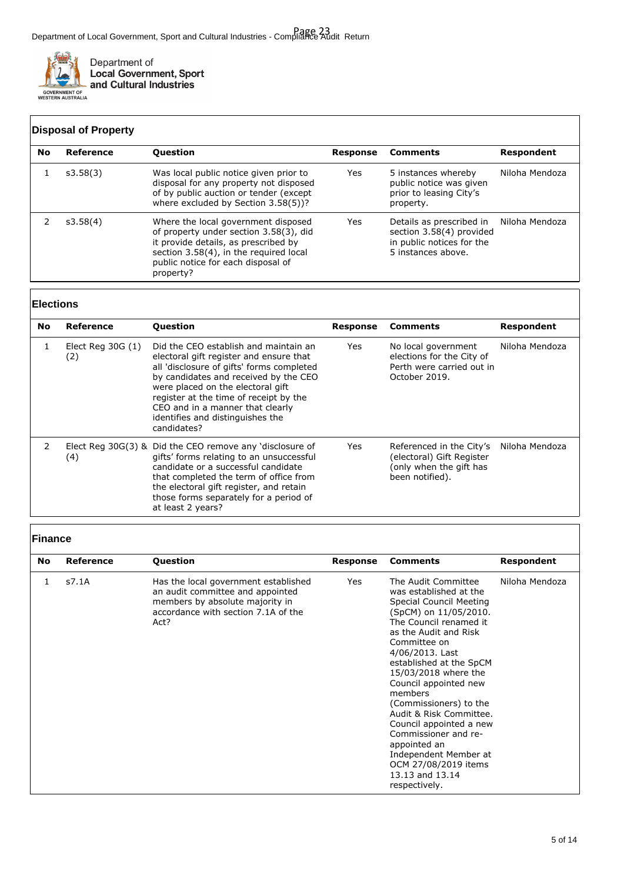

|           | <b>Disposal of Property</b> |                                                                                                                                                                                                                    |          |                                                                                                         |                |  |
|-----------|-----------------------------|--------------------------------------------------------------------------------------------------------------------------------------------------------------------------------------------------------------------|----------|---------------------------------------------------------------------------------------------------------|----------------|--|
| <b>No</b> | Reference                   | <b>Question</b>                                                                                                                                                                                                    | Response | <b>Comments</b>                                                                                         | Respondent     |  |
|           | s3.58(3)                    | Was local public notice given prior to<br>disposal for any property not disposed<br>of by public auction or tender (except<br>where excluded by Section 3.58(5))?                                                  | Yes      | 5 instances whereby<br>public notice was given<br>prior to leasing City's<br>property.                  | Niloha Mendoza |  |
|           | s3.58(4)                    | Where the local government disposed<br>of property under section 3.58(3), did<br>it provide details, as prescribed by<br>section 3.58(4), in the required local<br>public notice for each disposal of<br>property? | Yes      | Details as prescribed in<br>section 3.58(4) provided<br>in public notices for the<br>5 instances above. | Niloha Mendoza |  |

### **Elections**

| No            | Reference                 | <b>Question</b>                                                                                                                                                                                                                                                                                                                              | Response | <b>Comments</b>                                                                                     | Respondent     |
|---------------|---------------------------|----------------------------------------------------------------------------------------------------------------------------------------------------------------------------------------------------------------------------------------------------------------------------------------------------------------------------------------------|----------|-----------------------------------------------------------------------------------------------------|----------------|
|               | Elect Reg $30G(1)$<br>(2) | Did the CEO establish and maintain an<br>electoral gift register and ensure that<br>all 'disclosure of gifts' forms completed<br>by candidates and received by the CEO<br>were placed on the electoral gift<br>register at the time of receipt by the<br>CEO and in a manner that clearly<br>identifies and distinguishes the<br>candidates? | Yes      | No local government<br>elections for the City of<br>Perth were carried out in<br>October 2019.      | Niloha Mendoza |
| $\mathcal{P}$ | (4)                       | Elect Reg 30G(3) & Did the CEO remove any 'disclosure of<br>gifts' forms relating to an unsuccessful<br>candidate or a successful candidate<br>that completed the term of office from<br>the electoral gift register, and retain<br>those forms separately for a period of<br>at least 2 years?                                              | Yes      | Referenced in the City's<br>(electoral) Gift Register<br>(only when the gift has<br>been notified). | Niloha Mendoza |

### **Finance**

| No | <b>Reference</b> | <b>Question</b>                                                                                                                                            | Response   | <b>Comments</b>                                                                                                                                                                                                                                                                                                                                                                                                                                                                             | Respondent     |
|----|------------------|------------------------------------------------------------------------------------------------------------------------------------------------------------|------------|---------------------------------------------------------------------------------------------------------------------------------------------------------------------------------------------------------------------------------------------------------------------------------------------------------------------------------------------------------------------------------------------------------------------------------------------------------------------------------------------|----------------|
| 1  | s7.1A            | Has the local government established<br>an audit committee and appointed<br>members by absolute majority in<br>accordance with section 7.1A of the<br>Act? | <b>Yes</b> | The Audit Committee<br>was established at the<br>Special Council Meeting<br>(SpCM) on 11/05/2010.<br>The Council renamed it<br>as the Audit and Risk<br>Committee on<br>4/06/2013. Last<br>established at the SpCM<br>15/03/2018 where the<br>Council appointed new<br>members<br>(Commissioners) to the<br>Audit & Risk Committee.<br>Council appointed a new<br>Commissioner and re-<br>appointed an<br>Independent Member at<br>OCM 27/08/2019 items<br>13.13 and 13.14<br>respectively. | Niloha Mendoza |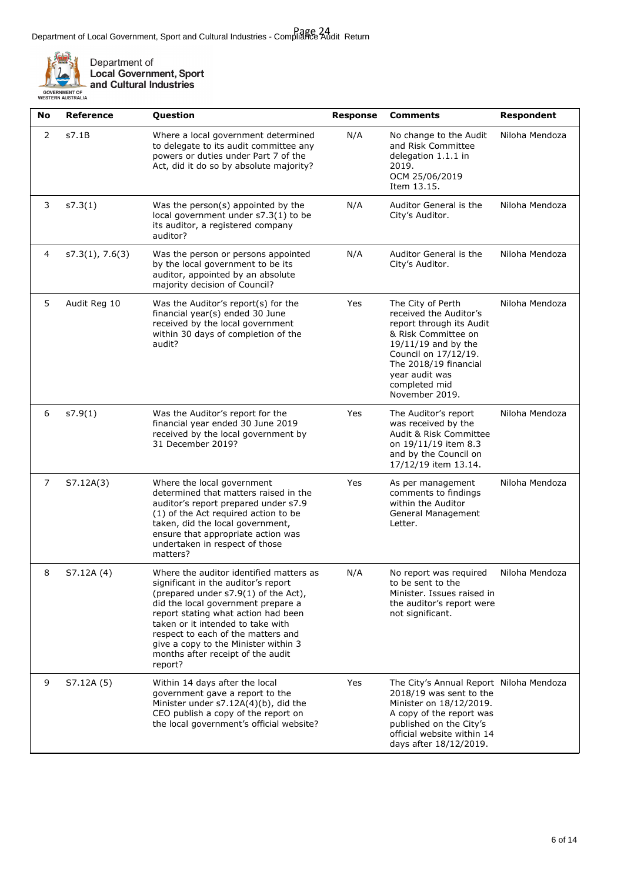

| L.                                           | ≝⊾ and Cultural Ir |  |
|----------------------------------------------|--------------------|--|
| <b>)VERNMENT OF</b><br><b>TERN AUSTRALIA</b> |                    |  |

| No             | <b>Reference</b> | Question                                                                                                                                                                                                                                                                                                                                                               | <b>Response</b> | <b>Comments</b>                                                                                                                                                                                                             | <b>Respondent</b> |
|----------------|------------------|------------------------------------------------------------------------------------------------------------------------------------------------------------------------------------------------------------------------------------------------------------------------------------------------------------------------------------------------------------------------|-----------------|-----------------------------------------------------------------------------------------------------------------------------------------------------------------------------------------------------------------------------|-------------------|
| $\overline{2}$ | s7.1B            | Where a local government determined<br>to delegate to its audit committee any<br>powers or duties under Part 7 of the<br>Act, did it do so by absolute majority?                                                                                                                                                                                                       | N/A             | No change to the Audit<br>and Risk Committee<br>delegation 1.1.1 in<br>2019.<br>OCM 25/06/2019<br>Item 13.15.                                                                                                               | Niloha Mendoza    |
| 3              | s7.3(1)          | Was the person(s) appointed by the<br>local government under s7.3(1) to be<br>its auditor, a registered company<br>auditor?                                                                                                                                                                                                                                            | N/A             | Auditor General is the<br>City's Auditor.                                                                                                                                                                                   | Niloha Mendoza    |
| 4              | s7.3(1), 7.6(3)  | Was the person or persons appointed<br>by the local government to be its<br>auditor, appointed by an absolute<br>majority decision of Council?                                                                                                                                                                                                                         | N/A             | Auditor General is the<br>City's Auditor.                                                                                                                                                                                   | Niloha Mendoza    |
| 5              | Audit Reg 10     | Was the Auditor's report(s) for the<br>financial year(s) ended 30 June<br>received by the local government<br>within 30 days of completion of the<br>audit?                                                                                                                                                                                                            | Yes             | The City of Perth<br>received the Auditor's<br>report through its Audit<br>& Risk Committee on<br>19/11/19 and by the<br>Council on 17/12/19.<br>The 2018/19 financial<br>year audit was<br>completed mid<br>November 2019. | Niloha Mendoza    |
| 6              | s7.9(1)          | Was the Auditor's report for the<br>financial year ended 30 June 2019<br>received by the local government by<br>31 December 2019?                                                                                                                                                                                                                                      | Yes             | The Auditor's report<br>was received by the<br>Audit & Risk Committee<br>on 19/11/19 item 8.3<br>and by the Council on<br>17/12/19 item 13.14.                                                                              | Niloha Mendoza    |
| 7              | S7.12A(3)        | Where the local government<br>determined that matters raised in the<br>auditor's report prepared under s7.9<br>(1) of the Act required action to be<br>taken, did the local government,<br>ensure that appropriate action was<br>undertaken in respect of those<br>matters?                                                                                            | Yes             | As per management<br>comments to findings<br>within the Auditor<br>General Management<br>Letter.                                                                                                                            | Niloha Mendoza    |
| 8              | S7.12A (4)       | Where the auditor identified matters as<br>significant in the auditor's report<br>(prepared under s7.9(1) of the Act),<br>did the local government prepare a<br>report stating what action had been<br>taken or it intended to take with<br>respect to each of the matters and<br>give a copy to the Minister within 3<br>months after receipt of the audit<br>report? | N/A             | No report was required<br>to be sent to the<br>Minister. Issues raised in<br>the auditor's report were<br>not significant.                                                                                                  | Niloha Mendoza    |
| 9              | S7.12A (5)       | Within 14 days after the local<br>government gave a report to the<br>Minister under s7.12A(4)(b), did the<br>CEO publish a copy of the report on<br>the local government's official website?                                                                                                                                                                           | Yes             | The City's Annual Report Niloha Mendoza<br>2018/19 was sent to the<br>Minister on 18/12/2019.<br>A copy of the report was<br>published on the City's<br>official website within 14<br>days after 18/12/2019.                |                   |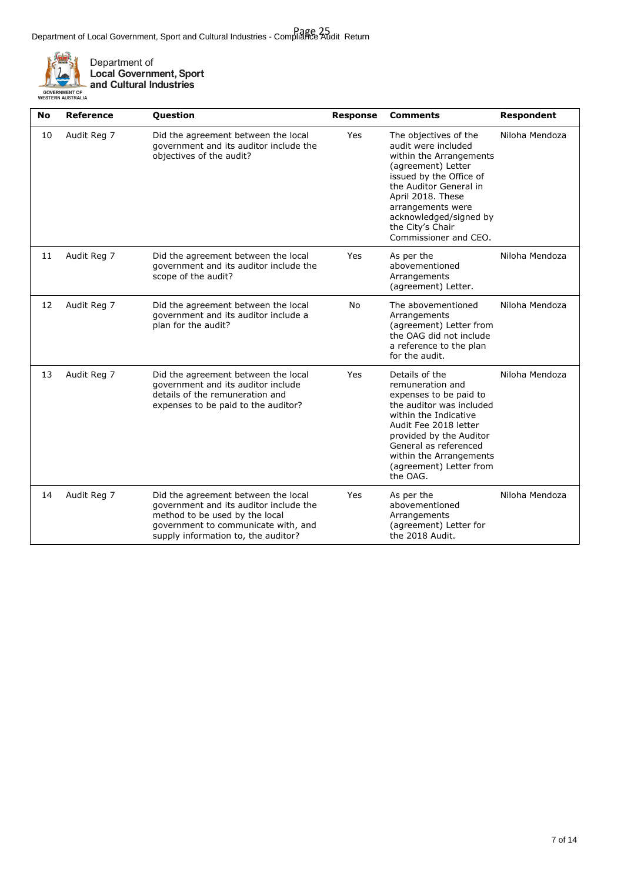

Department of<br>Local Government, Sport<br>and Cultural Industries

| <b>No</b> | Reference   | Question                                                                                                                                                                                      | <b>Response</b> | <b>Comments</b>                                                                                                                                                                                                                                                     | <b>Respondent</b> |
|-----------|-------------|-----------------------------------------------------------------------------------------------------------------------------------------------------------------------------------------------|-----------------|---------------------------------------------------------------------------------------------------------------------------------------------------------------------------------------------------------------------------------------------------------------------|-------------------|
| 10        | Audit Reg 7 | Did the agreement between the local<br>government and its auditor include the<br>objectives of the audit?                                                                                     | Yes             | The objectives of the<br>audit were included<br>within the Arrangements<br>(agreement) Letter<br>issued by the Office of<br>the Auditor General in<br>April 2018. These<br>arrangements were<br>acknowledged/signed by<br>the City's Chair<br>Commissioner and CEO. | Niloha Mendoza    |
| 11        | Audit Reg 7 | Did the agreement between the local<br>government and its auditor include the<br>scope of the audit?                                                                                          | Yes             | As per the<br>abovementioned<br>Arrangements<br>(agreement) Letter.                                                                                                                                                                                                 | Niloha Mendoza    |
| 12        | Audit Reg 7 | Did the agreement between the local<br>government and its auditor include a<br>plan for the audit?                                                                                            | <b>No</b>       | The abovementioned<br>Arrangements<br>(agreement) Letter from<br>the OAG did not include<br>a reference to the plan<br>for the audit.                                                                                                                               | Niloha Mendoza    |
| 13        | Audit Reg 7 | Did the agreement between the local<br>government and its auditor include<br>details of the remuneration and<br>expenses to be paid to the auditor?                                           | Yes             | Details of the<br>remuneration and<br>expenses to be paid to<br>the auditor was included<br>within the Indicative<br>Audit Fee 2018 letter<br>provided by the Auditor<br>General as referenced<br>within the Arrangements<br>(agreement) Letter from<br>the OAG.    | Niloha Mendoza    |
| 14        | Audit Reg 7 | Did the agreement between the local<br>government and its auditor include the<br>method to be used by the local<br>government to communicate with, and<br>supply information to, the auditor? | Yes             | As per the<br>abovementioned<br>Arrangements<br>(agreement) Letter for<br>the 2018 Audit.                                                                                                                                                                           | Niloha Mendoza    |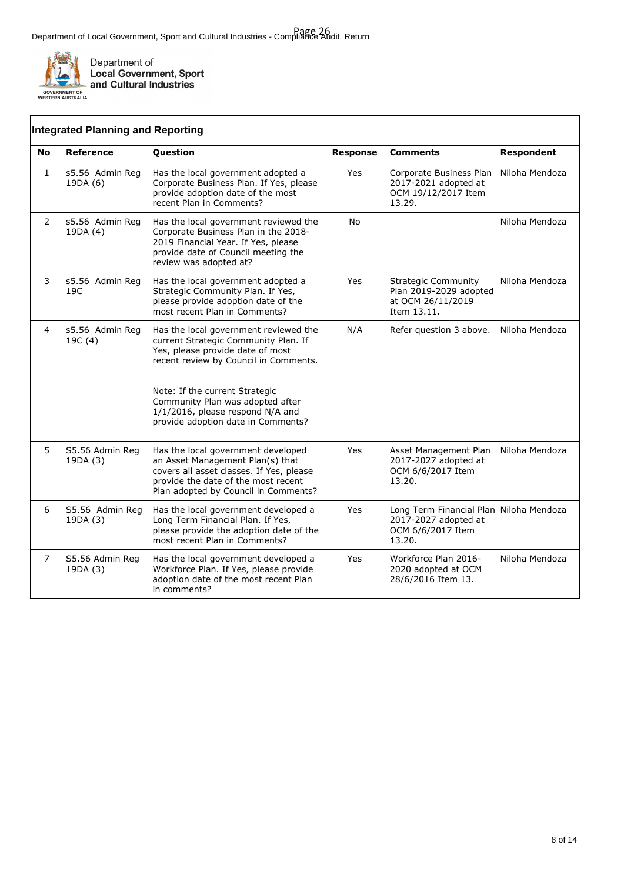

 $\mathbf{r}$ 

|                | <b>Integrated Planning and Reporting</b> |                                                                                                                                                                                                   |                 |                                                                                                |                |
|----------------|------------------------------------------|---------------------------------------------------------------------------------------------------------------------------------------------------------------------------------------------------|-----------------|------------------------------------------------------------------------------------------------|----------------|
| <b>No</b>      | <b>Reference</b>                         | Question                                                                                                                                                                                          | <b>Response</b> | <b>Comments</b>                                                                                | Respondent     |
| 1              | s5.56 Admin Reg<br>19DA (6)              | Has the local government adopted a<br>Corporate Business Plan. If Yes, please<br>provide adoption date of the most<br>recent Plan in Comments?                                                    | Yes             | Corporate Business Plan<br>2017-2021 adopted at<br>OCM 19/12/2017 Item<br>13.29.               | Niloha Mendoza |
| $\overline{2}$ | s5.56 Admin Reg<br>19DA (4)              | Has the local government reviewed the<br>Corporate Business Plan in the 2018-<br>2019 Financial Year. If Yes, please<br>provide date of Council meeting the<br>review was adopted at?             | No              |                                                                                                | Niloha Mendoza |
| 3              | s5.56 Admin Reg<br>19C                   | Has the local government adopted a<br>Strategic Community Plan. If Yes,<br>please provide adoption date of the<br>most recent Plan in Comments?                                                   | Yes             | <b>Strategic Community</b><br>Plan 2019-2029 adopted<br>at OCM 26/11/2019<br>Item 13.11.       | Niloha Mendoza |
| $\overline{4}$ | s5.56 Admin Reg<br>19C (4)               | Has the local government reviewed the<br>current Strategic Community Plan. If<br>Yes, please provide date of most<br>recent review by Council in Comments.                                        | N/A             | Refer question 3 above.                                                                        | Niloha Mendoza |
|                |                                          | Note: If the current Strategic<br>Community Plan was adopted after<br>1/1/2016, please respond N/A and<br>provide adoption date in Comments?                                                      |                 |                                                                                                |                |
| 5              | S5.56 Admin Reg<br>19DA (3)              | Has the local government developed<br>an Asset Management Plan(s) that<br>covers all asset classes. If Yes, please<br>provide the date of the most recent<br>Plan adopted by Council in Comments? | <b>Yes</b>      | Asset Management Plan<br>2017-2027 adopted at<br>OCM 6/6/2017 Item<br>13.20.                   | Niloha Mendoza |
| 6              | S5.56 Admin Reg<br>19DA (3)              | Has the local government developed a<br>Long Term Financial Plan. If Yes,<br>please provide the adoption date of the<br>most recent Plan in Comments?                                             | Yes             | Long Term Financial Plan Niloha Mendoza<br>2017-2027 adopted at<br>OCM 6/6/2017 Item<br>13.20. |                |
| 7              | S5.56 Admin Reg<br>19DA (3)              | Has the local government developed a<br>Workforce Plan. If Yes, please provide<br>adoption date of the most recent Plan<br>in comments?                                                           | Yes             | Workforce Plan 2016-<br>2020 adopted at OCM<br>28/6/2016 Item 13.                              | Niloha Mendoza |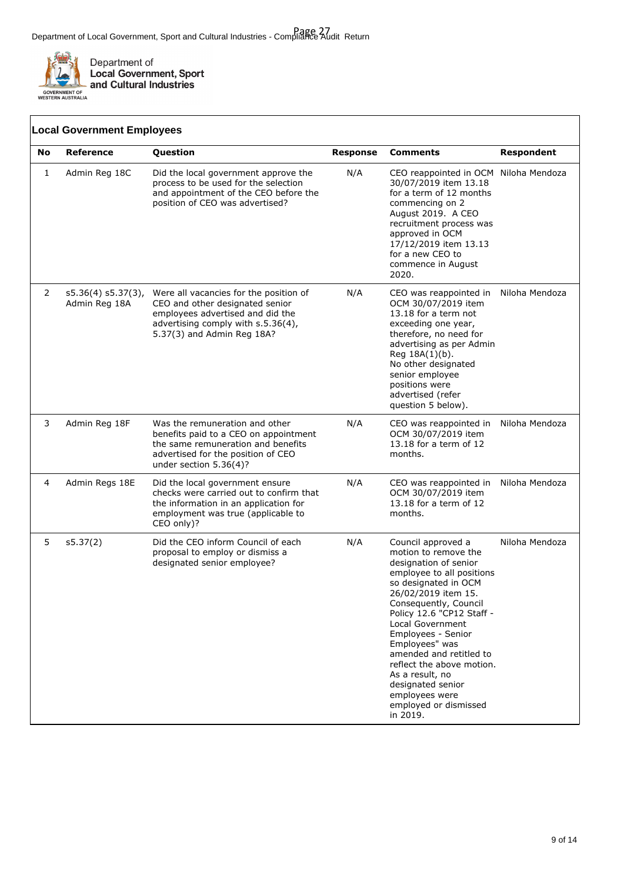

|                                                                                                                                                                                                                                  | <b>Local Government Employees</b>                                                                                                                                                              |                                                                                                                                                          |                                                                                                                                                                                                                                                                             |                                                                                                                                                                                                                                                                                                                                                                                                                          |                |
|----------------------------------------------------------------------------------------------------------------------------------------------------------------------------------------------------------------------------------|------------------------------------------------------------------------------------------------------------------------------------------------------------------------------------------------|----------------------------------------------------------------------------------------------------------------------------------------------------------|-----------------------------------------------------------------------------------------------------------------------------------------------------------------------------------------------------------------------------------------------------------------------------|--------------------------------------------------------------------------------------------------------------------------------------------------------------------------------------------------------------------------------------------------------------------------------------------------------------------------------------------------------------------------------------------------------------------------|----------------|
| No                                                                                                                                                                                                                               | <b>Reference</b>                                                                                                                                                                               | <b>Question</b>                                                                                                                                          | <b>Response</b>                                                                                                                                                                                                                                                             | <b>Comments</b>                                                                                                                                                                                                                                                                                                                                                                                                          | Respondent     |
| 1<br>Admin Reg 18C                                                                                                                                                                                                               |                                                                                                                                                                                                | Did the local government approve the<br>process to be used for the selection<br>and appointment of the CEO before the<br>position of CEO was advertised? | N/A                                                                                                                                                                                                                                                                         | CEO reappointed in OCM Niloha Mendoza<br>30/07/2019 item 13.18<br>for a term of 12 months<br>commencing on 2<br>August 2019. A CEO<br>recruitment process was<br>approved in OCM<br>17/12/2019 item 13.13<br>for a new CEO to<br>commence in August<br>2020.                                                                                                                                                             |                |
| 2<br>Were all vacancies for the position of<br>$s5.36(4) s5.37(3)$ ,<br>Admin Reg 18A<br>CEO and other designated senior<br>employees advertised and did the<br>advertising comply with s.5.36(4),<br>5.37(3) and Admin Reg 18A? |                                                                                                                                                                                                | N/A                                                                                                                                                      | CEO was reappointed in<br>OCM 30/07/2019 item<br>13.18 for a term not<br>exceeding one year,<br>therefore, no need for<br>advertising as per Admin<br>Reg 18A(1)(b).<br>No other designated<br>senior employee<br>positions were<br>advertised (refer<br>question 5 below). | Niloha Mendoza                                                                                                                                                                                                                                                                                                                                                                                                           |                |
| 3                                                                                                                                                                                                                                | Admin Reg 18F<br>Was the remuneration and other<br>benefits paid to a CEO on appointment<br>the same remuneration and benefits<br>advertised for the position of CEO<br>under section 5.36(4)? |                                                                                                                                                          | N/A                                                                                                                                                                                                                                                                         | CEO was reappointed in<br>OCM 30/07/2019 item<br>13.18 for a term of 12<br>months.                                                                                                                                                                                                                                                                                                                                       | Niloha Mendoza |
| 4                                                                                                                                                                                                                                | Admin Regs 18E<br>Did the local government ensure<br>checks were carried out to confirm that<br>the information in an application for<br>employment was true (applicable to<br>CEO only)?      |                                                                                                                                                          | N/A                                                                                                                                                                                                                                                                         | CEO was reappointed in<br>OCM 30/07/2019 item<br>13.18 for a term of 12<br>months.                                                                                                                                                                                                                                                                                                                                       | Niloha Mendoza |
| 5                                                                                                                                                                                                                                | s5.37(2)                                                                                                                                                                                       | Did the CEO inform Council of each<br>proposal to employ or dismiss a<br>designated senior employee?                                                     | N/A                                                                                                                                                                                                                                                                         | Council approved a<br>motion to remove the<br>designation of senior<br>employee to all positions<br>so designated in OCM<br>26/02/2019 item 15.<br>Consequently, Council<br>Policy 12.6 "CP12 Staff -<br>Local Government<br>Employees - Senior<br>Employees" was<br>amended and retitled to<br>reflect the above motion.<br>As a result, no<br>designated senior<br>employees were<br>employed or dismissed<br>in 2019. | Niloha Mendoza |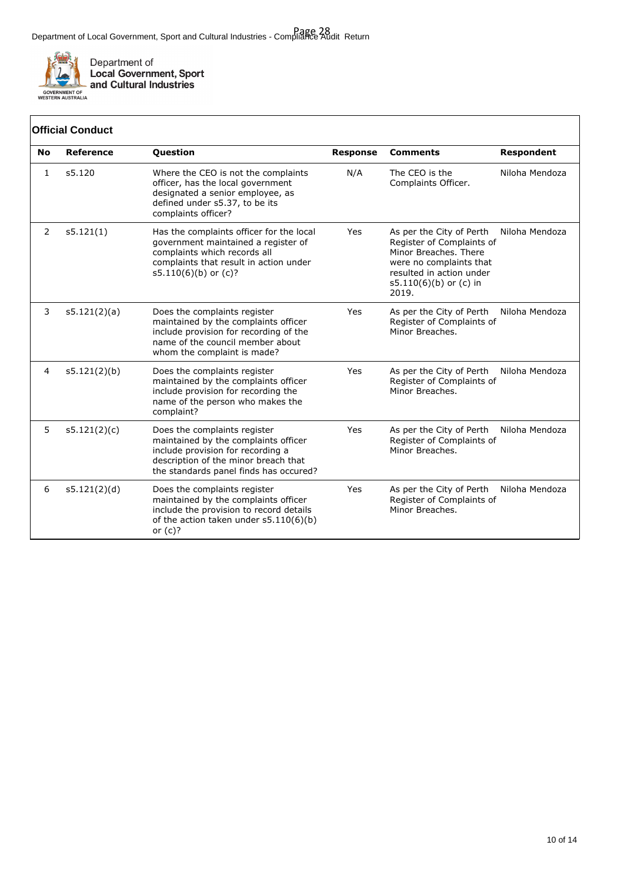

Department of<br>Local Government, Sport<br>and Cultural Industries

| <b>Official Conduct</b> |                  |                                                                                                                                                                                             |                 |                                                                                                                                                                            |                   |  |
|-------------------------|------------------|---------------------------------------------------------------------------------------------------------------------------------------------------------------------------------------------|-----------------|----------------------------------------------------------------------------------------------------------------------------------------------------------------------------|-------------------|--|
| <b>No</b>               | <b>Reference</b> | Question                                                                                                                                                                                    | <b>Response</b> | <b>Comments</b>                                                                                                                                                            | <b>Respondent</b> |  |
| 1                       | s5.120           | Where the CEO is not the complaints<br>officer, has the local government<br>designated a senior employee, as<br>defined under s5.37, to be its<br>complaints officer?                       | N/A             | The CEO is the<br>Complaints Officer.                                                                                                                                      | Niloha Mendoza    |  |
| 2                       | s5.121(1)        | Has the complaints officer for the local<br>government maintained a register of<br>complaints which records all<br>complaints that result in action under<br>$s5.110(6)(b)$ or $(c)?$       | Yes             | As per the City of Perth<br>Register of Complaints of<br>Minor Breaches, There<br>were no complaints that<br>resulted in action under<br>$s5.110(6)(b)$ or (c) in<br>2019. | Niloha Mendoza    |  |
| 3                       | s5.121(2)(a)     | Does the complaints register<br>maintained by the complaints officer<br>include provision for recording of the<br>name of the council member about<br>whom the complaint is made?           | Yes             | As per the City of Perth<br>Register of Complaints of<br>Minor Breaches.                                                                                                   | Niloha Mendoza    |  |
| 4                       | s5.121(2)(b)     | Does the complaints register<br>maintained by the complaints officer<br>include provision for recording the<br>name of the person who makes the<br>complaint?                               | Yes             | As per the City of Perth<br>Register of Complaints of<br>Minor Breaches.                                                                                                   | Niloha Mendoza    |  |
| 5                       | s5.121(2)(c)     | Does the complaints register<br>maintained by the complaints officer<br>include provision for recording a<br>description of the minor breach that<br>the standards panel finds has occured? | Yes             | As per the City of Perth<br>Register of Complaints of<br>Minor Breaches.                                                                                                   | Niloha Mendoza    |  |
| 6                       | s5.121(2)(d)     | Does the complaints register<br>maintained by the complaints officer<br>include the provision to record details<br>of the action taken under $s5.110(6)(b)$<br>or $(c)?$                    | Yes             | As per the City of Perth<br>Register of Complaints of<br>Minor Breaches.                                                                                                   | Niloha Mendoza    |  |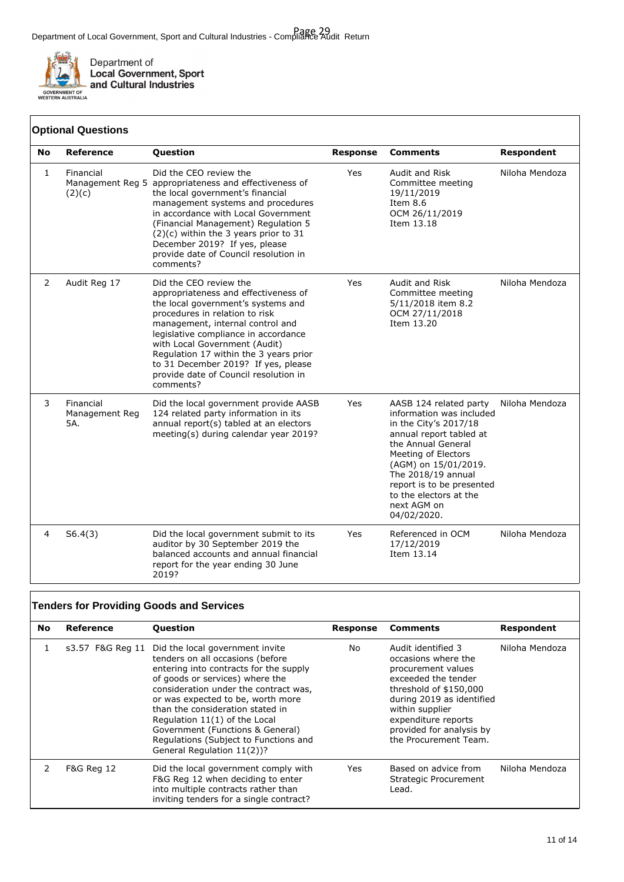

Department of<br>Local Government, Sport<br>and Cultural Industries

### **Optional Questions**

| No           | <b>Reference</b>                   | Question                                                                                                                                                                                                                                                                                                                                                                                   | <b>Response</b> | <b>Comments</b>                                                                                                                                                                                                                                                                        | <b>Respondent</b> |
|--------------|------------------------------------|--------------------------------------------------------------------------------------------------------------------------------------------------------------------------------------------------------------------------------------------------------------------------------------------------------------------------------------------------------------------------------------------|-----------------|----------------------------------------------------------------------------------------------------------------------------------------------------------------------------------------------------------------------------------------------------------------------------------------|-------------------|
| $\mathbf{1}$ | Financial<br>(2)(c)                | Did the CEO review the<br>Management Reg 5 appropriateness and effectiveness of<br>the local government's financial<br>management systems and procedures<br>in accordance with Local Government<br>(Financial Management) Regulation 5<br>(2)(c) within the 3 years prior to 31<br>December 2019? If yes, please<br>provide date of Council resolution in<br>comments?                     | Yes             | Audit and Risk<br>Committee meeting<br>19/11/2019<br>Item 8.6<br>OCM 26/11/2019<br>Item 13.18                                                                                                                                                                                          | Niloha Mendoza    |
| 2            | Audit Reg 17                       | Did the CEO review the<br>appropriateness and effectiveness of<br>the local government's systems and<br>procedures in relation to risk<br>management, internal control and<br>legislative compliance in accordance<br>with Local Government (Audit)<br>Regulation 17 within the 3 years prior<br>to 31 December 2019? If yes, please<br>provide date of Council resolution in<br>comments? | Yes             | Audit and Risk<br>Committee meeting<br>5/11/2018 item 8.2<br>OCM 27/11/2018<br>Item 13.20                                                                                                                                                                                              | Niloha Mendoza    |
| 3            | Financial<br>Management Reg<br>5A. | Did the local government provide AASB<br>124 related party information in its<br>annual report(s) tabled at an electors<br>meeting(s) during calendar year 2019?                                                                                                                                                                                                                           | Yes             | AASB 124 related party<br>information was included<br>in the City's 2017/18<br>annual report tabled at<br>the Annual General<br>Meeting of Electors<br>(AGM) on 15/01/2019.<br>The 2018/19 annual<br>report is to be presented<br>to the electors at the<br>next AGM on<br>04/02/2020. | Niloha Mendoza    |
| 4            | S6.4(3)                            | Did the local government submit to its<br>auditor by 30 September 2019 the<br>balanced accounts and annual financial<br>report for the year ending 30 June<br>2019?                                                                                                                                                                                                                        | Yes             | Referenced in OCM<br>17/12/2019<br>Item 13.14                                                                                                                                                                                                                                          | Niloha Mendoza    |

|                        | <b>Tenders for Providing Goods and Services</b> |                                                                                                                                                                                                                                                                                                                                                                                                                                 |          |                                                                                                                                                                                                                                              |                |  |
|------------------------|-------------------------------------------------|---------------------------------------------------------------------------------------------------------------------------------------------------------------------------------------------------------------------------------------------------------------------------------------------------------------------------------------------------------------------------------------------------------------------------------|----------|----------------------------------------------------------------------------------------------------------------------------------------------------------------------------------------------------------------------------------------------|----------------|--|
| Reference<br><b>No</b> |                                                 | <b>Question</b>                                                                                                                                                                                                                                                                                                                                                                                                                 | Response | <b>Comments</b>                                                                                                                                                                                                                              | Respondent     |  |
|                        |                                                 | s3.57 F&G Reg 11 Did the local government invite<br>tenders on all occasions (before<br>entering into contracts for the supply<br>of goods or services) where the<br>consideration under the contract was,<br>or was expected to be, worth more<br>than the consideration stated in<br>Regulation 11(1) of the Local<br>Government (Functions & General)<br>Regulations (Subject to Functions and<br>General Regulation 11(2))? | No       | Audit identified 3<br>occasions where the<br>procurement values<br>exceeded the tender<br>threshold of \$150,000<br>during 2019 as identified<br>within supplier<br>expenditure reports<br>provided for analysis by<br>the Procurement Team. | Niloha Mendoza |  |
| 2                      | <b>F&amp;G Reg 12</b>                           | Did the local government comply with<br>F&G Reg 12 when deciding to enter<br>into multiple contracts rather than<br>inviting tenders for a single contract?                                                                                                                                                                                                                                                                     | Yes.     | Based on advice from<br>Strategic Procurement<br>Lead.                                                                                                                                                                                       | Niloha Mendoza |  |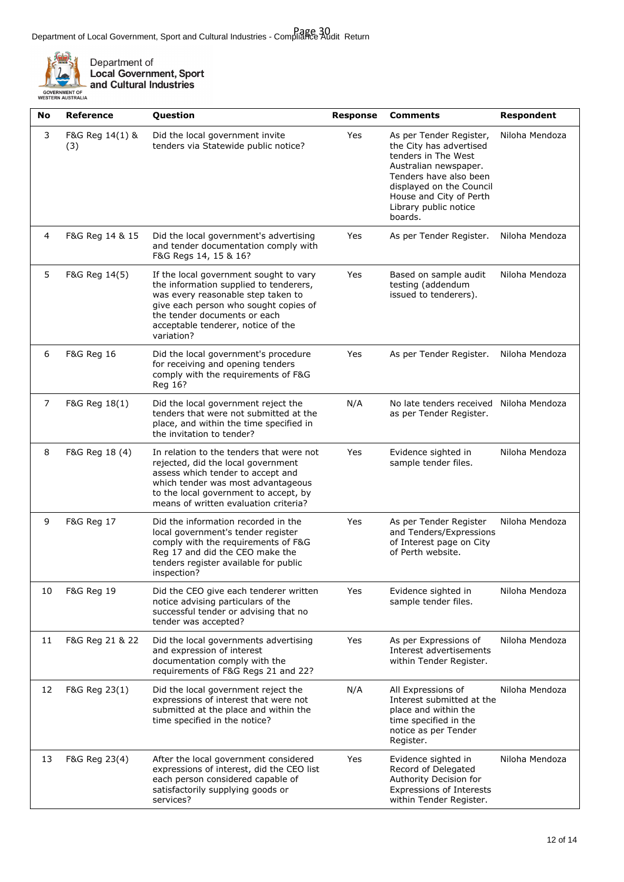

Department of<br>Local Government, Sport<br>- and Cultural Industries

|                                          | and Cultural |  |
|------------------------------------------|--------------|--|
| <b>ERNMENT OF</b><br><b>RN AUSTRALIA</b> |              |  |

| No | <b>Reference</b><br>Question |                                                                                                                                                                                                                                                                                                           | <b>Response</b>                                                                                           | <b>Comments</b>                                                                                                             | <b>Respondent</b> |
|----|------------------------------|-----------------------------------------------------------------------------------------------------------------------------------------------------------------------------------------------------------------------------------------------------------------------------------------------------------|-----------------------------------------------------------------------------------------------------------|-----------------------------------------------------------------------------------------------------------------------------|-------------------|
| 3  | F&G Reg 14(1) &<br>(3)       | Did the local government invite<br>Yes<br>As per Tender Register,<br>tenders via Statewide public notice?<br>the City has advertised<br>tenders in The West<br>Australian newspaper.<br>Tenders have also been<br>displayed on the Council<br>House and City of Perth<br>Library public notice<br>boards. |                                                                                                           | Niloha Mendoza                                                                                                              |                   |
| 4  | F&G Reg 14 & 15              | Did the local government's advertising<br>and tender documentation comply with<br>F&G Regs 14, 15 & 16?                                                                                                                                                                                                   | Yes                                                                                                       | As per Tender Register.                                                                                                     | Niloha Mendoza    |
| 5  | F&G Reg 14(5)                | If the local government sought to vary<br>the information supplied to tenderers,<br>was every reasonable step taken to<br>give each person who sought copies of<br>the tender documents or each<br>acceptable tenderer, notice of the<br>variation?                                                       | Yes                                                                                                       | Based on sample audit<br>testing (addendum<br>issued to tenderers).                                                         | Niloha Mendoza    |
| 6  | F&G Reg 16                   | Did the local government's procedure<br>Yes<br>As per Tender Register.<br>for receiving and opening tenders<br>comply with the requirements of F&G<br>Reg 16?                                                                                                                                             |                                                                                                           | Niloha Mendoza                                                                                                              |                   |
| 7  | F&G Reg 18(1)                | Did the local government reject the<br>tenders that were not submitted at the<br>place, and within the time specified in<br>the invitation to tender?                                                                                                                                                     | N/A                                                                                                       | No late tenders received Niloha Mendoza<br>as per Tender Register.                                                          |                   |
| 8  | F&G Reg 18 (4)               | Yes<br>In relation to the tenders that were not<br>Evidence sighted in<br>sample tender files.<br>rejected, did the local government<br>assess which tender to accept and<br>which tender was most advantageous<br>to the local government to accept, by<br>means of written evaluation criteria?         |                                                                                                           | Niloha Mendoza                                                                                                              |                   |
| 9  | F&G Reg 17                   | Did the information recorded in the<br>local government's tender register<br>comply with the requirements of F&G<br>Reg 17 and did the CEO make the<br>tenders register available for public<br>inspection?                                                                                               | Yes<br>As per Tender Register<br>and Tenders/Expressions<br>of Interest page on City<br>of Perth website. |                                                                                                                             | Niloha Mendoza    |
| 10 | F&G Reg 19                   | Did the CEO give each tenderer written<br>Yes<br>Evidence sighted in<br>notice advising particulars of the<br>sample tender files.<br>successful tender or advising that no<br>tender was accepted?                                                                                                       |                                                                                                           | Niloha Mendoza                                                                                                              |                   |
| 11 | F&G Reg 21 & 22              | Did the local governments advertising<br>and expression of interest<br>documentation comply with the<br>requirements of F&G Regs 21 and 22?                                                                                                                                                               | Yes                                                                                                       | As per Expressions of<br>Interest advertisements<br>within Tender Register.                                                 | Niloha Mendoza    |
| 12 | F&G Reg 23(1)                | N/A<br>Did the local government reject the<br>All Expressions of<br>expressions of interest that were not<br>submitted at the place and within the<br>place and within the<br>time specified in the notice?<br>time specified in the<br>notice as per Tender<br>Register.                                 |                                                                                                           | Interest submitted at the                                                                                                   | Niloha Mendoza    |
| 13 | F&G Reg 23(4)                | After the local government considered<br>expressions of interest, did the CEO list<br>each person considered capable of<br>satisfactorily supplying goods or<br>services?                                                                                                                                 | Yes                                                                                                       | Evidence sighted in<br>Record of Delegated<br>Authority Decision for<br>Expressions of Interests<br>within Tender Register. | Niloha Mendoza    |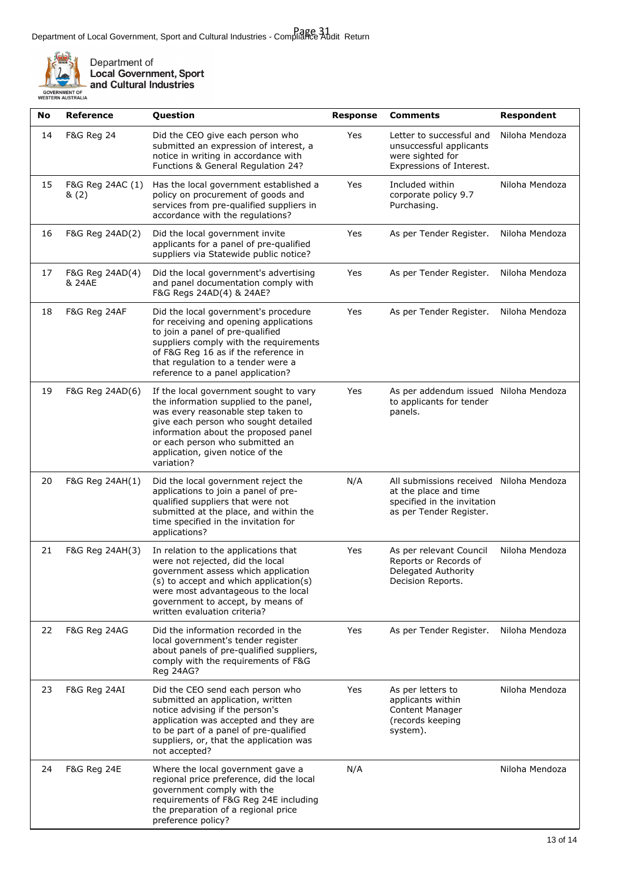

Department of<br>Local Government, Sport<br>and Cultural Industries

| No | <b>Reference</b>                                                                                                                                                                                                                                                                                               | Question                                                                                                                                                                                                                                                              | <b>Response</b> | <b>Comments</b>                                                                                                            | <b>Respondent</b> |
|----|----------------------------------------------------------------------------------------------------------------------------------------------------------------------------------------------------------------------------------------------------------------------------------------------------------------|-----------------------------------------------------------------------------------------------------------------------------------------------------------------------------------------------------------------------------------------------------------------------|-----------------|----------------------------------------------------------------------------------------------------------------------------|-------------------|
| 14 | <b>F&amp;G Reg 24</b>                                                                                                                                                                                                                                                                                          | Did the CEO give each person who<br>submitted an expression of interest, a<br>notice in writing in accordance with<br>Functions & General Regulation 24?                                                                                                              |                 | Letter to successful and<br>unsuccessful applicants<br>were sighted for<br>Expressions of Interest.                        | Niloha Mendoza    |
| 15 | F&G Reg 24AC (1)<br>&(2)                                                                                                                                                                                                                                                                                       | Has the local government established a<br>policy on procurement of goods and<br>services from pre-qualified suppliers in<br>accordance with the regulations?                                                                                                          | Yes             | Included within<br>corporate policy 9.7<br>Purchasing.                                                                     | Niloha Mendoza    |
| 16 | F&G Reg 24AD(2)                                                                                                                                                                                                                                                                                                | Did the local government invite<br>applicants for a panel of pre-qualified<br>suppliers via Statewide public notice?                                                                                                                                                  | Yes             | As per Tender Register.                                                                                                    | Niloha Mendoza    |
| 17 | F&G Reg 24AD(4)<br>& 24AE                                                                                                                                                                                                                                                                                      | Did the local government's advertising<br>and panel documentation comply with<br>F&G Regs 24AD(4) & 24AE?                                                                                                                                                             | Yes             | As per Tender Register.                                                                                                    | Niloha Mendoza    |
| 18 | F&G Reg 24AF<br>Did the local government's procedure<br>for receiving and opening applications<br>to join a panel of pre-qualified<br>suppliers comply with the requirements<br>of F&G Reg 16 as if the reference in<br>that regulation to a tender were a<br>reference to a panel application?                |                                                                                                                                                                                                                                                                       | Yes             | As per Tender Register.                                                                                                    | Niloha Mendoza    |
| 19 | F&G Reg 24AD(6)<br>If the local government sought to vary<br>the information supplied to the panel,<br>was every reasonable step taken to<br>give each person who sought detailed<br>information about the proposed panel<br>or each person who submitted an<br>application, given notice of the<br>variation? |                                                                                                                                                                                                                                                                       | Yes             | As per addendum issued Niloha Mendoza<br>to applicants for tender<br>panels.                                               |                   |
| 20 | F&G Reg 24AH(1)                                                                                                                                                                                                                                                                                                | Did the local government reject the<br>applications to join a panel of pre-<br>qualified suppliers that were not<br>submitted at the place, and within the<br>time specified in the invitation for<br>applications?                                                   | N/A             | All submissions received Niloha Mendoza<br>at the place and time<br>specified in the invitation<br>as per Tender Register. |                   |
| 21 | F&G Reg 24AH(3)                                                                                                                                                                                                                                                                                                | In relation to the applications that<br>were not rejected, did the local<br>government assess which application<br>(s) to accept and which application(s)<br>were most advantageous to the local<br>government to accept, by means of<br>written evaluation criteria? | Yes             | As per relevant Council<br>Reports or Records of<br>Delegated Authority<br>Decision Reports.                               | Niloha Mendoza    |
| 22 | F&G Reg 24AG<br>Did the information recorded in the<br>local government's tender register<br>about panels of pre-qualified suppliers,<br>comply with the requirements of F&G<br>Reg 24AG?                                                                                                                      |                                                                                                                                                                                                                                                                       | Yes             | As per Tender Register.                                                                                                    | Niloha Mendoza    |
| 23 | F&G Reg 24AI<br>Did the CEO send each person who<br>submitted an application, written<br>notice advising if the person's<br>application was accepted and they are<br>to be part of a panel of pre-qualified<br>suppliers, or, that the application was<br>not accepted?                                        |                                                                                                                                                                                                                                                                       | Yes             | As per letters to<br>applicants within<br><b>Content Manager</b><br>(records keeping<br>system).                           | Niloha Mendoza    |
| 24 | F&G Reg 24E                                                                                                                                                                                                                                                                                                    | Where the local government gave a<br>regional price preference, did the local<br>government comply with the<br>requirements of F&G Reg 24E including<br>the preparation of a regional price<br>preference policy?                                                     | N/A             |                                                                                                                            | Niloha Mendoza    |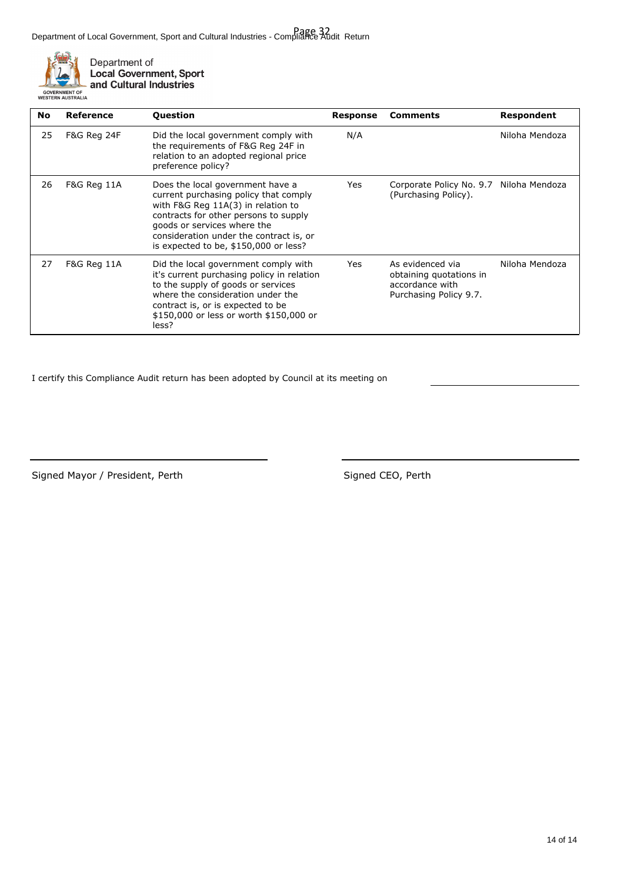Department of Local Government, Sport and Cultural Industries - Compliance Audit Return Page 32



| No                           | Reference                                                                                                                                                                                                                                                                                  | <b>Question</b>                                                                                                                                                                                                                                        | Response | <b>Comments</b>                                                                          | Respondent     |
|------------------------------|--------------------------------------------------------------------------------------------------------------------------------------------------------------------------------------------------------------------------------------------------------------------------------------------|--------------------------------------------------------------------------------------------------------------------------------------------------------------------------------------------------------------------------------------------------------|----------|------------------------------------------------------------------------------------------|----------------|
| 25<br><b>F&amp;G Reg 24F</b> |                                                                                                                                                                                                                                                                                            | Did the local government comply with<br>the requirements of F&G Reg 24F in<br>relation to an adopted regional price<br>preference policy?                                                                                                              | N/A      |                                                                                          | Niloha Mendoza |
| 26                           | F&G Reg 11A<br>Does the local government have a<br>current purchasing policy that comply<br>with F&G Reg 11A(3) in relation to<br>contracts for other persons to supply<br>goods or services where the<br>consideration under the contract is, or<br>is expected to be, \$150,000 or less? |                                                                                                                                                                                                                                                        | Yes      | Corporate Policy No. 9.7 Niloha Mendoza<br>(Purchasing Policy).                          |                |
| 27                           | F&G Reg 11A                                                                                                                                                                                                                                                                                | Did the local government comply with<br>it's current purchasing policy in relation<br>to the supply of goods or services<br>where the consideration under the<br>contract is, or is expected to be<br>\$150,000 or less or worth \$150,000 or<br>less? | Yes      | As evidenced via<br>obtaining quotations in<br>accordance with<br>Purchasing Policy 9.7. | Niloha Mendoza |

I certify this Compliance Audit return has been adopted by Council at its meeting on

Signed Mayor / President, Perth Signed CEO, Perth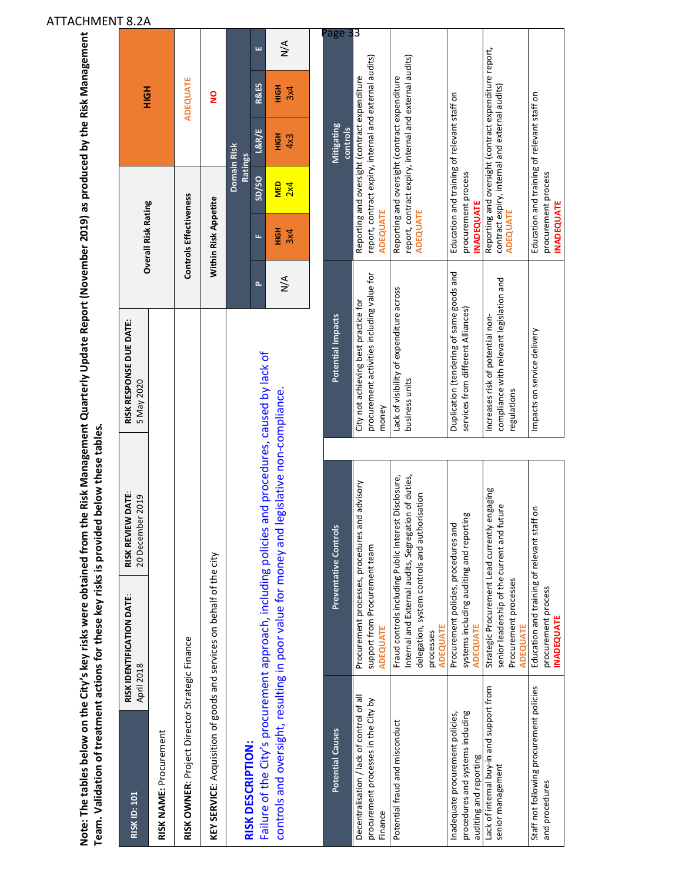|                                                |                                                                      | Note: The tables below on the City's key risks were obtained from the Risk Management Quarterly Update Report (November 2019) as produced by the Risk Management<br>Team. Validation of treatment actions for these key risks is provided below these tables. |                                       |                                      |                 |
|------------------------------------------------|----------------------------------------------------------------------|---------------------------------------------------------------------------------------------------------------------------------------------------------------------------------------------------------------------------------------------------------------|---------------------------------------|--------------------------------------|-----------------|
| <b>RISK ID: 101</b>                            | RISK I DENTIFICATION DATE:<br>April 2018                             | RISK REVIEW DATE:<br>20 December 2019                                                                                                                                                                                                                         | RISK RESPONSE DUE DATE:<br>5 May 2020 | <b>Overall Risk Rating</b>           | 공<br>모          |
| RISK NAME: Procurement                         |                                                                      |                                                                                                                                                                                                                                                               |                                       |                                      |                 |
| RISK OWNER: Project Director Strategic Finance |                                                                      |                                                                                                                                                                                                                                                               |                                       | Controls Effectiveness               | <b>ADEQUATE</b> |
|                                                | KEY SERVICE: Acquisition of goods and services on behalf of the city |                                                                                                                                                                                                                                                               |                                       | Within Risk Appetite                 | $\frac{8}{1}$   |
| <b>DICK DECCPIDTION:</b>                       |                                                                      |                                                                                                                                                                                                                                                               |                                       | <b>Domain Risk</b><br><b>Ratings</b> |                 |

**RISK DESCRIPTION:**

RISK DESCRIPTION:

Failure of the City's procurement approach, including policies and procedures, caused by lack of

Failure of the City's procurement approach, including policies and procedures, caused by lack of

**P** 

**F SD/SO L&R/E R&ES E**

 $SD/SO$ 

 $L8R/E$ 

u.

**R&ES**  $rac{1}{2}$  $3x4$ 

N/A **HIGH**  3x4 **MED**  2x4 **HIGH**  4x3 **HIGH**  3x4 N/A

 $\frac{MED}{2x4}$ 

플  $3x4$ 

 $\sum_{N}$ 

 $4x3$ **HIGH** 

 $\frac{4}{\sqrt{2}}$ 

controls and oversight, resulting in poor value for money and legislative non‐compliance.

controls and oversight, resulting in poor value for money and legislative non-compliance.

### P a g e 3 3Reporting and oversight (contract expenditure report,<br>contract expiry, internal and external audits)<br><mark>ADEQUATE</mark> Reporting and oversight (contract expenditure report, report, contract expiry, internal and external audits) report, contract expiry, internal and external audits) report, contract expiry, internal and external audits) report, contract expiry, internal and external audits) Reporting and oversight (contract expenditure Reporting and oversight (contract expenditure Reporting and oversight (contract expenditure Reporting and oversight (contract expenditure contract expiry, internal and external audits) Education and training of relevant staff on Education and training of relevant staff on Education and training of relevant staff on Impacts on service delivery Education and training of relevant staff on **Potential Causes Preventative Controls Potential Impacts Mitigating**  Mitigating **controls** procurement process procurement process procurement process procurement process **INADEQUATE NADEQUATE INADEQUATE** ADEQUATE **INADEQUAT** ADEQUATE **ADEQUATE ADEQUATE ADEQUATE** Duplication (tendering of same goods and procurement activities including value for procurement activities including value for Duplication (tendering of same goods and compliance with relevant legislation and compliance with relevant legislation and Lack of visibility of expenditure across Lack of visibility of expenditure across City not achieving best practice for City not achieving best practice for services from different Alliances) services from different Alliances) Increases risk of potential non-Potential Impacts Increases risk of potential non‐ Impacts on service delivery business units business units regulations regulations money Internal and External audits, Segregation of duties, Potential fraud and misconduct Fraud controls including Public Interest Disclosure, Internal and External audits, Segregation of duties, Fraud controls including Public Interest Disclosure, Procurement processes, procedures and advisory Procurement processes, procedures and advisory Strategic Procurement Lead currently engaging Strategic Procurement Lead currently engaging delegation, system controls and authorisation delegation, system controls and authorisation senior leadership of the current and future senior leadership of the current and future Education and training of relevant staff on Education and training of relevant staff on systems including auditing and reporting systems including auditing and reporting Procurement policies, procedures and Procurement policies, procedures and Preventative Controls support from Procurement team support from Procurement team Procurement processes Procurement processes procurement process procurement process **NADEQUATE INADEQUATE ADEQUATE**  ADEQUATE **ADEQUATE ADEQUATE ADEQUATE** ADEQUATE processes processes Lack of internal buy-in and support from<br>senior management Lack of internal buy‐in and support from Staff not following procurement policies Staff not following procurement policies Decentralisation / lack of control of all Decentralisation / lack of control of all procurement processes in the City by procurement processes in the City by Inadequate procurement policies, procedures and systems including nadequate procurement policies, procedures and systems including Potential fraud and misconduct **Potential Causes** auditing and reporting auditing and reporting senior management and procedures and procedures Finance

### ATTACHMENT 8.2A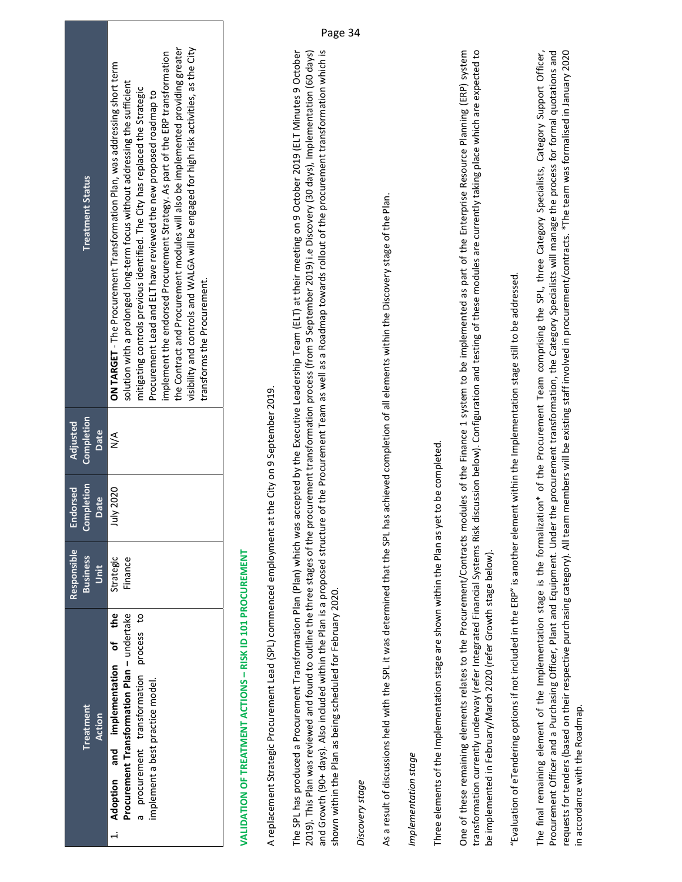| <b>Treatment Status</b>                | the Contract and Procurement modules will also be implemented providing greater<br>visibility and controls and WALGA will be engaged for high risk activities, as the City<br>implement the endorsed Procurement Strategy. As part of the ERP transformation<br>ON TARGET - The Procurement Transformation Plan, was addressing short term<br>solution with a prolonged long-term focus without addressing the sufficient<br>mitigating controls previous identified. The City has replaced the Strategic<br>Procurement Lead and ELT have reviewed the new proposed roadmap to<br>transforms the Procurement. |
|----------------------------------------|----------------------------------------------------------------------------------------------------------------------------------------------------------------------------------------------------------------------------------------------------------------------------------------------------------------------------------------------------------------------------------------------------------------------------------------------------------------------------------------------------------------------------------------------------------------------------------------------------------------|
| Completion<br><b>Adjusted</b><br>Date  | $\frac{4}{2}$                                                                                                                                                                                                                                                                                                                                                                                                                                                                                                                                                                                                  |
| <b>Completion</b><br>Endorsed<br>Date  | July 2020                                                                                                                                                                                                                                                                                                                                                                                                                                                                                                                                                                                                      |
| Responsible<br><b>Business</b><br>Unit | Strategic<br>Finance                                                                                                                                                                                                                                                                                                                                                                                                                                                                                                                                                                                           |
| <b>Treatment</b><br><b>Action</b>      | Adoption and implementation of the<br>Procurement Transformation Plan - undertake<br>a procurement transformation process to<br>implement a best practice model.                                                                                                                                                                                                                                                                                                                                                                                                                                               |

### **VALIDATION OF TREATMENT ACTIONS – RISK ID 101 PROCUREMENT**  VALIDATION OF TREATMENT ACTIONS - RISK ID 101 PROCUREMENT

A replacement Strategic Procurement Lead (SPL) commenced employment at the City on 9 September 2019. A replacement Strategic Procurement Lead (SPL) commenced employment at the City on 9 September 2019.

The SPL has produced a Procurement Transformation Plan (Plan) which was accepted by the Executive Leadership Team (ELT) at their meeting on 9 October 2019 (ELT Minutes 9 October 2019). This Plan was reviewed and found to outline the three stages of the procurement transformation process (from 9 September 2019) i.e Discovery (30 days), Implementation (60 days) and Growth (90+ days). Also included within the Plan is a proposed structure of the Procurement Team as well as a Roadmap towards rollout of the procurement transformation which is The SPL has produced a Procurement Transformation Plan (Plan) which was accepted by the Executive Leadership Team (ELT) at their meeting on 9 October 2019 (ELT Minutes 9 October 2019). This Plan was reviewed and found to outline the three stages of the procurement transformation process (from 9 September 2019) i.e Discovery (30 days), Implementation (60 days) and Growth (90+ days). Also included within the Plan is a proposed structure of the Procurement Team as well as a Roadmap towards rollout of the procurement transformation which is shown within the Plan as being scheduled for February 2020. shown within the Plan as being scheduled for February 2020.

### *Discovery stage*  Discovery stage

As a result of discussions held with the SPL it was determined that the SPL has achieved completion of all elements within the Discovery stage of the Plan. As a result of discussions held with the SPL it was determined that the SPL has achieved completion of all elements within the Discovery stage of the Plan.

### *Implementation stage*  Implementation stage

Three elements of the Implementation stage are shown within the Plan as yet to be completed. Three elements of the Implementation stage are shown within the Plan as yet to be completed.

One of these remaining elements relates to the Procurement/Contracts modules of the Finance 1 system to be implemented as part of the Enterprise Resource Planning (ERP) system transformation currently underway (refer Integrated Financial Systems Risk discussion below). Configuration and testing of these modules are currently taking place which are expected to One of these remaining elements relates to the Procurement/Contracts modules of the Finance 1 system to be implemented as part of the Enterprise Resource Planning (ERP) system transformation currently underway (refer Integrated Financial Systems Risk discussion below). Configuration and testing of these modules are currently taking place which are expected to be implemented in February/March 2020 (refer Growth stage below). be implemented in February/March 2020 (refer Growth stage below).

"Evaluation of eTendering options if not included in the ERP" is another element within the Implementation stage still to be addressed. "Evaluation of eTendering options if not included in the ERP" is another element within the Implementation stage still to be addressed.

requests for tenders (based on their respective purchasing category). All team members will be existing staff involved in procurement/contracts. \*The team was formalised in January 2020 The final remaining element of the Implementation stage is the formalization\* of the Procurement Team comprising the SPL, three Category Specialists, Category Support Officer, The final remaining element of the Implementation stage is the formalization\* of the Procurement Team comprising the SPL, three Category Specialists, Category Support Officer, Procurement Officer and a Purchasing Officer, Plant and Equipment. Under the procurement transformation, the Category Specialists will manage the process for formal quotations and Procurement Officer and a Purchasing Officer, Plant and Equipment. Under the procurement transformation, the Category Specialists will manage the process for formal quotations and requests for tenders (based on their respective purchasing category). All team members will be existing staff involved in procurement/contracts. \*The team was formalised in January 2020 in accordance with the Roadmap. in accordance with the Roadmap.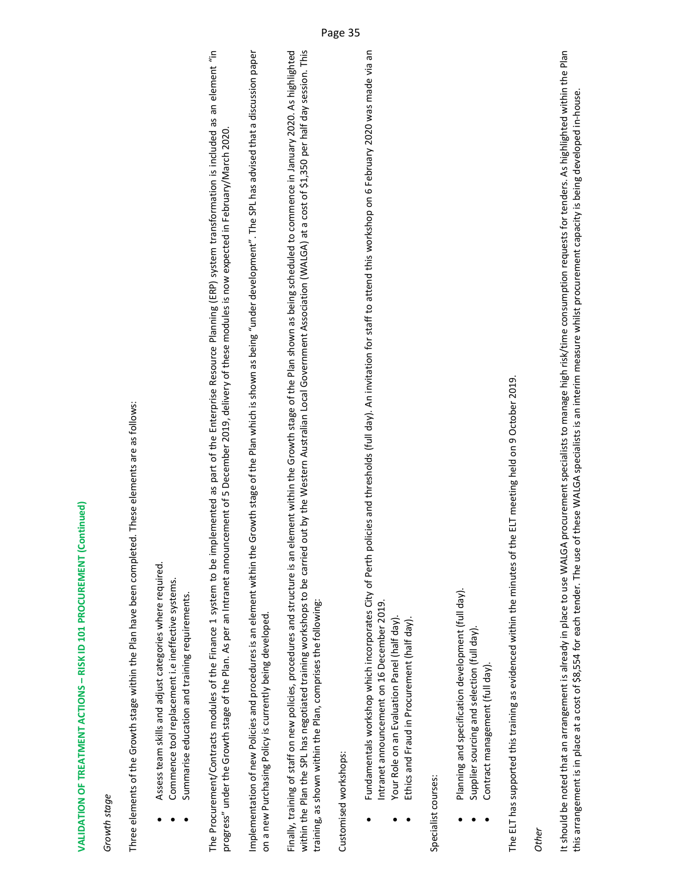## VALIDATION OF TREATMENT ACTIONS - RISK ID 101 PROCUREMENT (Continued) **VALIDATION OF TREATMENT ACTIONS – RISK ID 101 PROCUREMENT (Continued)**

### *Growth stage*  Growth stage

Three elements of the Growth stage within the Plan have been completed. These elements are as follows: Three elements of the Growth stage within the Plan have been completed. These elements are as follows:

- Assess team skills and adjust categories where required. Assess team skills and adjust categories where required. .
- Commence tool replacement i.e ineffective systems. Commence tool replacement i.e ineffective systems. .
- Summarise education and training requirements. Summarise education and training requirements. .

The Procurement/Contracts modules of the Finance 1 system to be implemented as part of the Enterprise Resource Planning (ERP) system transformation is included as an element "in The Procurement/Contracts modules of the Finance 1 system to be implemented as part of the Enterprise Resource Planning (ERP) system transformation is included as an element "in progress" under the Growth stage of the Plan. As per an Intranet announcement of 5 December 2019, delivery of these modules is now expected in February/March 2020. progress" under the Growth stage of the Plan. As per an Intranet announcement of 5 December 2019, delivery of these modules is now expected in February/March 2020.

Implementation of new Policies and procedures is an element within the Growth stage of the Plan which is shown as being "under development". The SPL has advised that a discussion paper mplementation of new Policies and procedures is an element within the Growth stage of the Plan which is shown as being "under development". The SPL has advised that a discussion paper on a new Purchasing Policy is currently being developed. on a new Purchasing Policy is currently being developed.

Finally, training of staff on new policies, procedures and structure is an element within the Growth stage of the Plan shown as being scheduled to commence in January 2020. As highlighted within the Plan the SPL has negotiated training workshops to be carried out by the Western Australian Local Government Association (WALGA) at a cost of \$1,350 per half day session. This Finally, training of staff on new policies, procedures and structure is an element within the Growth stage of the Plan shown as being scheduled to commence in January 2020. As highlighted within the Plan the SPL has negotiated training workshops to be carried out by the Western Australian Local Government Association (WALGA) at a cost of \$1,350 per half day session. This training, as shown within the Plan, comprises the following: training, as shown within the Plan, comprises the following:

Customised workshops: Customised workshops:

- Fundamentals workshop which incorporates City of Perth policies and thresholds (full day). An invitation for staff to attend this workshop on 6 February 2020 was made via an Fundamentals workshop which incorporates City of Perth policies and thresholds (full day). An invitation for staff to attend this workshop on 6 February 2020 was made via an Intranet announcement on 16 December 2019. Intranet announcement on 16 December 2019. .
	- Your Role on an Evaluation Panel (half day). Your Role on an Evaluation Panel (half day). .
		- Ethics and Fraud in Procurement (half day). Ethics and Fraud in Procurement (half day). .

Specialist courses: Specialist courses:

- Planning and specification development (full day). Planning and specification development (full day). .
- $\bullet$  Supplier sourcing and selection (full day). Supplier sourcing and selection (full day) .
	- Contract management (full day). Contract management (full day). .

The ELT has supported this training as evidenced within the minutes of the ELT meeting held on 9 October 2019. The ELT has supported this training as evidenced within the minutes of the ELT meeting held on 9 October 2019.

*Other* 

It should be noted that an arrangement is already in place to use WALGA procurement specialists to manage high risk/time consumption requests for tenders. As highlighted within the Plan It should be noted that an arrangement is already in place to use WALGA procurement specialists to manage high risk/time consumption requests for tenders. As highlighted within the Plan this arrangement is in place at a cost of \$8,554 for each tender. The use of these WALGA specialists is an interim measure whilst procurement capacity is being developed in‐house. this arrangement is in place at a cost of \$8,554 for each tender. The use of these WALGA specialists is an interim measure whilst procurement capacity is being developed in-house.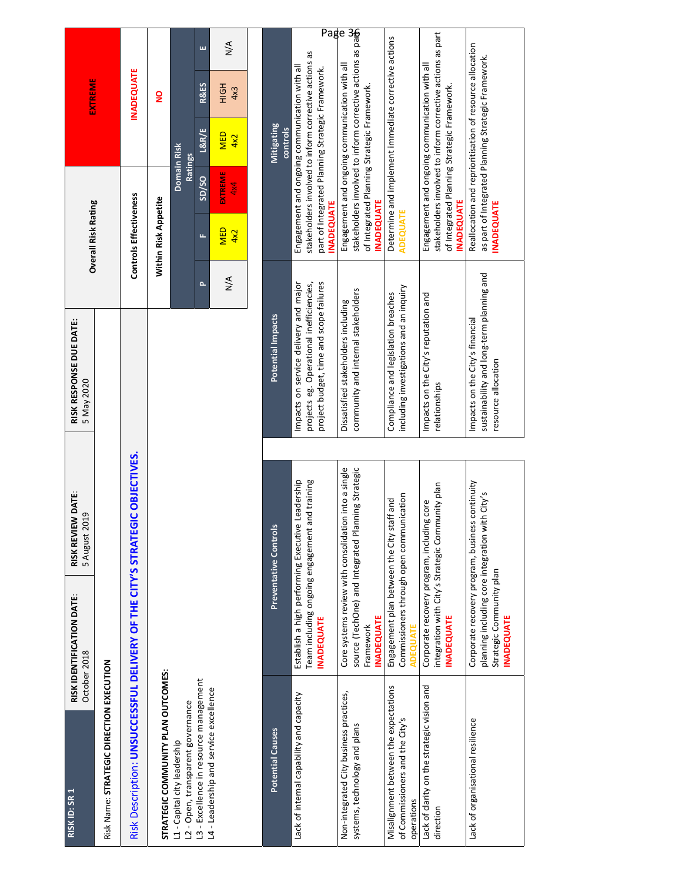|                                           |                                          |                                                                             |                                    |                                                                   | ш                                      | $\frac{4}{2}$                          |  |
|-------------------------------------------|------------------------------------------|-----------------------------------------------------------------------------|------------------------------------|-------------------------------------------------------------------|----------------------------------------|----------------------------------------|--|
| EXTREME                                   |                                          | <b>INADEQUATE</b>                                                           | $\mathsf{S}$                       |                                                                   | <b>R&amp;ES</b>                        | H <sub>OH</sub><br>4x3                 |  |
|                                           |                                          |                                                                             |                                    | Ratings                                                           | L&R/E                                  | <b>MED</b><br>4x2                      |  |
|                                           |                                          |                                                                             |                                    | Domain Risk                                                       | SD/SO                                  | EXTREME<br>4x4                         |  |
| <b>Overall Risk Rating</b>                |                                          | Controls Effectiveness                                                      | Within Risk Appetite               |                                                                   | u,                                     | <b>MED</b><br>4x2                      |  |
|                                           |                                          |                                                                             |                                    |                                                                   | ۵                                      | $\frac{4}{2}$                          |  |
| RISK RESPONSE DUE DATE:<br>5 May 2020     |                                          |                                                                             |                                    |                                                                   |                                        |                                        |  |
|                                           |                                          |                                                                             |                                    |                                                                   |                                        |                                        |  |
| RISK REVIEW DATE:<br>2019<br>5 August 2   |                                          |                                                                             |                                    |                                                                   |                                        |                                        |  |
| RISK IDENTIFICATION DATE:<br>October 2018 |                                          |                                                                             |                                    |                                                                   |                                        |                                        |  |
|                                           |                                          |                                                                             |                                    |                                                                   |                                        |                                        |  |
| RISK ID: SR 1                             | Risk Name: STRATEGIC DIRECTION EXECUTION | Risk Description: UNSUCCESSFUL DELIVERY OF THE CITY'S STRATEGIC OBJECTIVES. | STRATEGIC COMMUNITY PLAN OUTCOMES: | L2 - Open, transparent governance<br>L1 - Capital city leadership | L3 - Excellence in resource management | L4 - Leadership and service excellence |  |

| Mitigating<br>controls       | Pag<br>stakeholders involved to inform corrective actions as<br>Engagement and ongoing communication with all<br>part of Integrated Planning Strategic Framework.<br><b>INADEQUATE</b> | stakeholders involved to inform corrective actions as path<br>e<br>Engagement and ongoing communication with all<br>of Integrated Planning Strategic Framework.<br><b>INADEQUATE</b> | Determine and implement immediate corrective actions<br><b>ADEQUATE</b>                                  | stakeholders involved to inform corrective actions as part<br>Engagement and ongoing communication with all<br>of Integrated Planning Strategic Framework.<br><b>INADEQUATE</b> | Reallocation and reprioritisation of resource allocation<br>as part of Integrated Planning Strategic Framework.<br><b>INADEQUATE</b>       |
|------------------------------|----------------------------------------------------------------------------------------------------------------------------------------------------------------------------------------|--------------------------------------------------------------------------------------------------------------------------------------------------------------------------------------|----------------------------------------------------------------------------------------------------------|---------------------------------------------------------------------------------------------------------------------------------------------------------------------------------|--------------------------------------------------------------------------------------------------------------------------------------------|
| Potential Impacts            | Impacts on service delivery and major<br>project budget, time and scope failures<br>projects eg. Operational inefficiencies,                                                           | community and internal stakeholders<br>Dissatisfied stakeholders including                                                                                                           | including investigations and an inquiry<br>Compliance and legislation breaches                           | Impacts on the City's reputation and<br>relationships                                                                                                                           | sustainability and long-term planning and<br>Impacts on the City's financial<br>resource allocation                                        |
|                              | Leadership                                                                                                                                                                             |                                                                                                                                                                                      |                                                                                                          |                                                                                                                                                                                 | ith City's                                                                                                                                 |
| <b>Preventative Controls</b> | Team including ongoing engagement and training<br>Establish a high performing Executive<br><b>INADEQUATE</b>                                                                           | Core systems review with consolidation into a single<br>source (TechOne) and Integrated Planning Strategic<br><b>INADEQUATE</b><br>Framework                                         | Commissioners through open communication<br>Engagement plan between the City staff and<br><b>DEQUALL</b> | integration with City's Strategic Community plan<br>Corporate recovery program, including core<br><b>INADEQUATE</b>                                                             | Corporate recovery program, business continuity<br>planning including core integration wi<br>Strategic Community plan<br><b>INADEQUATE</b> |
| <b>Potential Causes</b>      | Lack of internal capability and capacity                                                                                                                                               | Non-integrated City business practices,<br>systems, technology and plans                                                                                                             | Misalignment between the expectations<br>of Commissioners and the City's<br>operations                   | Lack of clarity on the strategic vision and<br>direction                                                                                                                        | Lack of organisational resilience                                                                                                          |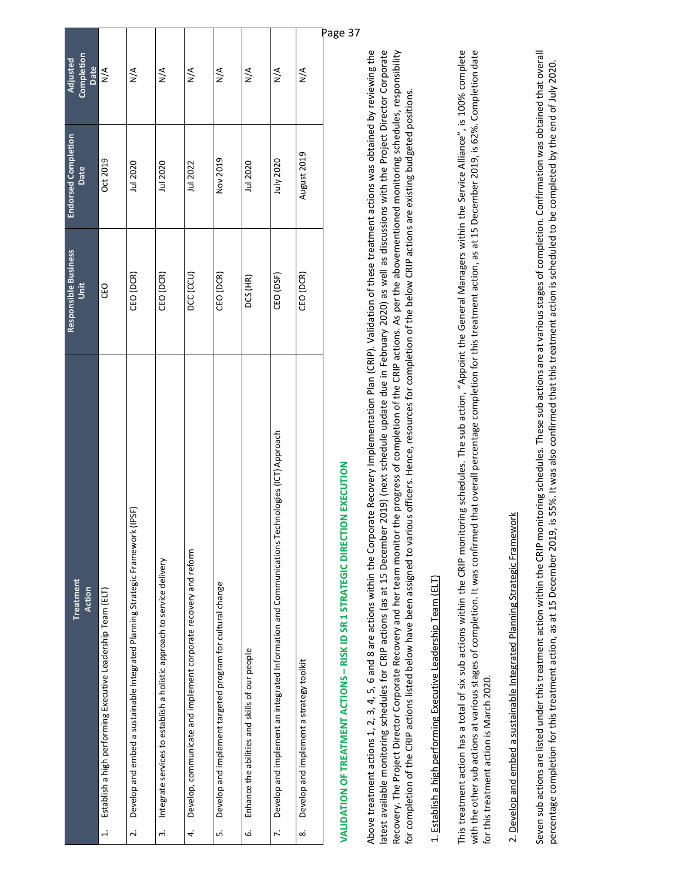| Completion<br>Adjusted<br>Date | $\frac{4}{5}$                                                             | $\frac{4}{2}$                                                                                           | $\frac{4}{\sqrt{2}}$                                                                 | $\frac{4}{2}$                                                          | $\frac{4}{2}$                                                        | $\frac{4}{2}$                                            | $\frac{4}{\sqrt{2}}$                                                                                            | Pi<br>$\frac{4}{2}$                            |
|--------------------------------|---------------------------------------------------------------------------|---------------------------------------------------------------------------------------------------------|--------------------------------------------------------------------------------------|------------------------------------------------------------------------|----------------------------------------------------------------------|----------------------------------------------------------|-----------------------------------------------------------------------------------------------------------------|------------------------------------------------|
| Endorsed Completion<br>Date    | Oct 2019                                                                  | Jul 2020                                                                                                | Jul 2020                                                                             | Jul 2022                                                               | Nov 2019                                                             | Jul 2020                                                 | July 2020                                                                                                       | August 2019                                    |
| Responsible Business<br>Unit   | CEO                                                                       | CEO (DCR)                                                                                               | CEO (DCR)                                                                            | DCC (CCU)                                                              | CEO (DCR)                                                            | DCS (HR)                                                 | CEO (DSF)                                                                                                       | CEO (DCR)                                      |
| Treatment<br>Action            | Establish a high performing Executive Leadership Team (ELT)<br>$\ddot{ }$ | (IPSF)<br>Develop and embed a sustainable Integrated Planning Strategic Framework I<br>$\overline{2}$ . | Integrate services to establish a holistic approach to service delivery<br>$\dot{ }$ | Develop, communicate and implement corporate recovery and reform<br>4. | Develop and implement targeted program for cultural change<br>ີ<br>ທ | Enhance the abilities and skills of our people<br>.<br>ف | Develop and implement an integrated Information and Communications Technologies (ICT) Approach<br>$\ddot{\sim}$ | Develop and implement a strategy toolkit<br>œ. |

# **VALIDATION OF TREATMENT ACTIONS – RISK ID SR 1 STRATEGIC DIRECTION EXECUTION**  VALIDATION OF TREATMENT ACTIONS - RISK ID SR 1 STRATEGIC DIRECTION EXECUTION

Above treatment actions 1, 2, 3, 4, 5, 6 and 8 are actions within the Corporate Recovery Implementation Plan (CRIP). Validation of these treatment actions was obtained by reviewing the latest available monitoring schedules for CRIP actions (as at 15 December 2019) (next schedule update due in February 2020) as well as discussions with the Project Director Corporate Recovery. The Project Director Corporate Recovery and her team monitor the progress of completion of the CRIP actions. As per the abovementioned monitoring schedules, responsibility Above treatment actions 1, 2, 3, 4, 5, 6 and 8 are actions within the Corporate Recovery Implementation Plan (CRIP). Validation of these treatment actions was obtained by reviewing the latest available monitoring schedules for CRIP actions (as at 15 December 2019) (next schedule update due in February 2020) as well as discussions with the Project Director Corporate Recovery. The Project Director Corporate Recovery and her team monitor the progress of completion of the CRIP actions. As per the abovementioned monitoring schedules, responsibility for completion of the CRIP actions listed below have been assigned to various officers. Hence, resources for completion of the below CRIP actions are existing budgeted positions. for completion of the CRIP actions listed below have been assigned to various officers. Hence, resources for completion of the below CRIP actions are existing budgeted positions.

### 1. Establish a high performing Executive Leadership Team (ELT) 1. Establish a high performing Executive Leadership Team (ELT)

This treatment action has a total of six sub actions within the CRIP monitoring schedules. The sub action, "Appoint the General Managers within the Service Alliance", is 100% complete with the other sub actions at various stages of completion. It was confirmed that overall percentage completion for this treatment action, as at 15 December 2019, is 62%. Completion date This treatment action has a total of six sub actions within the CRIP monitoring schedules. The sub action, "Appoint the General Managers within the Service Alliance", is 100% complete with the other sub actions at various stages of completion. It was confirmed that overall percentage completion for this treatment action, as at 15 December 2019, is 62%. Completion date for this treatment action is March 2020. for this treatment action is March 2020.

## 2. Develop and embed a sustainable Integrated Planning Strategic Framework 2. Develop and embed a sustainable Integrated Planning Strategic Framework

Seven sub actions are listed under this treatment action within the CRIP monitoring schedules. These sub actions are at various stages of completion. Confirmation was obtained that overall Seven sub actions are listed under this treatment action within the CRIP monitoring schedules. These sub actions are at various stages of completion. Confirmation was obtained that overall percentage completion for this treatment action, as at 15 December 2019, is 55%. It was also confirmed that this treatment action is scheduled to be completed by the end of July 2020. percentage completion for this treatment action, as at 15 December 2019, is 55%. It was also confirmed that this treatment action is scheduled to be completed by the end of July 2020.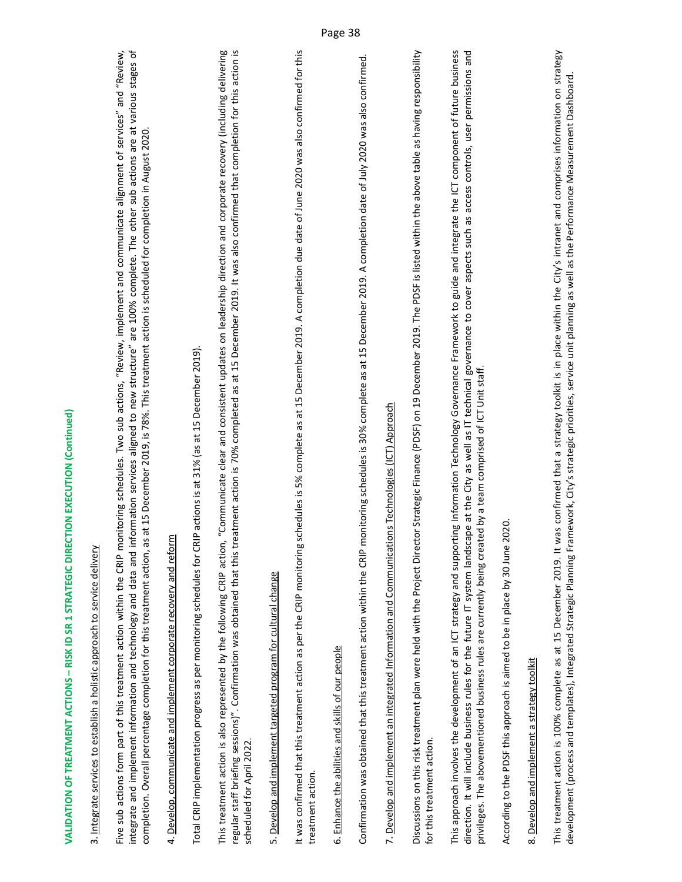### 3. Integrate services to establish a holistic approach to service delivery 3. Integrate services to establish a holistic approach to service delivery

Five sub actions form part of this treatment action within the CRIP monitoring schedules. Two sub actions, "Review, implement and communicate alignment of services" and "Review, integrate and implement information and technology and data and information services aligned to new structure" are 100% complete. The other sub actions are at various stages of Five sub actions form part of this treatment action within the CRIP monitoring schedules. Two sub actions, "Review, implement and communicate alignment of services" and "Review, integrate and implement information and technology and data and information services aligned to new structure" are 100% complete. The other sub actions are at various stages of completion. Overall percentage completion for this treatment action, as at 15 December 2019, is 78%. This treatment action is scheduled for completion in August 2020. completion. Overall percentage completion for this treatment action, as at 15 December 2019, is 78%. This treatment action is scheduled for completion in August 2020.

### 4. Develop, communicate and implement corporate recovery and reform 4. Develop, communicate and implement corporate recovery and reform

Total CRIP implementation progress as per monitoring schedules for CRIP actions is at 31% (as at 15 December 2019). Total CRIP implementation progress as per monitoring schedules for CRIP actions is at 31% (as at 15 December 2019). This treatment action is also represented by the following CRIP action, "Communicate clear and consistent updates on leadership direction and corporate recovery (including delivering<br>regular staff briefing sessions)". Conf This treatment action is also represented by the following CRIP action, "Communicate clear and consistent updates on leadership direction and corporate recovery (including delivering regular staff briefing sessions)". Confirmation was obtained that this treatment action is 70% completed as at 15 December 2019. It was also confirmed that completion for this action is scheduled for April 2022. scheduled for April 2022.

### 5. Develop and implement targeted program for cultural change 5. Develop and implement targeted program for cultural change

It was confirmed that this treatment action as per the CRIP monitoring schedules is 5% complete as at 15 December 2019. A completion due date of June 2020 was also confirmed for this It was confirmed that this treatment action as per the CRIP monitoring schedules is 5% complete as at 15 December 2019. A completion due date of June 2020 was also confirmed for this treatment action. treatment action

### 6. Enhance the abilities and skills of our people 6. Enhance the abilities and skills of our people

Confirmation was obtained that this treatment action within the CRIP monitoring schedules is 30% complete as at 15 December 2019. A completion date of July 2020 was also confirmed. Confirmation was obtained that this treatment action within the CRIP monitoring schedules is 30% complete as at 15 December 2019. A completion date of July 2020 was also confirmed.

# 7. Develop and implement an integrated Information and Communications Technologies (ICT) Approach 7. Develop and implement an integrated Information and Communications Technologies (ICT) Approach

Discussions on this risk treatment plan were held with the Project Director Strategic Finance (PDSF) on 19 December 2019. The PDSF is listed within the above table as having responsibility Discussions on this risk treatment plan were held with the Project Director Strategic Finance (PDSF) on 19 December 2019. The PDSF is listed within the above table as having responsibility for this treatment action. for this treatment action.

This approach involves the development of an ICT strategy and supporting Information Technology Governance Framework to guide and integrate the ICT component of future business direction. It will include business rules for the future IT system landscape at the City as well as IT technical governance to cover aspects such as access controls, user permissions and This approach involves the development of an ICT strategy and supporting Information Technology Governance Framework to guide and integrate the ICT component of future business direction. It will include business rules for the future IT system landscape at the City as well as IT technical governance to cover aspects such as access controls, user permissions and privileges. The abovementioned business rules are currently being created by a team comprised of ICT Unit staff. privileges. The abovementioned business rules are currently being created by a team comprised of ICT Unit staff.

According to the PDSF this approach is aimed to be in place by 30 June 2020. According to the PDSF this approach is aimed to be in place by 30 June 2020.

### 8. Develop and implement a strategy toolkit 8. Develop and implement a strategy toolkit

This treatment action is 100% complete as at 15 December 2019. It was confirmed that a strategy toolkit is in place within the City's intranet and comprises information on strategy This treatment action is 100% complete as at 15 December 2019. It was confirmed that a strategy toolkit is in place within the City's intranet and comprises information on strategy development (process and templates), Integrated Strategic Planning Framework, City's strategic priorities, service unit planning as well as the Performance Measurement Dashboard. development (process and templates), Integrated Strategic Planning Framework, City's strategic priorities, service unit planning as well as the Performance Measurement Dashboard.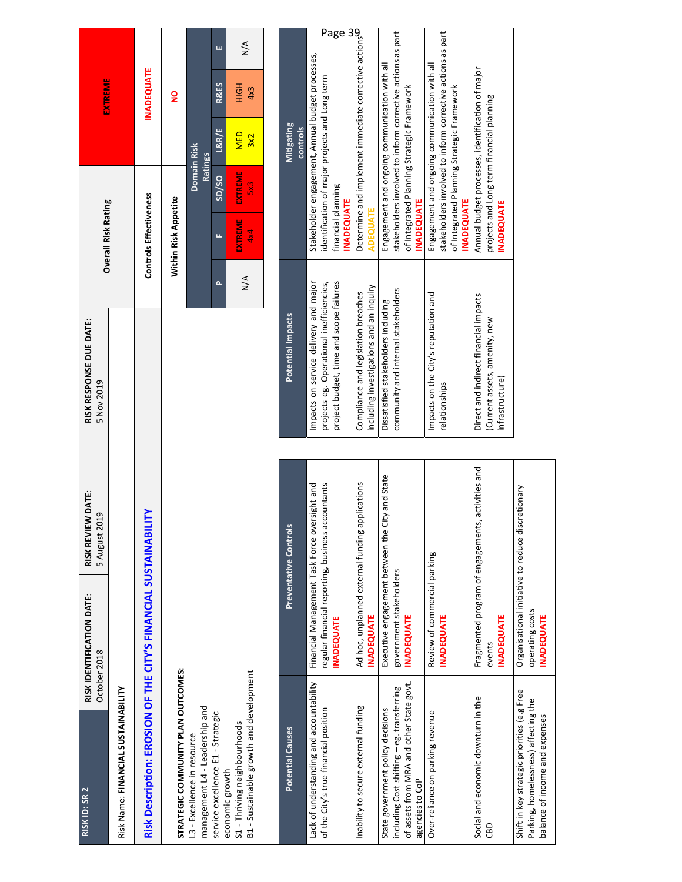| RISK ID: SR 2                                                                                                                                  | RISK IDENTIFICATION DATE:<br>October 2018                        | RISK REVIEW DATE:<br>5 August 2019                                                                 | RISK RESPONSE DUE DATE:<br>5 Nov 2019                                                                                        |                      | <b>Overall Risk Rating</b>              |                               |                                                                                               | <b>EXTREME</b>                                                                                              |                      |
|------------------------------------------------------------------------------------------------------------------------------------------------|------------------------------------------------------------------|----------------------------------------------------------------------------------------------------|------------------------------------------------------------------------------------------------------------------------------|----------------------|-----------------------------------------|-------------------------------|-----------------------------------------------------------------------------------------------|-------------------------------------------------------------------------------------------------------------|----------------------|
| Risk Name: FINANCIAL SUSTAINABILITY                                                                                                            |                                                                  |                                                                                                    |                                                                                                                              |                      |                                         |                               |                                                                                               |                                                                                                             |                      |
|                                                                                                                                                | Risk Description: EROSION OF THE CITY'S FINANCIAL SUSTAINABILITY |                                                                                                    |                                                                                                                              |                      | Controls Effectiveness                  |                               |                                                                                               | <b>INADEQUATE</b>                                                                                           |                      |
| STRATEGIC COMMUNITY PLAN OUTCOMES:                                                                                                             |                                                                  |                                                                                                    |                                                                                                                              |                      | Within Risk Appetite                    |                               |                                                                                               | $\frac{1}{2}$                                                                                               |                      |
| management L4 - Leadership and<br>L3 - Excellence in resource                                                                                  |                                                                  |                                                                                                    |                                                                                                                              |                      |                                         | Domain Risk<br><b>Ratings</b> |                                                                                               |                                                                                                             |                      |
| service excellence E1 - Strategic                                                                                                              |                                                                  |                                                                                                    |                                                                                                                              | $\sim$               | щ                                       | S <sub>D</sub> /SO            | L&R/E                                                                                         | <b>R&amp;ES</b>                                                                                             | ш                    |
| B1 - Sustainable growth and development<br>S1 - Thriving neighbourhoods<br>economic growth                                                     |                                                                  |                                                                                                    |                                                                                                                              | $\frac{4}{\sqrt{2}}$ | <b>EXTREME</b><br>4x4                   | EXTREME<br>$\frac{2}{3}$      | <b>MED</b><br>3x2                                                                             | HIGH<br>4x3                                                                                                 | $\frac{4}{\sqrt{2}}$ |
|                                                                                                                                                |                                                                  |                                                                                                    |                                                                                                                              |                      |                                         |                               |                                                                                               |                                                                                                             |                      |
| <b>Potential Causes</b>                                                                                                                        |                                                                  | Preventative Controls                                                                              | Potential Impacts                                                                                                            |                      |                                         |                               | Mitigating<br>controls                                                                        |                                                                                                             |                      |
| Lack of understanding and accountability<br>of the City's true financial position                                                              | <b>INADEQUATE</b>                                                | Financial Management Task Force oversight and<br>regular financial reporting, business accountants | Impacts on service delivery and major<br>project budget, time and scope failures<br>projects eg. Operational inefficiencies, |                      | financial planning<br><b>INADEQUATE</b> |                               | identification of major projects and Long term                                                | Stakeholder engagement, Annual budget processes,                                                            | Page                 |
| Inability to secure external funding                                                                                                           | Ad hoc, unplanned external funding a<br><b>INADEQUATE</b>        | pplications                                                                                        | including investigations and an inquiry<br>Compliance and legislation breaches                                               |                      | <b>ADEQUATE</b>                         |                               |                                                                                               | <u>טט</u><br>Determine and implement immediate corrective actions<br>מחבריו ימדי                            |                      |
| of assets from MRA and other State govt.<br>including Cost shifting - eg. transferring<br>State government policy decisions<br>agencies to CoP | government stakeholders<br><b>INADEQUATE</b>                     | Executive engagement between the City and State                                                    | community and internal stakeholders<br>Dissatisfied stakeholders including                                                   |                      | <b>INADEQUATE</b>                       |                               | Engagement and ongoing communication with all<br>of Integrated Planning Strategic Framework   | stakeholders involved to inform corrective actions as part                                                  |                      |
| Over-reliance on parking revenue                                                                                                               | Review of commercial parking<br><b>INADEQUATE</b>                |                                                                                                    | Impacts on the City's reputation and<br>relationships                                                                        |                      | <b>INADEQUATE</b>                       |                               | of Integrated Planning Strategic Framework                                                    | stakeholders involved to inform corrective actions as part<br>Engagement and ongoing communication with all |                      |
| Social and economic downturn in the<br>CBD                                                                                                     | <b>INADEQUATE</b><br>events                                      | Fragmented program of engagements, activities and                                                  | Direct and indirect financial impacts<br>(Current assets, amenity, new<br>infrastructure)                                    |                      | <b>INADEQUATE</b>                       |                               | Annual budget processes, identification of major<br>projects and Long term financial planning |                                                                                                             |                      |
| Shift in key strategic priorities (e.g Free<br>Parking, homelessness) affecting the<br>balance of income and expenses                          | operating costs<br><b>INADEQUATE</b>                             | Organisational initiative to reduce discretionary                                                  |                                                                                                                              |                      |                                         |                               |                                                                                               |                                                                                                             |                      |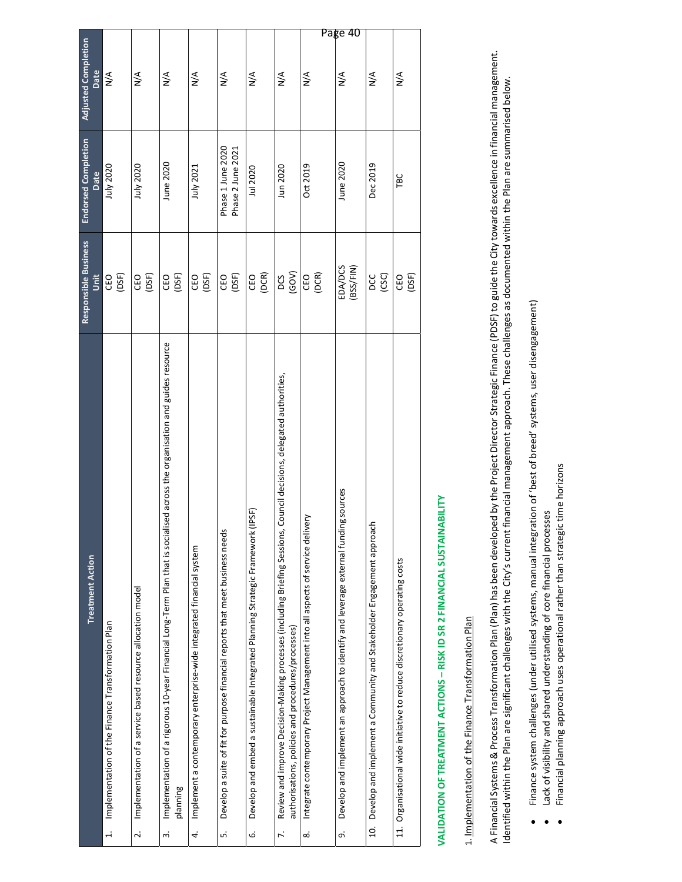|                                    |                                                             |                                                                             |                                                                                                                                                    |                                                                            |                                                                                      |                                                                                         |                                                                                                                                                                                                |                                                                                      | Page 40                                                                                              |                                                                                         |                                                                            |
|------------------------------------|-------------------------------------------------------------|-----------------------------------------------------------------------------|----------------------------------------------------------------------------------------------------------------------------------------------------|----------------------------------------------------------------------------|--------------------------------------------------------------------------------------|-----------------------------------------------------------------------------------------|------------------------------------------------------------------------------------------------------------------------------------------------------------------------------------------------|--------------------------------------------------------------------------------------|------------------------------------------------------------------------------------------------------|-----------------------------------------------------------------------------------------|----------------------------------------------------------------------------|
| Adjusted Completion<br>Date        | $\frac{4}{\sqrt{2}}$                                        | $\frac{4}{2}$                                                               | $\frac{4}{2}$                                                                                                                                      | $\frac{4}{2}$                                                              | $\frac{4}{2}$                                                                        | $\frac{4}{2}$                                                                           | $\frac{4}{2}$                                                                                                                                                                                  | $\frac{4}{2}$                                                                        | $\frac{4}{2}$                                                                                        | $\frac{4}{5}$                                                                           | $\frac{4}{2}$                                                              |
| <b>Endorsed Completion</b><br>Date | July 2020                                                   | July 2020                                                                   | June 2020                                                                                                                                          | July 2021                                                                  | Phase 1 June 2020<br>Phase 2 June 2021                                               | Jul 2020                                                                                | Jun 2020                                                                                                                                                                                       | Oct 2019                                                                             | June 2020                                                                                            | Dec 2019                                                                                | TBC                                                                        |
| Responsible Business<br>š          | CEO<br>(DSF)                                                | CEO<br>(DSF)                                                                | (DSF)<br>CEO                                                                                                                                       | (DSF)<br>CEO                                                               | (DSF)<br>CEO                                                                         | (DCR)<br>CEO                                                                            | (GOV)<br>DCS                                                                                                                                                                                   | CEO<br>(DCR)                                                                         | <b>EDA/DCS</b><br>(BSS/FIN)                                                                          | pcc<br>(CSC)                                                                            | (DSF)<br>CEO                                                               |
| <b>Treatment Action</b>            | Implementation of the Finance Transformation Plan<br>$\div$ | Implementation of a service based resource allocation model<br>$\dot{\sim}$ | sed across the organisation and guides resource<br>Implementation of a rigorous 10-year Financial Long-Term Plan that is sociali<br>planning<br>က် | Implement a contemporary enterprise-wide integrated financial system<br>4. | Develop a suite of fit for purpose financial reports that meet business needs<br>LÓ. | IPSF)<br>Develop and embed a sustainable Integrated Planning Strategic Framework (<br>Ġ | Council decisions, delegated authorities,<br>Review and improve Decision-Making processes (including Briefing Sessions,<br>authorisations, policies and procedures/processes)<br>$\ddot{\sim}$ | Integrate contemporary Project Management into all aspects of service delivery<br>ထံ | <b>Igsources</b><br>Develop and implement an approach to identify and leverage external fundin<br>o, | Develop and implement a Community and Stakeholder Engagement approacl<br>$\overline{a}$ | 11. Organisational wide initiative to reduce discretionary operating costs |

## **VALIDATION OF TREATMENT ACTIONS – RISK ID SR 2 FINANCIAL SUSTAINABILITY**  VALIDATION OF TREATMENT ACTIONS - RISK ID SR 2 FINANCIAL SUSTAINABILITY

### 1. Implementation of the Finance Transformation Plan 1. Implementation of the Finance Transformation Plan

A Financial Systems & Process Transformation Plan (Plan) has been developed by the Project Director Strategic Finance (PDSF) to guide the City towards excellence in financial management. A Financial Systems & Process Transformation Plan (Plan) has been developed by the Project Director Strategic Finance (PDSF) to guide the City towards excellence in financial management.<br>Identified within the Plan are sign Identified within the Plan are significant challenges with the City's current financial management approach. These challenges as documented within the Plan are summarised below.

- Finance system challenges (under utilised systems, manual integration of 'best of breed' systems, user disengagement) Finance system challenges (under utilised systems, manual integration of 'best of breed' systems, user disengagement)  $\bullet$ 
	- Lack of visibility and shared understanding of core financial processes Lack of visibility and shared understanding of core financial processes  $\bullet$
- Financial planning approach uses operational rather than strategic time horizons Financial planning approach uses operational rather than strategic time horizons  $\bullet$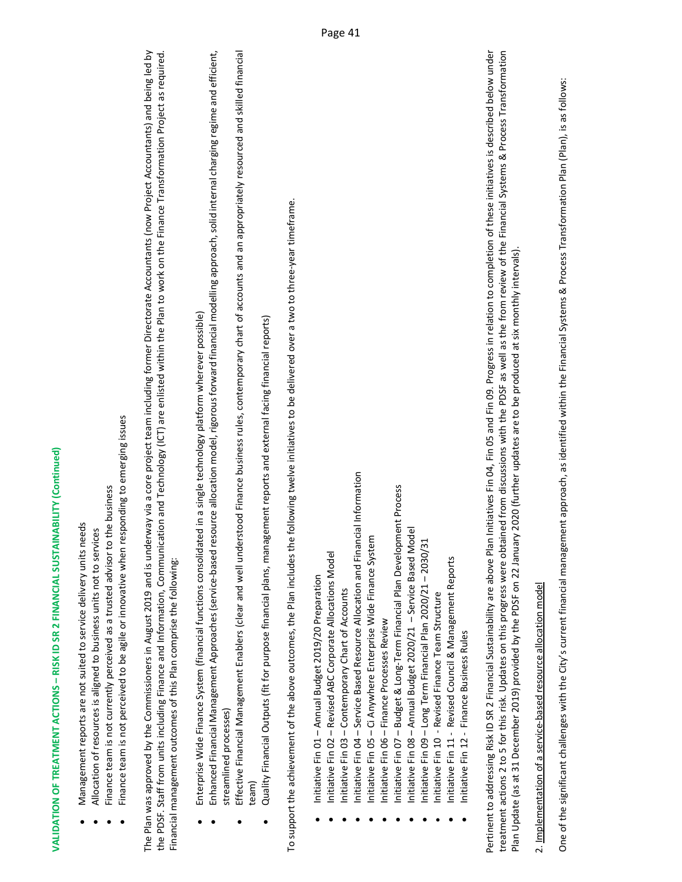- Management reports are not suited to service delivery units needs Management reports are not suited to service delivery units needs .
- Allocation of resources is aligned to business units not to services Allocation of resources is aligned to business units not to services .
- Finance team is not currently perceived as a trusted advisor to the business Finance team is not currently perceived as a trusted advisor to the business .
- Finance team is not perceived to be agile or innovative when responding to emerging issues Finance team is not perceived to be agile or innovative when responding to emerging issues .

The Plan was approved by the Commissioners in August 2019 and is underway via a core project team including former Directorate Accountants (now Project Accountants) and being led by the PDSF. Staff from units including Finance and Information, Communication and Technology (ICT) are enlisted within the Plan to work on the Finance Transformation Project as required. The Plan was approved by the Commissioners in August 2019 and is underway via a core project team including former Directorate Accountants (now Project Accountants) and being led by the PDSF. Staff from units including Finance and Information, Communication and Technology (ICT) are enlisted within the Plan to work on the Finance Transformation Project as required. Financial management outcomes of this Plan comprise the following: Financial management outcomes of this Plan comprise the following:

- Enterprise Wide Finance System (financial functions consolidated in a single technology platform wherever possible) Enterprise Wide Finance System (financial functions consolidated in a single technology platform wherever possible) .
- Enhanced Financial Management Approaches (service‐based resource allocation model, rigorous forward financial modelling approach, solid internal charging regime and efficient, Enhanced Financial Management Approaches (service-based resource allocation model, rigorous forward financial modelling approach, solid internal charging regime and efficient, streamlined processes) streamlined processes .
	- $\bullet$  Effective Financial Management Enablers (clear and well understood Finance business rules, contemporary chart of accounts and an appriately resourced and skilled financial Effective Financial Management Enablers (clear and well understood Finance business rules, contemporary chart of accounts and an appropriately resourced and skilled financial team) .
- Quality Financial Outputs (fit for purpose financial plans, management reports and external facing financial reports) Quality Financial Outputs (fit for purpose financial plans, management reports and external facing financial reports) e

To support the achievement of the above outcomes, the Plan includes the following twelve initiatives to be delivered over a two to three‐year timeframe. To support the achievement of the above outcomes, the Plan includes the following twelve initiatives to be delivered over a two to three-year timeframe.

- $\bullet$  Initiative Fin 01 Annual Budget 2019/20 Preparation nitiative Fin 01 - Annual Budget 2019/20 Preparation .
- Initiative Fin 02 Revised ABC Corporate Allocations Model Initiative Fin 02 - Revised ABC Corporate Allocations Model .
	- Initiative Fin 03 Contemporary Chart of Accounts Initiative Fin 03 – Contemporary Chart of Accounts .
- Initiative Fin 04 Service Based Resource Allocation and Financial Information Initiative Fin 04 - Service Based Resource Allocation and Financial Information .
	- Initiative Fin 05 Ci Anywhere Enterprise Wide Finance System Initiative Fin 05 - Ci Anywhere Enterprise Wide Finance System .
		- Initiative Fin 06 Finance Processes Review Initiative Fin 06 – Finance Processes Review .
- Initiative Fin 07 Budget & Long-Term Financial Plan Development Process Initiative Fin 07 – Budget & Long‐Term Financial Plan Development Process .
	- Initiative Fin 08 Annual Budget 2020/21 Service Based Model Initiative Fin 08 - Annual Budget 2020/21 - Service Based Model .
		- Initiative Fin 09 Long Term Financial Plan 2020/21 2030/31 Initiative Fin 09 - Long Term Financial Plan 2020/21 - 2030/31 .
			- Initiative Fin 10 ‐ Revised Finance Team Structure Initiative Fin 10 - Revised Finance Team Structure .
- Initiative Fin 11 Revised Council & Management Reports Initiative Fin 11 - Revised Council & Management Reports .
- Initiative Fin 12 Finance Business Rules nitiative Fin 12 - Finance Business Rules .

Pertinent to addressing Risk ID SR 2 Financial Sustainability are above Plan Initiatives Fin 04, Fin 05 and Fin 09. Progress in relation to completion of these initiatives is described below under Pertinent to addressing Risk ID SR 2 Financial Sustainability are above Plan Initiatives Fin 04, Fin 05 and Fin 09. Progress in relation to completion of these initiatives is described below under treatment actions 2 to 5 for this risk. Updates on this progress were obtained from discussions with the PDSF as well as the from review of the Financial Systems & Process Transformation treatment actions 2 to 5 for this risk. Updates on this progress were obtained from discussions with the PDSF as well as the from review of the Financial Systems & Process Transformation Plan Update (as at 31 December 2019) provided by the PDSF on 22 January 2020 (further updates are to be produced at six monthly intervals). Plan Update (as at 31 December 2019) provided by the PDSF on 22 January 2020 (further updates are to be produced at six monthly intervals).

### 2. Implementation of a service‐based resource allocation model 2. Implementation of a service-based resource allocation model

One of the significant challenges with the City's current financial management approach, as identified within the Financial Systems & Process Transformation Plan (Plan), is as follows: One of the significant challenges with the City's current financial management approach, as identified within the Financial Systems & Process Transformation Plan (Plan), is as follows: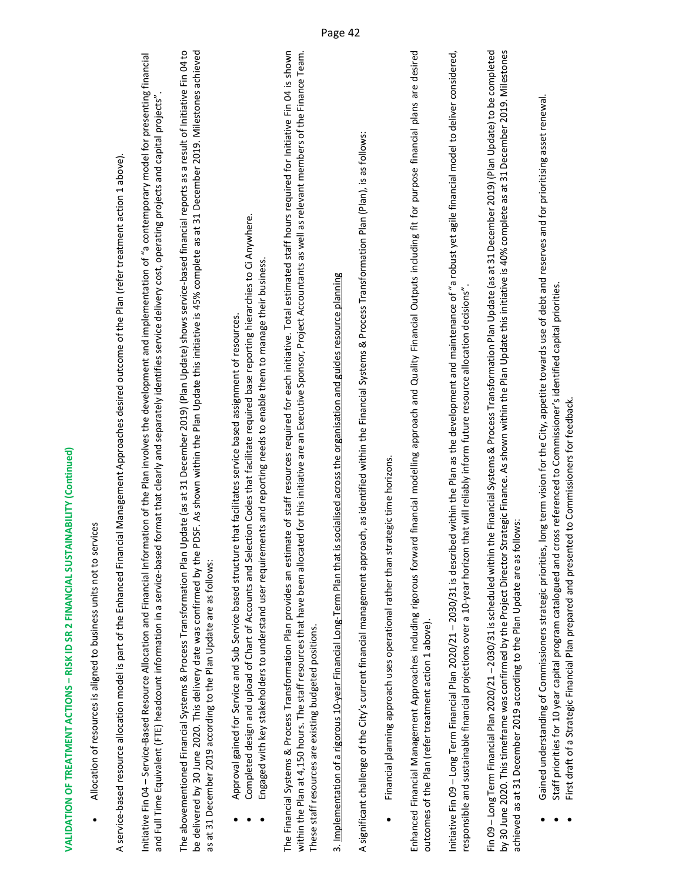Allocation of resources is aligned to business units not to services Allocation of resources is aligned to business units not to services .

A service-based resource allocation model is part of the Enhanced Financial Management Approaches desired outcome of the Plan (refer treatment action 1 above). A service‐based resource allocation model is part of the Enhanced Financial Management Approaches desired outcome of the Plan (refer treatment action 1 above).

Initiative Fin 04 – Service‐Based Resource Allocation and Financial Information of the Plan involves the development and implementation of "a contemporary model for presenting financial nitiative Fin 04 – Service-Based Resource Allocation and Financial Information of the Plan involves the development and implementation of "a contemporary model for presenting financial and Full Time Equivalent (FTE) headcount information in a service‐based format that clearly and separately identifies service delivery cost, operating projects and capital projects". and Full Time Equivalent (FTE) headcount information in a service-based format that clearly and separately identifies service delivery cost, operating projects and capital projects"

The abovementioned Financial Systems & Process Transformation Plan Update (as at 31 December 2019) (Plan Update) shows service‐based financial reports as a result of Initiative Fin 04 to be delivered by 30 June 2020. This delivery date was confirmed by the PDSF. As shown within the Plan Update this initiative is 45% complete as at 31 December 2019. Milestones achieved The abovementioned Financial Systems & Process Transformation Plan Update (as at 31 December 2019) (Plan Update) shows service-based financial reports as a result of Initiative Fin 04 to be delivered by 30 June 2020. This delivery date was confirmed by the PDSF. As shown within the Plan Update this initiative is 45% complete as at 31 December 2019. Milestones achieved as at 31 December 2019 according to the Plan Update are as follows: as at 31 December 2019 according to the Plan Update are as follows:

- Approval gained for Service and Sub Service based structure that facilitates service based assignment of resources. Approval gained for Service and Sub Service based structure that facilitates service based assignment of resources. .
- Completed design and upload of Chart of Accounts and Selection Codes that facilitate required base reporting hierarchies to Ci Anywhere. Completed design and upload of Chart of Accounts and Selection Codes that facilitate required base reporting hierarchies to Ci Anywhere. .
- Engaged with key stakeholders to understand user requirements and reporting needs to enable them to manage their business. Engaged with key stakeholders to understand user requirements and reporting needs to enable them to manage their business. .

within the Plan at 4,150 hours. The staff resources that have been allocated for this initiative are an Executive Sponsor, Project Accountants as well as relevant members of the Finance Team. The Financial Systems & Process Transformation Plan provides an estimate of staff resources required for each initiative. Total estimated staff hours required for Initiative Fin 04 is shown within the Plan at 4,150 hours. The staff resources that have been allocated for this initiative are an Executive Sponsor, Project Accountants as well as relevant members of the Finance Team. The Financial Systems & Process Transformation Plan provides an estimate of staff resources required for each initiative. Total estimated staff hours required for Initiative Fin 04 is shown These staff resources are existing budgeted positions. These staff resources are existing budgeted positions.

3. Implementation of a rigorous 10‐year Financial Long‐Term Plan that is socialised across the organisation and guides resource planning 3. Implementation of a rigorous 10-year Financial Long-Term Plan that is socialised across the organisation and guides resource planning

A significant challenge of the City's current financial management approach, as identified within the Financial Systems & Process Transformation Plan (Plan), is as follows: A significant challenge of the City's current financial management approach, as identified within the Financial Systems & Process Transformation Plan (Plan), is as follows:

 Financial planning approach uses operational rather than strategic time horizons. Financial planning approach uses operational rather than strategic time horizons. .

Enhanced Financial Management Approaches including rigorous forward financial modelling approach and Quality Financial Outputs including fit for purpose financial plans are desired Enhanced Financial Management Approaches including rigorous forward financial modelling approach and Quality Financial Outputs including fit for purpose financial plans are desired outcomes of the Plan (refer treatment action 1 above). outcomes of the Plan (refer treatment action 1 above).

Initiative Fin 09 – Long Term Financial Plan 2020/21 – 2030/31 is described within the Plan as the development and maintenance of "a robust yet agile financial model to deliver considered, nitiative Fin 09 – Long Term Financial Plan 2020/21 – 2030/31 is described within the Plan as the development and maintenance of "a robust yet agile financial model to deliver considered, responsible and sustainable financial projections over a 10‐year horizon that will reliably inform future resource allocation decisions". responsible and sustainable financial projections over a 10-year horizon that will reliably inform future resource allocation decisions".

Fin 09 – Long Term Financial Plan 2020/21 – 2030/31 is scheduled within the Financial Systems & Process Transformation Plan Update (as at 31 December 2019) (Plan Update) to be completed by 30 June 2020. This timeframe was confirmed by the Project Director Strategic Finance. As shown within the Plan Update this initiative is 40% complete as at 31 December 2019. Milestones Fin 09 – Long Term Financial Plan 2020/21 – 2030/31 is scheduled within the Financial Systems & Process Transformation Plan Update (as at 31 December 2019) (Plan Update) to be completed by 30 June 2020. This timeframe was confirmed by the Project Director Strategic Finance. As shown within the Plan Update this initiative is 40% complete as at 31 December 2019. Milestones achieved as at 31 December 2019 according to the Plan Update are as follows: achieved as at 31 December 2019 according to the Plan Update are as follows:

- Gained understanding of Commissioners strategic priorities, long term vision for the City, appetite towards use of debt and reserves and for prioritising asset renewal. Gained understanding of Commissioners strategic priorities, long term vision for the City, appetite towards use of debt and reserves and for prioritising asset renewal .
- Staff priorities for 10 year capital program catalogued and cross referenced to Commissioner's identified capital priorities. Staff priorities for 10 year capital program catalogued and cross referenced to Commissioner's identified capital priorities. .
	- First draft of a Strategic Financial Plan prepared and presented to Commissioners for feedback. First draft of a Strategic Financial Plan prepared and presented to Commissioners for feedback .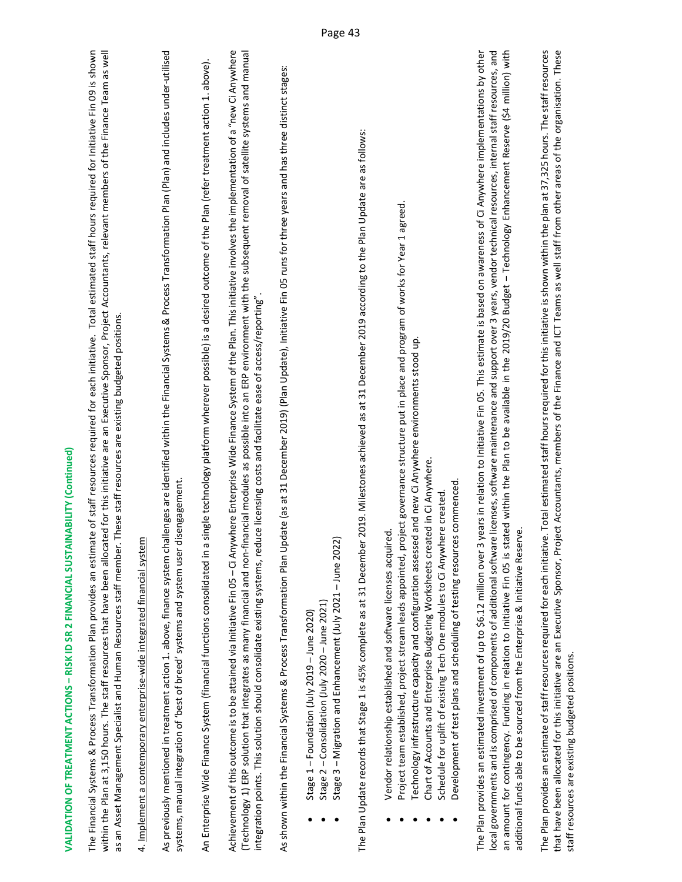| <br> -<br> -<br> <br>                                                                                                                                                                                                                |
|--------------------------------------------------------------------------------------------------------------------------------------------------------------------------------------------------------------------------------------|
|                                                                                                                                                                                                                                      |
|                                                                                                                                                                                                                                      |
|                                                                                                                                                                                                                                      |
|                                                                                                                                                                                                                                      |
|                                                                                                                                                                                                                                      |
|                                                                                                                                                                                                                                      |
| .<br>.<br>.<br>.<br>.<br>.<br>.<br>.                                                                                                                                                                                                 |
|                                                                                                                                                                                                                                      |
|                                                                                                                                                                                                                                      |
|                                                                                                                                                                                                                                      |
|                                                                                                                                                                                                                                      |
|                                                                                                                                                                                                                                      |
|                                                                                                                                                                                                                                      |
|                                                                                                                                                                                                                                      |
|                                                                                                                                                                                                                                      |
|                                                                                                                                                                                                                                      |
|                                                                                                                                                                                                                                      |
|                                                                                                                                                                                                                                      |
|                                                                                                                                                                                                                                      |
|                                                                                                                                                                                                                                      |
|                                                                                                                                                                                                                                      |
|                                                                                                                                                                                                                                      |
|                                                                                                                                                                                                                                      |
|                                                                                                                                                                                                                                      |
|                                                                                                                                                                                                                                      |
|                                                                                                                                                                                                                                      |
|                                                                                                                                                                                                                                      |
| l                                                                                                                                                                                                                                    |
|                                                                                                                                                                                                                                      |
|                                                                                                                                                                                                                                      |
|                                                                                                                                                                                                                                      |
|                                                                                                                                                                                                                                      |
|                                                                                                                                                                                                                                      |
|                                                                                                                                                                                                                                      |
|                                                                                                                                                                                                                                      |
|                                                                                                                                                                                                                                      |
|                                                                                                                                                                                                                                      |
|                                                                                                                                                                                                                                      |
|                                                                                                                                                                                                                                      |
|                                                                                                                                                                                                                                      |
|                                                                                                                                                                                                                                      |
|                                                                                                                                                                                                                                      |
|                                                                                                                                                                                                                                      |
|                                                                                                                                                                                                                                      |
|                                                                                                                                                                                                                                      |
| <b>The same of the contract of the Second Second Second Second Second Second Second Second Second Second Second Second Second Second Second Second Second Second Second Second Second Second Second Second Second Second Second </b> |
|                                                                                                                                                                                                                                      |
|                                                                                                                                                                                                                                      |
|                                                                                                                                                                                                                                      |
|                                                                                                                                                                                                                                      |
|                                                                                                                                                                                                                                      |
|                                                                                                                                                                                                                                      |
|                                                                                                                                                                                                                                      |
|                                                                                                                                                                                                                                      |
|                                                                                                                                                                                                                                      |
|                                                                                                                                                                                                                                      |
|                                                                                                                                                                                                                                      |
|                                                                                                                                                                                                                                      |
|                                                                                                                                                                                                                                      |
|                                                                                                                                                                                                                                      |
|                                                                                                                                                                                                                                      |
|                                                                                                                                                                                                                                      |
|                                                                                                                                                                                                                                      |
| i<br>i                                                                                                                                                                                                                               |
|                                                                                                                                                                                                                                      |
|                                                                                                                                                                                                                                      |
|                                                                                                                                                                                                                                      |
|                                                                                                                                                                                                                                      |
| į                                                                                                                                                                                                                                    |
|                                                                                                                                                                                                                                      |
|                                                                                                                                                                                                                                      |
|                                                                                                                                                                                                                                      |

The Financial Systems & Process Transformation Plan provides an estimate of staff resources required for each initiative. Total estimated staff hours required for Initiative Fin 09 is shown within the Plan at 3,150 hours. The staff resources that have been allocated for this initiative are an Executive Sponsor, Project Accountants, relevant members of the Finance Team as well The Financial Systems & Process Transformation Plan provides an estimate of staff resources required for each initiative. Total estimated staff hours required for Initiative Fin 09 is shown within the Plan at 3,150 hours. The staff resources that have been allocated for this initiative are an Executive Sponsor, Project Accountants, relevant members of the Finance Team as well as an Asset Management Specialist and Human Resources staff member. These staff resources are existing budgeted positions. as an Asset Management Specialist and Human Resources staff member. These staff resources are existing budgeted positions.

## 4. Implement a contemporary enterprise‐wide integrated financial system 4. Implement a contemporary enterprise-wide integrated financial system

As previously mentioned in treatment action 1. above, finance system challenges are identified within the Financial Systems & Process Transformation Plan (Plan) and includes under-utilised As previously mentioned in treatment action 1. above, finance system challenges are identified within the Financial Systems & Process Transformation Plan (Plan) and includes under‐utilised systems, manual integration of 'best of breed' systems and system user disengagement. systems, manual integration of 'best of breed' systems and system user disengagement.

An Enterprise Wide Finance System (financial functions consolidated in a single technology platform wherever possible) is a desired outcome of the Plan (refer treatment action 1. above). An Enterprise Wide Finance System (financial functions consolidated in a single technology platform wherever possible) is a desired outcome of the Plan (refer treatment action 1. above).

Achievement of this outcome is to be attained via Initiative Fin 05 – Ci Anywhere Enterprise Wide Finance System of the Plan. This initiative involves the implementation of a "new Ci Anywhere (Technology 1) ERP solution that integrates as many financial and non‐financial modules as possible into an ERP environment with the subsequent removal of satellite systems and manual Achievement of this outcome is to be attained via Initiative Fin 05 – Ci Anywhere Enterprise Wide Finance System of the Plan. This initiative involves the implementation of a "new Ci Anywhere (Technology 1) ERP solution that integrates as many financial and non-financial modules as possible into an ERP environment with the subsequent removal of satellite systems and manual integration points. This solution should consolidate existing systems, reduce licensing costs and facilitate ease of access/reporting". integration points. This solution should consolidate existing systems, reduce licensing costs and facilitate ease of access/reporting".

As shown within the Financial Systems & Process Transformation Plan Update (as at 31 December 2019) (Plan Update), Initiative Fin 05 runs for three years and has three distinct stages: As shown within the Financial Systems & Process Transformation Plan Update (as at 31 December 2019) (Plan Update), Initiative Fin 05 runs for three years and has three distinct stages:

- $\bullet$  Stage  $1 -$  Foundation (July 2019 June 2020) Stage 1 - Foundation (July 2019 - June 2020) .
- Stage 2 Consolidation (July 2020 June 2021) Stage 2 - Consolidation (July 2020 - June 2021) .
- Stage 3 Migration and Enhancement (July 2021 June 2022) Stage 3 - Migration and Enhancement (July 2021 - June 2022) .

The Plan Update records that Stage 1 is 45% complete as at 31 December 2019. Milestones achieved as at 31 December 2019 according to the Plan Update are as follows: The Plan Update records that Stage 1 is 45% complete as at 31 December 2019. Milestones achieved as at 31 December 2019 according to the Plan Update are as follows:

- Vendor relationship established and software licenses acquired. Vendor relationship established and software licenses acquired. .
- Project team established, project stream leads appointed, project governance structure put in place and program of works for Year 1 agreed. Project team established, project stream leads appointed, project governance structure put in place and program of works for Year 1 agreed. .
- Technology infrastructure capacity and configuration assessed and new Ci Anywhere environments stood up. Technology infrastructure capacity and configuration assessed and new Ci Anywhere environments stood up. .
	- Chart of Accounts and Enterprise Budgeting Worksheets created in Ci Anywhere. Chart of Accounts and Enterprise Budgeting Worksheets created in Ci Anywhere. .
		- Schedule for uplift of existing Tech One modules to Ci Anywhere created. .
			- Schedule for uplift of existing Tech One modules to Ci Anywhere created.
- Development of test plans and scheduling of testing resources commenced. Development of test plans and scheduling of testing resources commenced. .

The Plan provides an estimated investment of up to \$6.12 million over 3 years in relation to Initiative Fin 05. This estimate is based on awareness of Ci Anywhere implementations by other local governments and is comprised of components of additional software licenses, software maintenance and support over 3 years, vendor technical resources, internal staff resources, and<br>an amount for contingency. Funding local governments and is comprised of components of additional software licenses, software maintenance and support over 3 years, vendor technical resources, internal staff resources, and an amount for contingency. Funding in relation to Initiative Fin O5 is stated within the Plan to be available in the 2019/20 Budget – Technology Enhancement Reserve (\$4 million) with The Plan provides an estimated investment of up to \$6.12 million over 3 years in relation to Initiative Fin 05. This estimate is based on awareness of Ci Anywhere implementations by other additional funds able to be sourced from the Enterprise & Initiative Reserve. additional funds able to be sourced from the Enterprise & Initiative Reserve.

The Plan provides an estimate of staff resources required for each initiative. Total estimated staff hours required for this initiative is shown within the plan at 37,325 hours. The staff resources that have been allocated for this initiative are an Executive Sponsor, Project Accountants, members of the Finance and ICT Teams as well staff from other areas of the organisation. These The Plan provides an estimate of staff resources required for each initiative. Total estimated staff hours required for this initiative is shown within the plan at 37,325 hours. The staff resources that have been allocated for this initiative are an Executive Sponsor, Project Accountants, members of the Finance and ICT Teams as well staff from other areas of the organisation. These staff resources are existing budgeted positions. staff resources are existing budgeted positions.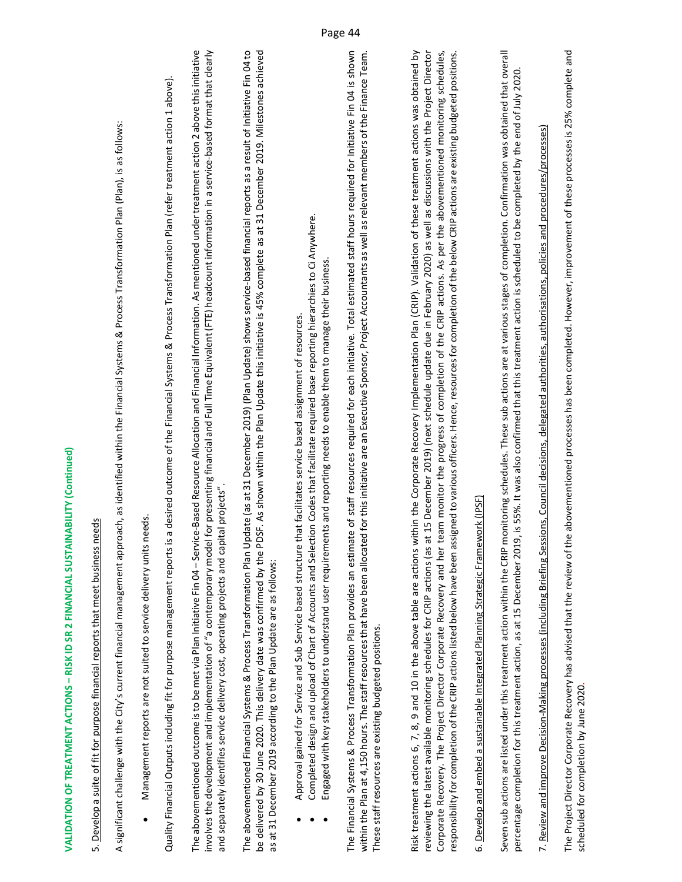## 5. Develop a suite of fit for purpose financial reports that meet business needs 5. Develop a suite of fit for purpose financial reports that meet business needs

A significant challenge with the City's current financial management approach, as identified within the Financial Systems & Process Transformation Plan (Plan), is as follows: A significant challenge with the City's current financial management approach, as identified within the Financial Systems & Process Transformation Plan (Plan), is as follows:

 Management reports are not suited to service delivery units needs. Management reports are not suited to service delivery units needs. .

Quality Financial Outputs including fit for purpose management reports is a desired outcome of the Financial Systems & Process Transformation Plan (refer treatment action 1 above). Quality Financial Outputs including fit for purpose management reports is a desired outcome of the Financial Systems & Process Transformation Plan (refer treatment action 1 above). The abovementioned outcome is to be met via Plan Initiative Fin 04 – Service-Based Resource Allocation and Financial Information. As mentioned under treatment action 2 above this initiative nvolves the development and implementation of "a contemporary model for presenting financial and Full Time Equivalent (FTE) headcount information in a service-based format that clearly involves the development and implementation of "a contemporary model for presenting financial and Full Time Equivalent (FTE) headcount information in a service‐based format that clearly The abovementioned outcome is to be met via Plan Initiative Fin 04 – Service‐Based Resource Allocation and Financial Information. As mentioned under treatment action 2 above this initiative and separately identifies service delivery cost, operating projects and capital projects". and separately identifies service delivery cost, operating projects and capital projects".

The abovementioned Financial Systems & Process Transformation Plan Update (as at 31 December 2019) (Plan Update) shows service‐based financial reports as a result of Initiative Fin 04 to be delivered by 30 June 2020. This delivery date was confirmed by the PDSF. As shown within the Plan Update this initiative is 45% complete as at 31 December 2019. Milestones achieved The abovementioned Financial Systems & Process Transformation Plan Update (as at 31 December 2019) (Plan Update) shows service-based financial reports as a result of Initiative Fin 04 to be delivered by 30 June 2020. This delivery date was confirmed by the PDSF. As shown within the Plan Update this initiative is 45% complete as at 31 December 2019. Milestones achieved as at 31 December 2019 according to the Plan Update are as follows: as at 31 December 2019 according to the Plan Update are as follows:

- Approval gained for Service and Sub Service based structure that facilitates service based assignment of resources. Approval gained for Service and Sub Service based structure that facilitates service based assignment of resources. .
- Completed design and upload of Chart of Accounts and Selection Codes that facilitate required base reporting hierarchies to Ci Anywhere. Completed design and upload of Chart of Accounts and Selection Codes that facilitate required base reporting hierarchies to Ci Anywhere. .
- Engaged with key stakeholders to understand user requirements and reporting needs to enable them to manage their business. Engaged with key stakeholders to understand user requirements and reporting needs to enable them to manage their business .

within the Plan at 4,150 hours. The staff resources that have been allocated for this initiative are an Executive Sponsor, Project Accountants as well as relevant members of the Finance Team. The Financial Systems & Process Transformation Plan provides an estimate of staff resources required for each initiative. Total estimated staff hours required for Initiative Fin 04 is shown within the Plan at 4,150 hours. The staff resources that have been allocated for this initiative are an Executive Sponsor, Project Accountants as well as relevant members of the Finance Team. The Financial Systems & Process Transformation Plan provides an estimate of staff resources required for each initiative. Total estimated staff hours required for Initiative Fin 04 is shown These staff resources are existing budgeted positions. These staff resources are existing budgeted positions.

Risk treatment actions 6, 7, 8, 9 and 10 in the above table are actions within the Corporate Recovery Implementation Plan (CRIP). Validation of these treatment actions was obtained by reviewing the latest available monitoring schedules for CRIP actions (as at 15 December 2019) (next schedule update due in February 2020) as well as discussions with the Project Director Corporate Recovery. The Project Director Corporate Recovery and her team monitor the progress of completion of the CRIP actions. As per the abovementioned monitoring schedules, responsibility for completion of the CRIP actions listed below have been assigned to various officers. Hence, resources for completion of the below CRIP actions are existing budgeted positions. Risk treatment actions 6, 7, 8, 9 and 10 in the above table are actions within the Corporate Recovery Implementation Plan (CRIP). Validation of these treatment actions was obtained by reviewing the latest available monitoring schedules for CRIP actions (as at 15 December 2019) (next schedule update due in February 2020) as well as discussions with the Project Director Corporate Recovery. The Project Director Corporate Recovery and her team monitor the progress of completion of the CRIP actions. As per the abovementioned monitoring schedules, responsibility for completion of the CRIP actions listed below have been assigned to various officers. Hence, resources for completion of the below CRIP actions are existing budgeted positions.

## 6. Develop and embed a sustainable Integrated Planning Strategic Framework (IPSF) 6. Develop and embed a sustainable Integrated Planning Strategic Framework (IPSF)

Seven sub actions are listed under this treatment action within the CRIP monitoring schedules. These sub actions are at various stages of completion. Confirmation was obtained that overall Seven sub actions are listed under this treatment action within the CRIP monitoring schedules. These sub actions stages of completion. Confirmation was obtained that overall percentage completion for this treatment action, as at 15 December 2019, is 55%. It was also confirmed that this treatment action is scheduled to be completed by the end of July 2020. percentage completion for this treatment action, as at 15 December 2019, is 55%. It was also confirmed that this treatment action is scheduled to be completed by the end of July 2020.

7. Review and improve Decision‐Making processes (including Briefing Sessions, Council decisions, delegated authorities, authorisations, policies and procedures/processes) 7. Review and improve Decision-Making processes (including Briefing Sessions, Council decisions, delegated authorities, authorisations, policies and procedures/processes)

The Project Director Corporate Recovery has advised that the review of the abovementioned processes has been completed. However, improvement of these processes is 25% complete and The Project Director Corporate Recovery has advised that the review of the abovementioned processes has been completed. However, improvement of these processes is 25% complete and scheduled for completion by June 2020. scheduled for completion by June 2020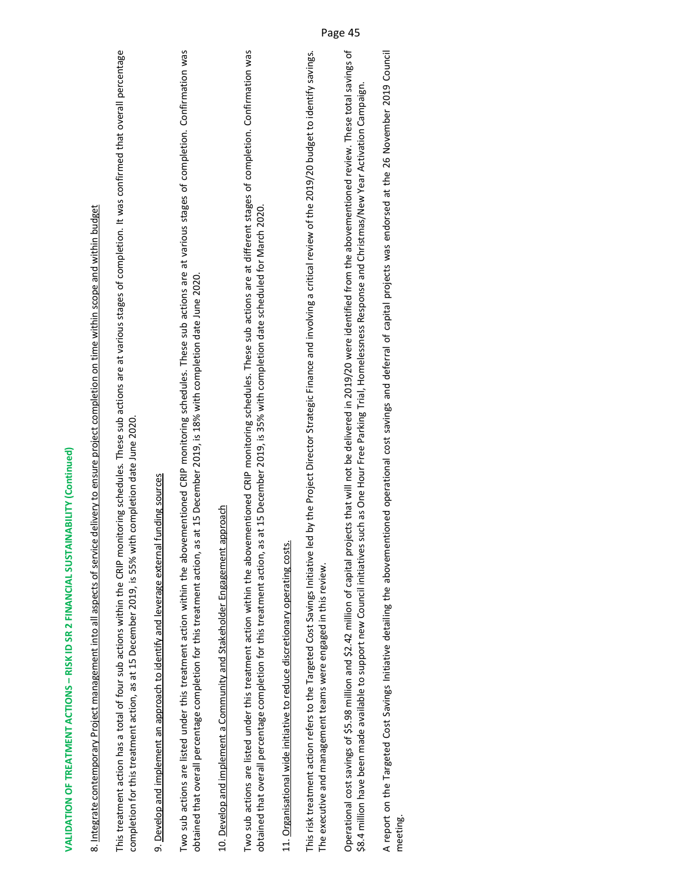| VALIDATION OF TREATMENT ACTIONS - RISK ID SR 2 FINANCIAL SUSTAINABILITY (Continued)                                                                                                                                                                                                                                                                                                   |
|---------------------------------------------------------------------------------------------------------------------------------------------------------------------------------------------------------------------------------------------------------------------------------------------------------------------------------------------------------------------------------------|
| ce delivery to ensure project completion on time within scope and within budget<br>8. Integrate contemporary Project management into all aspects of servic                                                                                                                                                                                                                            |
| This treatment action has a total of four sub actions within the CRIP monitoring schedules. These sub actions are at various stages of completion. It was confirmed that overall percentage<br>completion for this treatment action, as at 15 December 2019, is 55% with completion date June 2020.                                                                                   |
| 9. Develop and implement an approach to identify and leverage external funding sources                                                                                                                                                                                                                                                                                                |
| Two sub actions are listed under this treatment action within the abovementioned CRIP monitoring schedules. These sub actions are at various stages of completion. Confirmation was<br>obtained that overall percentage completion for this treatment action, as at 15 December 2019, is 18% with completion date June 2020.                                                          |
| approach<br>10. Develop and implement a Community and Stakeholder Engagement                                                                                                                                                                                                                                                                                                          |
| ementioned CRIP monitoring schedules. These sub actions are at different stages of completion. Confirmation was<br>obtained that overall percentage completion for this treatment action, as at 15 December 2019, is 35% with completion date scheduled for March 2020.<br>Two sub actions are listed under this treatment action within the abov                                     |
| 11. Organisational wide initiative to reduce discretionary operating costs.                                                                                                                                                                                                                                                                                                           |
| led by the Project Director Strategic Finance and involving a critical review of the 2019/20 budget to identify savings.<br>This risk treatment action refers to the Targeted Cost Savings Initiative<br>The executive and management teams were engaged in this review.                                                                                                              |
| Operational cost savings of \$5.98 million and \$2.42 million of capital projects that will not be delivered in 2019/20 were identified from the abovementioned review. These total savings of<br>such as One Hour Free Parking Trial, Homelessness Response and Christmas/New Year Activation Campaign.<br>\$8.4 million have been made available to support new Council initiatives |
|                                                                                                                                                                                                                                                                                                                                                                                       |

A report on the Targeted Cost Savings Initiative detailing the abovementioned operational cost savings and deferral of capital projects was endorsed at the 26 November 2019 Council A report on the Targeted Cost Savings Initiative detailing the abovementioned operational cost savings and deferral of capital projects was endorsed at the 26 November 2019 Council<br>meeting.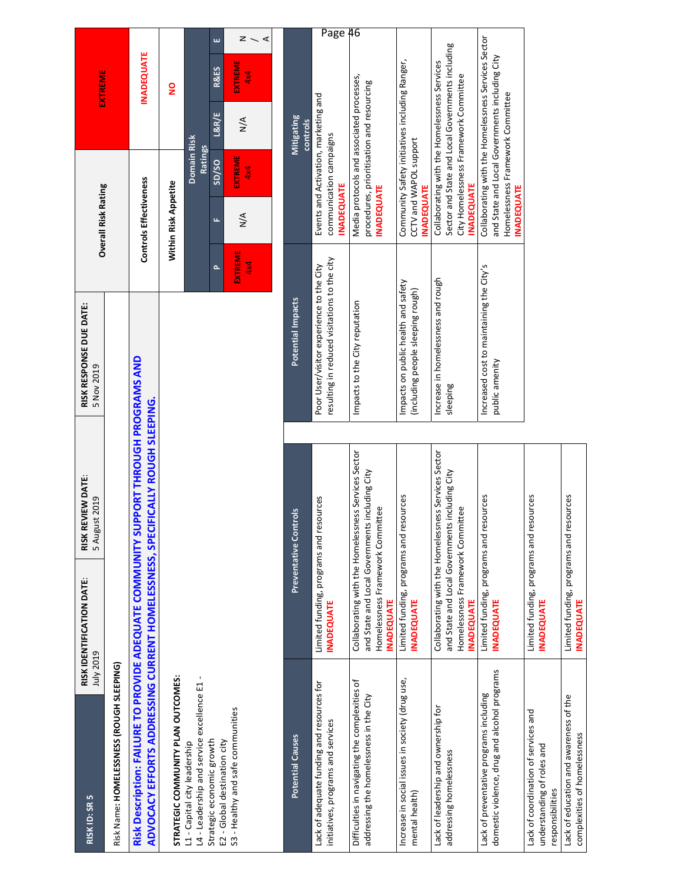| m<br>RISK ID: SR                                                                                                                             | RISK IDENTIFICATION DATE<br>July 2019                        | RISK REVIEW DATE<br>5 August 2019                                                                     | RISK RESPONSE DUE DATE:<br>5 Nov 2019                                                    |                       | <b>Overall Risk Rating</b> |                                                                                        |                        | EXTREME                                             |         |
|----------------------------------------------------------------------------------------------------------------------------------------------|--------------------------------------------------------------|-------------------------------------------------------------------------------------------------------|------------------------------------------------------------------------------------------|-----------------------|----------------------------|----------------------------------------------------------------------------------------|------------------------|-----------------------------------------------------|---------|
| Risk Name: HOMELESSNESS (ROUGH SLEEPING)                                                                                                     |                                                              |                                                                                                       |                                                                                          |                       |                            |                                                                                        |                        |                                                     |         |
| ADVOCACY EFFORTS ADDRESSING CURRENT HOMELESSNESS, SPECIFICALLY ROUGH SLEEPING.<br>Risk Description: FAILURE TO PROVIDE ADEQUATE COMMUNITY SU |                                                              | <b>PPORT THROUGH PROGRAMS AND</b>                                                                     |                                                                                          |                       | Controls Effectiveness     |                                                                                        |                        | <b>INADEQUATE</b>                                   |         |
| STRATEGIC COMMUNITY PLAN OUTCOMES:                                                                                                           |                                                              |                                                                                                       |                                                                                          |                       | Within Risk Appetite       |                                                                                        |                        | g                                                   |         |
| L4 - Leadership and service excellence E1<br>L1 - Capital city leadership                                                                    |                                                              |                                                                                                       |                                                                                          |                       |                            | Domain Risk<br>Ratings                                                                 |                        |                                                     |         |
| Strategic economic growth<br>E2 - Global destination city                                                                                    |                                                              |                                                                                                       |                                                                                          | $\sim$                | щ                          | SD/SO                                                                                  | L&R/E                  | ш<br><b>R&amp;ES</b>                                |         |
| S3 - Healthy and safe communities                                                                                                            |                                                              |                                                                                                       |                                                                                          | <b>EXTREME</b><br>4x4 | $\frac{4}{2}$              | EXTREME<br>4x4                                                                         | $\sum_{i=1}^{n}$       | $z \sim$<br>⋖<br>EXTREME<br>4x4                     |         |
| <b>Potential Causes</b>                                                                                                                      |                                                              | Preventative Controls                                                                                 | Potential Impacts                                                                        |                       |                            |                                                                                        | Mitigating<br>controls |                                                     |         |
| Lack of adequate funding and resources for<br>initiatives, programs and services                                                             | Limited funding, programs and resources<br><b>INADEQUATE</b> |                                                                                                       | resulting in reduced visitations to the city<br>Poor User/visitor experience to the City |                       | <b>INADEQUATE</b>          | Events and Activation, marketing and<br>communication campaigns                        |                        |                                                     | Page 46 |
| Difficulties in navigating the complexities of<br>addressing the homelessness in the City                                                    | Homelessness Framework Committee<br><b>INADEQUATE</b>        | Collaborating with the Homelessness Services Sector<br>and State and Local Governments including City | Impacts to the City reputation                                                           |                       | <b>NADEQUATE</b>           | Media protocols and associated processes,<br>procedures, prioritisation and resourcing |                        |                                                     |         |
| Increase in social issues in society (drug use,<br>mental health)                                                                            | Limited funding, programs and resources<br><b>INADEQUATE</b> |                                                                                                       | Impacts on public health and safety<br>(including people sleeping rough)                 |                       | <b>INADEQUATE</b>          | Community Safety initiatives including Ranger,<br>CCTV and WAPOL support               |                        |                                                     |         |
| Lack of leadership and ownership for<br>addressing homelessness                                                                              | Homelessness Framework Committee<br><b>INADEQUATE</b>        | Collaborating with the Homelessness Services Sector<br>and State and Local Governments including City | Increase in homelessness and rough<br>sleeping                                           |                       | <b>INADEQUATE</b>          | Collaborating with the Homelessness Services<br>City Homelessness Framework Committee  |                        | Sector and State and Local Governments including    |         |
| domestic violence, drug and alcohol programs<br>Lack of preventative programs including                                                      | Limited funding, programs and resources<br><b>INADEQUATE</b> |                                                                                                       | Increased cost to maintaining the City's<br>public amenity                               |                       | <b>INADEQUATE</b>          | and State and Local Governments including City<br>Homelessness Framework Committee     |                        | Collaborating with the Homelessness Services Sector |         |
| Lack of coordination of services and<br>understanding of roles and<br>responsibilities                                                       | Limited funding, programs and resources<br><b>INADEQUATE</b> |                                                                                                       |                                                                                          |                       |                            |                                                                                        |                        |                                                     |         |
| Lack of education and awareness of the<br>complexities of homelessness                                                                       | Limited funding, programs and resources<br><b>INADEQUATE</b> |                                                                                                       |                                                                                          |                       |                            |                                                                                        |                        |                                                     |         |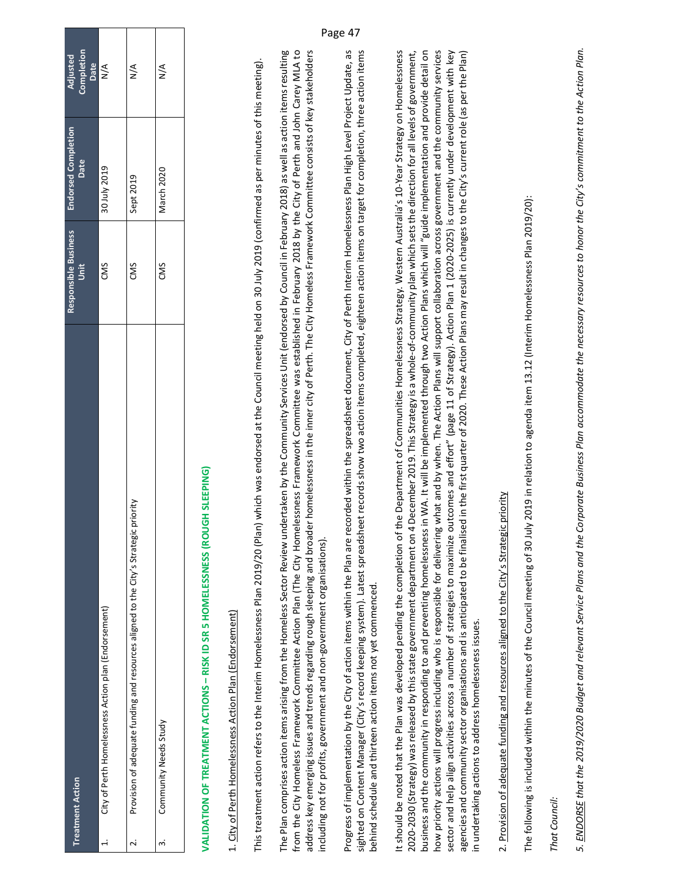| <b>Treatment Action</b>                                                              | Responsible Business<br>Unit | <b>Endorsed Completion</b><br>Date | Completion<br>Date<br>N/A<br>Adjusted |
|--------------------------------------------------------------------------------------|------------------------------|------------------------------------|---------------------------------------|
| City of Perth Homelessness Action plan (Endorsement)                                 | CMS                          | <b>6T0Z AInt OE</b>                |                                       |
| Provision of adequate funding and resources aligned to the City's Strategic priority | CMS                          | Sept 2019                          | ≶<br>≥                                |
| Community Needs Study                                                                | CMS                          | March 2020                         | $\frac{4}{2}$                         |

# **VALIDATION OF TREATMENT ACTIONS – RISK ID SR 5 HOMELESSNESS (ROUGH SLEEPING)**  VALIDATION OF TREATMENT ACTIONS - RISK ID SR 5 HOMELESSNESS (ROUGH SLEEPING)

### 1. City of Perth Homelessness Action Plan (Endorsement) 1. City of Perth Homelessness Action Plan (Endorsement)

This treatment action refers to the Interim Homelessness Plan 2019/20 (Plan) which was endorsed at the Council meeting held on 30 July 2019 (confirmed as per minutes of this meeting). This treatment action refers to the Interim Homelessness Plan 2019/20 (Plan) which was endorsed at the Council meeting held on 30 July 2019 (confirmed as per minutes of this meeting).

The Plan comprises action items arising from the Homeless Sector Review undertaken by the Community Services Unit (endorsed by Council in February 2018) as well as action items resulting from the City Homeless Framework Committee Action Plan (The City Homelessness Framework Committee was established in February 2018 by the City of Perth and John Carey MLA to address key emerging issues and trends regarding rough sleeping and broader homelessness in the inner city of Perth. The City Homeless Framework Committee consists of key stakeholders The Plan comprises action items arising from the Homeless Sector Review undertaken by the Community Services Unit (endorsed by Council in February 2018) as well as action items resulting from the City Homeless Framework Committee Action Plan (The City Homelessness Framework Committee was established in February 2018 by the City of Perth and John Carey MLA to address key emerging issues and trends regarding rough sleeping and broader homelessness in the inner city of Perth. The City Homeless Framework Committee consists of key stakeholders including not for profits, government and non‐government organisations). including not for profits, government and non-government organisations).

Progress of implementation by the City of action items within the Plan are recorded within the spreadsheet document, City of Perth Interim Homelessness Plan High Level Project Update, as Progress of implementation by the City of action items within the Plan are recorded within the spreadsheet document, City of Perth Interim Homelessness Plan High Level Project Update, as sighted on Content Manager (City's record keeping system). Latest spreadsheet records show two action items completed, eighteen action items on target for completion, three action items sighted on Content Manager (City's record keeping system). Latest spreadsheet records show two action items completed, eighteen action items on target for completion, three action items behind schedule and thirteen action items not yet commenced. behind schedule and thirteen action items not yet commenced.

It should be noted that the Plan was developed pending the completion of the Department of Communities Homelessness Strategy. Western Australia's 10‐Year Strategy on Homelessness 2020‐2030 (Strategy) was released by this state government department on 4 December 2019. This Strategy is a whole‐of‐community plan which sets the direction for all levels of government, business and the community in responding to and preventing homelessness in WA. It will be implemented through two Action Plans which will "guide implementation and provide detail on how priority actions will progress including who is responsible for delivering what and by when. The Action Plans will support collaboration across government and the community services sector and help align activities across a number of strategies to maximize outcomes and effort" (page 11 of Strategy). Action Plan 1 (2020-2025) is currently under development with key agencies and community sector organisations and is anticipated to be finalised in the first quarter of 2020. These Action Plans may result in changes to the City's current role (as per the Plan) It should be noted that the Plan was developed pending the completion of the Department of Communities Homelessness Strategy. Western Australia's 10-Year Strategy on Homelessness 2020-2030 (Strategy) was released by this state government department on 4 December 2019. This Strategy is a whole-of-community plan which sets the direction for all levels of government, business and the community in responding to and preventing homelessness in WA. It will be implemented through two Action Plans which will "guide implementation and provide detail on how priority actions will progress including who is responsible for delivering what and by when. The Action Plans will support collaboration across government and the community services sector and help align activities across a number of strategies to maximize outcomes and effort" (page 11 of Strategy). Action Plan 1 (2020-2025) is currently under development with key agencies and community sector organisations and is anticipated to be finalised in the first quarter of 2020. These Action Plans may result in changes to the City's current role (as per the Plan) in undertaking actions to address homelessness issues. in undertaking actions to address homelessness issues.

## 2. Provision of adequate funding and resources aligned to the City's Strategic priority 2. Provision of adequate funding and resources aligned to the City's Strategic priority

The following is included within the minutes of the Council meeting of 30 July 2019 in relation to agenda item 13.12 (Interim Homelessness Plan 2019/20): The following is included within the minutes of the Council meeting of 30 July 2019 in relation to agenda item 13.12 (Interim Homelessness Plan 2019/20):

*That Council:*  That Council:

*5. ENDORSE that the 2019/2020 Budget and relevant Service Plans and the Corporate Business Plan accommodate the necessary resources to honor the City's commitment to the Action Plan.*  5. ENDORSE that the 2019/2020 Budget and relevant Service Plans and the Corporate Business Plan accommodate the necessary resources to honor the City's commitment to the Action Plan.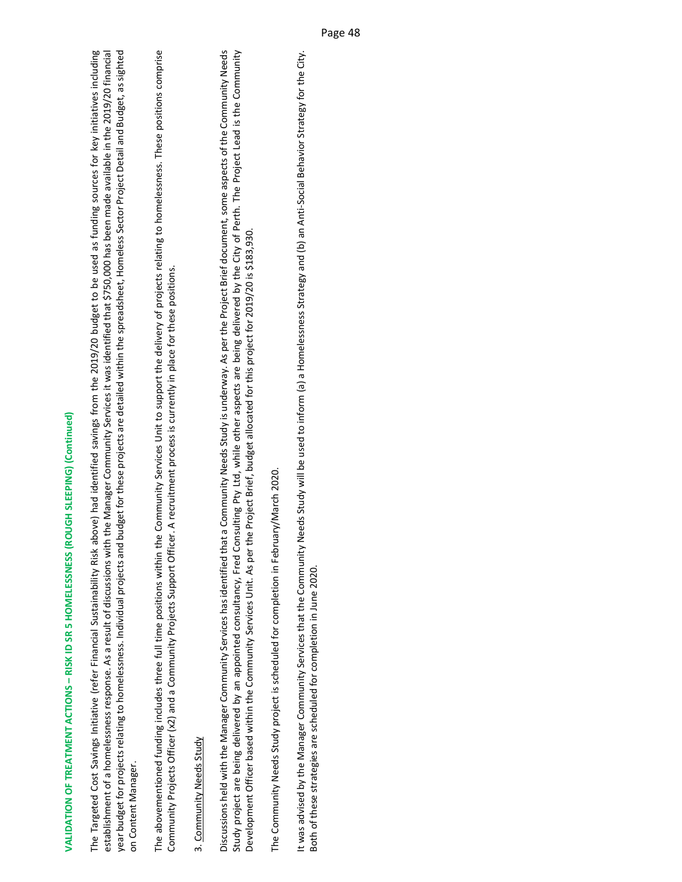establishment of a homelessness response. As a result of discussions with the Manager Community Services it was identified that \$750,000 has been made available in the 2019/20 financial year budget for projects relating to homelessness. Individual projects and budget for these projects are detailed within the spreadsheet, Homeless Sector Project Detail and Budget, as sighted The Targeted Cost Savings Initiative (refer Financial Sustainability Risk above) had identified savings from the 2019/20 budget to be used as funding sources for key initiatives including The Targeted Cost Savings Initiative (refer Financial Sustainability Risk above) had identified savings from the 2019/20 budget to be used as funding sources for key initiatives including establishment of a homelessness response. As a result of discussions with the Manager Community Services it was identified that \$750,000 has been made available in the 2019/20 financial year budget for projects relating to homelessness. Individual projects and budget for these projects are detailed within the spreadsheet, Homeless Sector Project Detail and Budget, as sighted on Content Manager. on Content Manager.

The abovementioned funding includes three full time positions within the Community Services Unit to support the delivery of projects relating to homelessness. These positions comprise The abovementioned funding includes three full time positions within the Community Services Unit to support the delivery of projects relating to homelessness. These positions comprise Community Projects Officer (x2) and a Community Projects Support Officer. A recruitment process is currently in place for these positions. Community Projects Officer (x2) and a Community Projects Support Officer. A recruitment process is currently in place for these positions.

### 3. Community Needs Study 3. Community Needs Study

Discussions held with the Manager Community Services has identified that a Community Needs Study is underway. As per the Project Brief document, some aspects of the Community Needs Study project are being delivered by an appointed consultancy, Fred Consulting Pty Ltd, while other aspects are being delivered by the City of Perth. The Project Lead is the Community Discussions held with the Manager Community Services has identified that a Community Needs Study is underway. As per the Project Brief document, some aspects of the Community Needs Study project are being delivered by an appointed consultancy, Fred Consulting Pty Ltd, while other aspects are being delivered by the City of Perth. The Project Lead is the Community Development Officer based within the Community Services Unit. As per the Project Brief, budget allocated for this project for 2019/20 is \$183,930. Development Officer based within the Community Services Unit. As per the Project Brief, budget allocated for this project for 2019/20 is \$183,930.

The Community Needs Study project is scheduled for completion in February/March 2020. The Community Needs Study project is scheduled for completion in February/March 2020.

It was advised by the Manager Community Services that the Community Needs Study will be used to inform (a) a Homelessness Strategy and (b) an Anti‐Social Behavior Strategy for the City. It was advised by the Manager Community Services that the Community Needs Study will be used to inform (a) a Homelessness Strategy and (b) an Anti-Social Behavior Strategy for the City. Both of these strategies are scheduled for completion in June 2020. Both of these strategies are scheduled for completion in June 2020.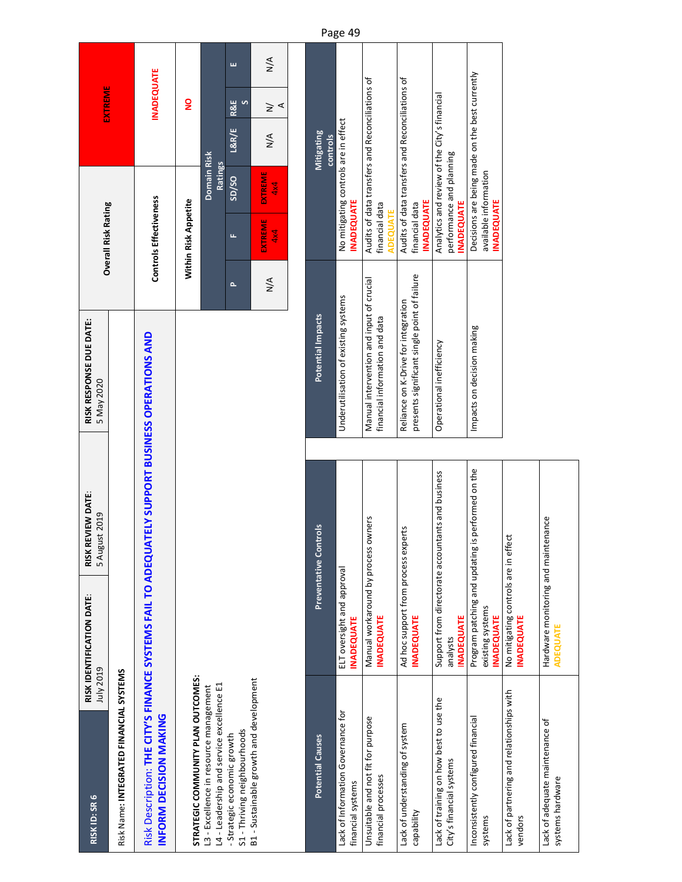| RISK ID: SR 6                                                                                                             | RISK IDENTIFICATION DATE:<br>July 2019                   | RISK REVIEW DATE:<br>5 August 2019                | RISK RESPONSE DUE DATE:<br>5 May 2020                                               |               | <b>Overall Risk Rating</b>                 |                                                                          |                        | EXTREME             |               |
|---------------------------------------------------------------------------------------------------------------------------|----------------------------------------------------------|---------------------------------------------------|-------------------------------------------------------------------------------------|---------------|--------------------------------------------|--------------------------------------------------------------------------|------------------------|---------------------|---------------|
| Risk Name: INTEGRATED FINANCIAL SYSTEMS                                                                                   |                                                          |                                                   |                                                                                     |               |                                            |                                                                          |                        |                     |               |
| Risk Description: THE CITY'S FINANCE SYSTEMS FAIL TO ADEQUATELY SUPPORT BUSINESS OPERATIONS AND<br>INFORM DECISION MAKING |                                                          |                                                   |                                                                                     |               | Controls Effectiveness                     |                                                                          |                        | <b>INADEQUATE</b>   |               |
| STRATEGIC COMMUNITY PLAN OUTCOMES:                                                                                        |                                                          |                                                   |                                                                                     |               | Within Risk Appetite                       |                                                                          |                        | g                   |               |
| L4 - Leadership and service excellence E1<br>L3 - Excellence in resource management                                       |                                                          |                                                   |                                                                                     |               |                                            | Domain Risk<br><b>Ratings</b>                                            |                        |                     |               |
| S1-Thriving neighbourhoods<br>- Strategic economic growth                                                                 |                                                          |                                                   |                                                                                     | $\Delta$      | щ                                          | S <sub>D</sub> /SO                                                       | L&R/E                  | <b>R&amp;E</b><br>S | ш             |
| B1 - Sustainable growth and development                                                                                   |                                                          |                                                   |                                                                                     | $\frac{4}{2}$ | <b>EXTREME</b><br>4x4                      | EXTREME<br>4x4                                                           | $\frac{4}{2}$          | $\geq$<br>⋖         | $\frac{4}{2}$ |
|                                                                                                                           |                                                          |                                                   |                                                                                     |               |                                            |                                                                          |                        |                     |               |
| <b>Potential Causes</b>                                                                                                   |                                                          | Preventative Controls                             | Potential Impacts                                                                   |               |                                            |                                                                          | Mitigating<br>controls |                     |               |
| Lack of Information Governance for<br>financial systems                                                                   | ELT oversight and approval<br><b>INADEQUATE</b>          |                                                   | Underutilisation of existing systems                                                |               | <b>INADEQUATE</b>                          | No mitigating controls are in effect                                     |                        |                     |               |
| Unsuitable and not fit for purpose<br>financial processes                                                                 | Manual workaround by process owners<br><b>INADEQUATE</b> |                                                   | Manual intervention and input of crucial<br>financial information and data          |               | financial data<br><b>ADEQUATE</b>          | Audits of data transfers and Reconciliations of                          |                        |                     |               |
| Lack of understanding of system<br>capability                                                                             | Ad hoc support from process exp<br><b>INADEQUATE</b>     | perts                                             | presents significant single point of failure<br>Reliance on K-Drive for integration |               | <b>INADEQUATE</b><br>financial data        | Audits of data transfers and Reconciliations of                          |                        |                     |               |
| Lack of training on how best to use the<br>City's financial systems                                                       | <b>INADEQUATE</b><br>analysts                            | Support from directorate accountants and business | Operational inefficiency                                                            |               | <b>INADEQUATE</b>                          | Analytics and review of the City's financial<br>performance and planning |                        |                     |               |
| Inconsistently configured financial<br>systems                                                                            | existing systems<br><b>INADEQUATE</b>                    | Program patching and updating is performed on the | Impacts on decision making                                                          |               | available information<br><b>INADEQUATE</b> | Decisions are being made on the best currently                           |                        |                     |               |

No mitigating controls are in effect

**No mitigating controls are in effect**<br>**INADEQUATE** 

**INADEQUATE**

Hardware monitoring and maintenance

Hardware monitoring and maintenance<br>ADEQUATE

**ADEQUATE**

Lack of partnering and relationships with Lack of partnering and relationships with<br>vendors

Lack of adequate maintenance of

Lack of adequate maintenance of<br>systems hardware

systems hardware

Page 49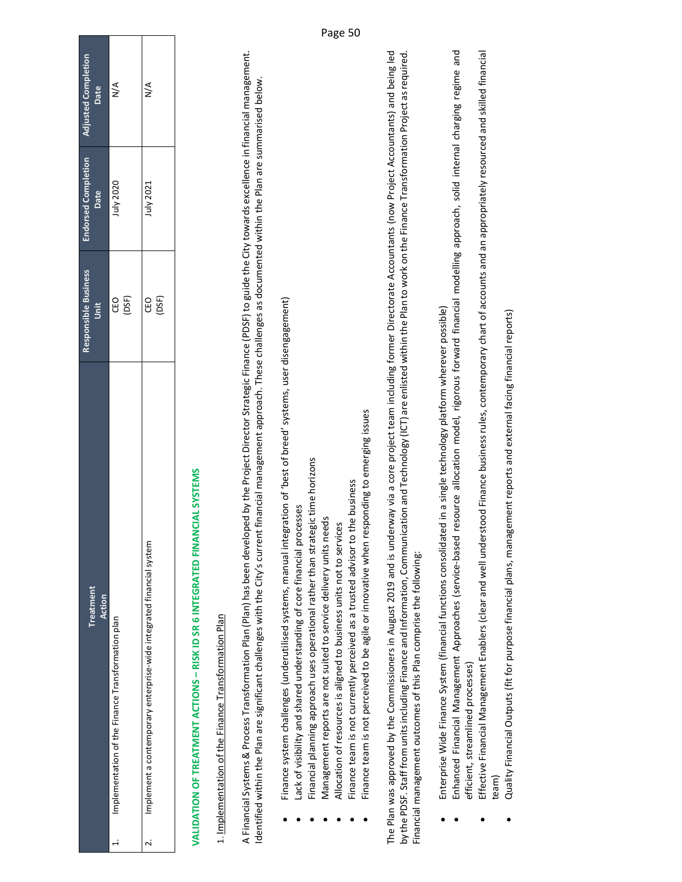| Treatment<br>Action                                                       | Responsible Business<br>Unit | <b>Endorsed Completion</b><br>Date | <b>Adjusted Completion</b><br>Date |
|---------------------------------------------------------------------------|------------------------------|------------------------------------|------------------------------------|
| Implementation of the Finance Transformation plan<br>i                    | CEO<br>(DSF)                 | July 2020                          | $\leq$                             |
| Implement a contemporary enterprise-wide integrated financial system<br>j | (DSF)<br>CEO                 | July 2021                          | $\frac{4}{5}$                      |
|                                                                           |                              |                                    |                                    |

# **VALIDATION OF TREATMENT ACTIONS – RISK ID SR 6 INTEGRATED FINANCIAL SYSTEMS**  VALIDATION OF TREATMENT ACTIONS - RISK ID SR 6 INTEGRATED FINANCIAL SYSTEMS

### 1. Implementation of the Finance Transformation Plan 1. Implementation of the Finance Transformation Plan

A Financial Systems & Process Transformation Plan (Plan) has been developed by the Project Director Strategic Finance (PDSF) to guide the City towards excellence in financial management. A Financial Systems & Process Transformation Plan (Plan) has been developed by the Project Director Strategic Finance (PDSF) to guide the City towards excellence in financial management. Identified within the Plan are significant challenges with the City's current financial management approach. These challenges as documented within the Plan are summarised below. Identified within the Plan are significant challenges with the City's current financial management approach. These challenges as documented within the Plan are summarised below.

- Finance system challenges (underutilised systems, manual integration of 'best of breed' systems, user disengagement) Finance system challenges (underutilised systems, manual integration of 'best of breed' systems, user disengagement) .
- Lack of visibility and shared understanding of core financial processes Lack of visibility and shared understanding of core financial processes .
- Financial planning approach uses operational rather than strategic time horizons Financial planning approach uses operational rather than strategic time horizons .
- Management reports are not suited to service delivery units needs Management reports are not suited to service delivery units needs .
	- Allocation of resources is aligned to business units not to services Allocation of resources is aligned to business units not to services .
- Finance team is not currently perceived as a trusted advisor to the business Finance team is not currently perceived as a trusted advisor to the business .
- Finance team is not perceived to be agile or innovative when responding to emerging issues Finance team is not perceived to be agile or innovative when responding to emerging issues .

The Plan was approved by the Commissioners in August 2019 and is underway via a core project team including former Directorate Accountants (now Project Accountants) and being led by the PDSF. Staff from units including Finance and Information, Communication and Technology (ICT) are enlisted within the Plan to work on the Finance Transformation Project as required. The Plan was approved by the Commissioners in August 2019 and is underway via a core project team including former Directorate Accountants (now Project Accountants) and being led by the PDSF. Staff from units including Finance and Information, Communication and Technology (ICT) are enlisted within the Plan to work on the Finance Transformation Project as required. Financial management outcomes of this Plan comprise the following: Financial management outcomes of this Plan comprise the following:

- Enterprise Wide Finance System (financial functions consolidated in a single technology platform wherever possible) Enterprise Wide Finance System (financial functions consolidated in a single technology platform wherever possible) .
- Enhanced Financial Management Approaches (service‐based resource allocation model, rigorous forward financial modelling approach, solid internal charging regime and Enhanced Financial Management Approaches (service-based resource allocation model, rigorous forward financial modelling approach, solid internal charging regime and efficient, streamlined processes) efficient, streamlined processes) .
- Effective Financial Management Enablers (clear and well understood Finance business rules, contemporary chart of accounts and an appropriately resourced and skilled financial Effective Financial Management Enablers (clear and well understood Finance business rules, contemporary chart of accounts and an appropriately resourced and skilled financial team) .
	- Quality Financial Outputs (fit for purpose financial plans, management reports and external facing financial reports) Quality Financial Outputs (fit for purpose financial plans, management reports and external facing financial reports) .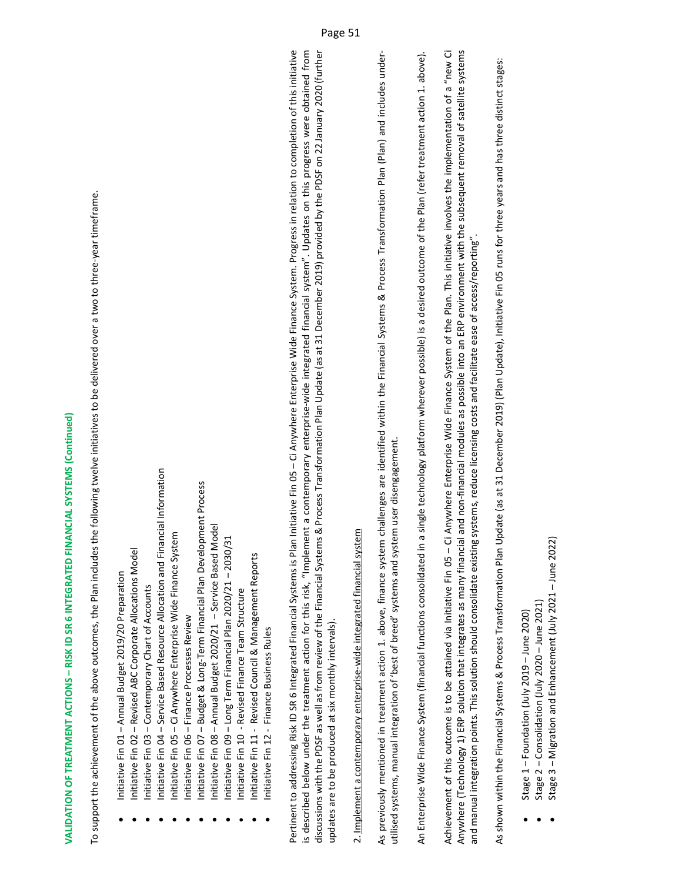# **VALIDATION OF TREATMENT ACTIONS – RISK ID SR 6 INTEGRATED FINANCIAL SYSTEMS (Continued)**  VALIDATION OF TREATMENT ACTIONS – RISK ID SR 6 INTEGRATED FINANCIAL SYSTEMS (Continued)

To support the achievement of the above outcomes, the Plan includes the following twelve initiatives to be delivered over a two to three‐year timeframe. To support the achievement of the above outcomes, the Plan includes the following twelve initiatives to be delivered over a two to three-year timeframe.

- Initiative Fin 01 Annual Budget 2019/20 Preparation Initiative Fin 01 – Annual Budget 2019/20 Preparation .
- Initiative Fin 02 Revised ABC Corporate Allocations Model Initiative Fin 02 - Revised ABC Corporate Allocations Model .
- Initiative Fin 04 Service Based Resource Allocation and Financial Information Initiative Fin 03 - Contemporary Chart of Accounts Initiative Fin 03 – Contemporary Chart of Accounts .
- Initiative Fin 04 Service Based Resource Allocation and Financial Information Initiative Fin 05 – Ci Anywhere Enterprise Wide Finance System Initiative Fin 05 - Ci Anywhere Enterprise Wide Finance System . .
	- Initiative Fin 06 Finance Processes Review Initiative Fin 06 – Finance Processes Review .
- Initiative Fin 07 Budget & Long-Term Financial Plan Development Process Initiative Fin 07 – Budget & Long‐Term Financial Plan Development Process .
	- Initiative Fin 08 Annual Budget 2020/21 Service Based Model Initiative Fin 08 - Annual Budget 2020/21 - Service Based Model .
- Initiative Fin 09 Long Term Financial Plan 2020/21 2030/31 Initiative Fin 09 - Long Term Financial Plan 2020/21 - 2030/31 .
	- Initiative Fin 10 Revised Finance Team Structure Initiative Fin 10 ‐ Revised Finance Team Structure .
- Initiative Fin 11 Revised Council & Management Reports ● Initiative Fin 11 - Revised Council & Management Reports .
- Initiative Fin 12 Finance Business Rules ● Initiative Fin 12 - Finance Business Rules .

Pertinent to addressing Risk ID SR 6 Integrated Financial Systems is Plan Initiative Fin 05 – Ci Anywhere Enterprise Wide Finance System. Progress in relation to completion of this initiative is described below under the treatment action for this risk, "Implement a contemporary enterprise–wide integrated financial system". Updates on this progress were obtained from discussions with the PDSF as well as from review of the Financial Systems & Process Transformation Plan Update (as at 31 December 2019) provided by the PDSF on 22 January 2020 (further Pertinent to addressing Risk ID SR 6 Integrated Financial Systems is Plan Initiative Fin 05 – Ci Anywhere Enterprise Wide Finance System. Progress in relation to completion of this initiative is described below under the treatment action for this risk, "Implement a contemporary enterprise-wide integrated financial system". Updates on this progress were obtained from discussions with the PDSF as well as from review of the Financial Systems & Process Transformation Plan Update (as at 31 December 2019) provided by the PDSF on 22 January 2020 (further updates are to be produced at six monthly intervals). updates are to be produced at six monthly intervals).

## 2. Implement a contemporary enterprise‐wide integrated financial system 2. Implement a contemporary enterprise-wide integrated financial system

As previously mentioned in treatment action 1. above, finance system challenges are identified within the Financial Systems & Process Transformation Plan (Plan) and includes under-As previously mentioned in treatment action 1. above, finance system challenges are identified within the Financial Systems & Process Transformation Plan (Plan) and includes under‐ utilised systems, manual integration of 'best of breed' systems and system user disengagement. utilised systems, manual integration of 'best of breed' systems and system user disengagement.

An Enterprise Wide Finance System (financial functions consolidated in a single technology platform wherever possible) is a desired outcome of the Plan (refer treatment action 1. above). An Enterprise Wide Finance System (financial functions consolidated in a single technology platform wherever possible) is a desired outcome of the Plan (refer treatment action 1. above).

Achievement of this outcome is to be attained via Initiative Fin 05 – Ci Anywhere Enterprise Wide Finance System of the Plan. This initiative involves the implementation of a "new Ci Anywhere (Technology 1) ERP solution that integrates as many financial and non‐financial modules as possible into an ERP environment with the subsequent removal of satellite systems Achievement of this outcome is to be attained via Initiative Fin 05 - Ci Anywhere Enterprise Wide Finance System of the Plan. This initiative involves the implementation of a "new Ci Anywhere (Technology 1) ERP solution that integrates as many financial and non-financial modules as possible into an ERP environment with the subsequent removal of satellite systems and manual integration points. This solution should consolidate existing systems, reduce licensing costs and facilitate ease of access/reporting". and manual integration points. This solution should consolidate existing systems, reduce licensing costs and facilitate ease of access/reporting"

As shown within the Financial Systems & Process Transformation Plan Update (as at 31 December 2019) (Plan Update), Initiative Fin 05 runs for three years and has three distinct stages: As shown within the Financial Systems & Process Transformation Plan Update (as at 31 December 2019) (Plan Update), Initiative Fin 05 runs for three years and has three distinct stages:

- Stage  $1 -$ Foundation (July 2019 June 2020) Stage 1 - Foundation (July 2019 - June 2020) .
- Stage 2 Consolidation (July 2020 June 2021) Stage 2 - Consolidation (July 2020 - June 2021) .
- Stage 3 Migration and Enhancement (July 2021 June 2022) Stage 3 - Migration and Enhancement (July 2021 - June 2022) .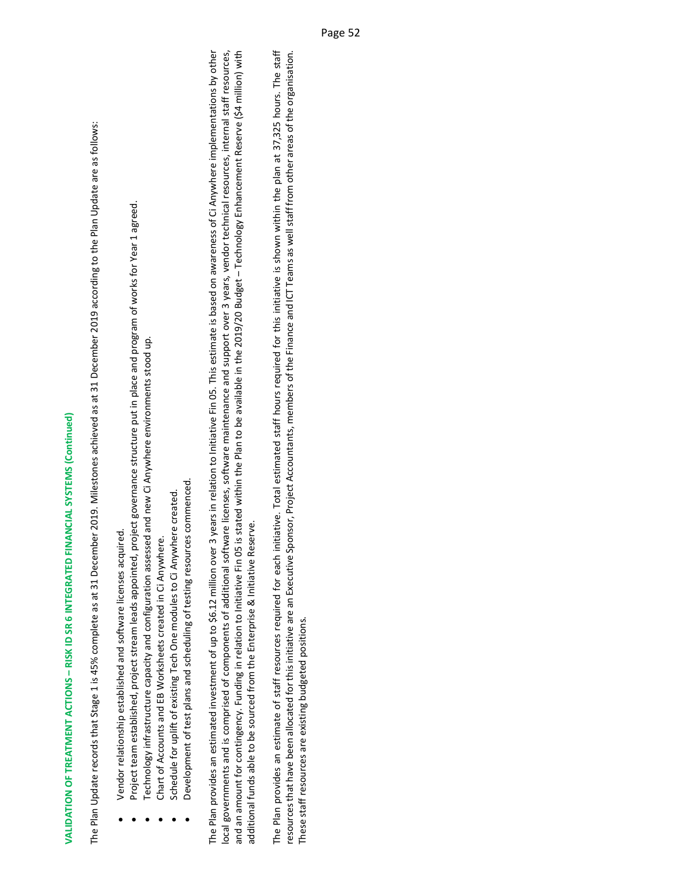# **VALIDATION OF TREATMENT ACTIONS – RISK ID SR 6 INTEGRATED FINANCIAL SYSTEMS (Continued)**  VALIDATION OF TREATMENT ACTIONS – RISK ID SR 6 INTEGRATED FINANCIAL SYSTEMS (Continued)

The Plan Update records that Stage 1 is 45% complete as at 31 December 2019. Milestones achieved as at 31 December 2019 according to the Plan Update are as follows: The Plan Update records that Stage 1 is 45% complete as at 31 December 2019. Milestones achieved as at 31 December 2019 according to the Plan Update are as follows:

Vendor relationship established and software licenses acquired. Vendor relationship established and software licenses acquired. .

.

- Project team established, project stream leads appointed, project governance structure put in place and program of works for Year 1 agreed. Project team established, project stream leads appointed, project governance structure put in place and program of works for Year 1 agreed.
	- Technology infrastructure capacity and configuration assessed and new Ci Anywhere environments stood up. Technology infrastructure capacity and configuration assessed and new Ci Anywhere environments stood up. .
		- Chart of Accounts and EB Worksheets created in Ci Anywhere. Chart of Accounts and EB Worksheets created in Ci Anywhere. .
- Schedule for uplift of existing Tech One modules to Ci Anywhere created. Schedule for uplift of existing Tech One modules to Ci Anywhere created. .
- Development of test plans and scheduling of testing resources commenced. Development of test plans and scheduling of testing resources commenced. .

The Plan provides an estimated investment of up to \$6.12 million over 3 years in relation to Initiative Fin 05. This estimate is based on awareness of Ci Anywhere implementations by other local governments and is comprised of components of additional software licenses, software maintenance and support over 3 years, vendor technical resources, internal staff resources, and an amount for contingency. Funding in relation to Initiative Fin 05 is stated within the Plan to be available in the 2019/20 Budget – Technology Enhancement Reserve (\$4 million) with The Plan provides an estimated investment of up to \$6.12 million over 3 years in relation to Initiative Fin 05. This estimate is based on awareness of Ci Anywhere implementations by other local governments and is comprised of components of additional software licenses, software maintenance and support over 3 years, vendor technical resources, internal staff resources, and an amount for contingency. Funding in relation to Initiative Fin O5 is stated within the Plan to be available in the 2019/20 Budget - Technology Enhancement Reserve (\$4 million) with additional funds able to be sourced from the Enterprise & Initiative Reserve. additional funds able to be sourced from the Enterprise & Initiative Reserve.

resources that have been allocated for this initiative are an Executive Sponsor, Project Accountants, members of the Finance and ICT Teams as well staff from other areas of the organisation. The Plan provides an estimate of staff resources required for each initiative. Total estimated staff hours required for this initiative is shown within the plan at 37,325 hours. The staff The Plan provides an estimate of staff resources required for each initiative. Total estimated staff hours required for this initiative is shown within the plan at 37,325 hours. The staff resources that have been allocated for this initiative are an Executive Sponsor, Project Accountants, members of the Finance and ICT Teams as well staff from other areas of the organisation. These staff resources are existing budgeted positions. These staff resources are existing budgeted positions.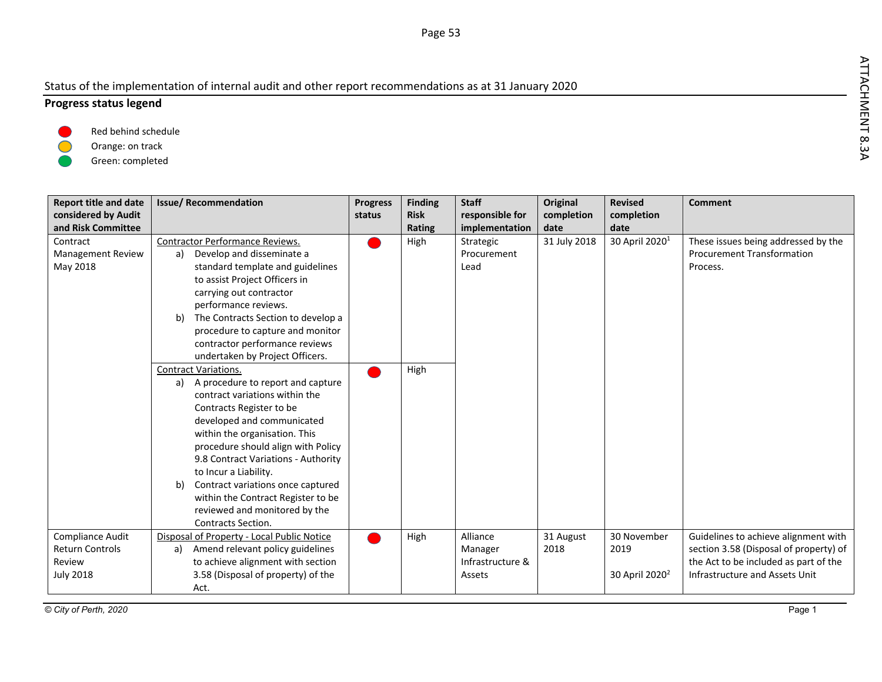### Status of the implementation of internal audit and other report recommendations as at 31 January 2020

### **Progress status legend**



Orange: on track

Green: completed

| <b>Report title and date</b><br>considered by Audit<br>and Risk Committee | <b>Issue/Recommendation</b>                                                          | <b>Progress</b><br>status | <b>Finding</b><br><b>Risk</b><br>Rating | <b>Staff</b><br>responsible for<br>implementation | <b>Original</b><br>completion<br>date | <b>Revised</b><br>completion<br>date | <b>Comment</b>                                                                 |
|---------------------------------------------------------------------------|--------------------------------------------------------------------------------------|---------------------------|-----------------------------------------|---------------------------------------------------|---------------------------------------|--------------------------------------|--------------------------------------------------------------------------------|
| Contract                                                                  | Contractor Performance Reviews.                                                      |                           | High                                    | Strategic                                         | 31 July 2018                          | 30 April 2020 <sup>1</sup>           | These issues being addressed by the                                            |
| <b>Management Review</b>                                                  | Develop and disseminate a<br>a)                                                      |                           |                                         | Procurement                                       |                                       |                                      | <b>Procurement Transformation</b>                                              |
| May 2018                                                                  | standard template and guidelines                                                     |                           |                                         | Lead                                              |                                       |                                      | Process.                                                                       |
|                                                                           | to assist Project Officers in                                                        |                           |                                         |                                                   |                                       |                                      |                                                                                |
|                                                                           | carrying out contractor                                                              |                           |                                         |                                                   |                                       |                                      |                                                                                |
|                                                                           | performance reviews.                                                                 |                           |                                         |                                                   |                                       |                                      |                                                                                |
|                                                                           | The Contracts Section to develop a<br>b)                                             |                           |                                         |                                                   |                                       |                                      |                                                                                |
|                                                                           | procedure to capture and monitor                                                     |                           |                                         |                                                   |                                       |                                      |                                                                                |
|                                                                           | contractor performance reviews                                                       |                           |                                         |                                                   |                                       |                                      |                                                                                |
|                                                                           | undertaken by Project Officers.                                                      |                           |                                         |                                                   |                                       |                                      |                                                                                |
|                                                                           | <b>Contract Variations.</b>                                                          |                           | High                                    |                                                   |                                       |                                      |                                                                                |
|                                                                           | A procedure to report and capture<br>a)                                              |                           |                                         |                                                   |                                       |                                      |                                                                                |
|                                                                           | contract variations within the                                                       |                           |                                         |                                                   |                                       |                                      |                                                                                |
|                                                                           | Contracts Register to be                                                             |                           |                                         |                                                   |                                       |                                      |                                                                                |
|                                                                           | developed and communicated                                                           |                           |                                         |                                                   |                                       |                                      |                                                                                |
|                                                                           | within the organisation. This                                                        |                           |                                         |                                                   |                                       |                                      |                                                                                |
|                                                                           | procedure should align with Policy                                                   |                           |                                         |                                                   |                                       |                                      |                                                                                |
|                                                                           | 9.8 Contract Variations - Authority                                                  |                           |                                         |                                                   |                                       |                                      |                                                                                |
|                                                                           | to Incur a Liability.                                                                |                           |                                         |                                                   |                                       |                                      |                                                                                |
|                                                                           | Contract variations once captured<br>b)                                              |                           |                                         |                                                   |                                       |                                      |                                                                                |
|                                                                           | within the Contract Register to be                                                   |                           |                                         |                                                   |                                       |                                      |                                                                                |
|                                                                           | reviewed and monitored by the<br>Contracts Section.                                  |                           |                                         |                                                   |                                       |                                      |                                                                                |
|                                                                           |                                                                                      |                           |                                         |                                                   |                                       |                                      |                                                                                |
| Compliance Audit<br><b>Return Controls</b>                                | Disposal of Property - Local Public Notice<br>Amend relevant policy guidelines<br>a) |                           | High                                    | Alliance<br>Manager                               | 31 August<br>2018                     | 30 November<br>2019                  | Guidelines to achieve alignment with<br>section 3.58 (Disposal of property) of |
| Review                                                                    | to achieve alignment with section                                                    |                           |                                         | Infrastructure &                                  |                                       |                                      | the Act to be included as part of the                                          |
| <b>July 2018</b>                                                          | 3.58 (Disposal of property) of the                                                   |                           |                                         | Assets                                            |                                       | 30 April 2020 <sup>2</sup>           | Infrastructure and Assets Unit                                                 |
|                                                                           | Act.                                                                                 |                           |                                         |                                                   |                                       |                                      |                                                                                |
|                                                                           |                                                                                      |                           |                                         |                                                   |                                       |                                      |                                                                                |

ATTACHMENT 8.3A

Page <sup>53</sup>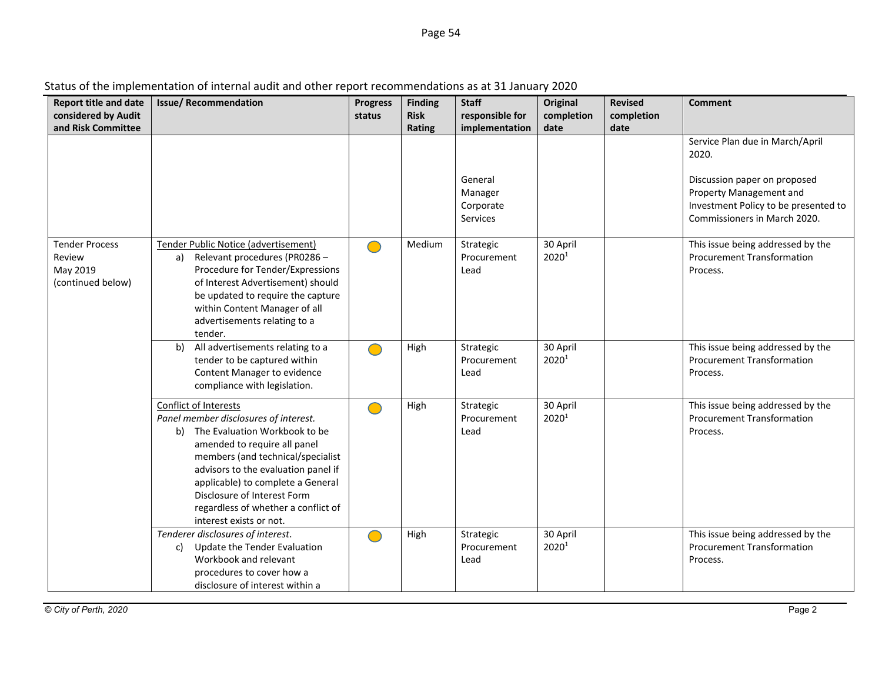| <b>Report title and date</b><br>considered by Audit<br>and Risk Committee | <b>Issue/ Recommendation</b>                                                                                                                                                                                                                                                                                                                         | <b>Progress</b><br>status | <b>Finding</b><br><b>Risk</b><br>Rating | <b>Staff</b><br>responsible for<br>implementation | <b>Original</b><br>completion<br>date | Revised<br>completion<br>date | <b>Comment</b>                                                                                                                  |
|---------------------------------------------------------------------------|------------------------------------------------------------------------------------------------------------------------------------------------------------------------------------------------------------------------------------------------------------------------------------------------------------------------------------------------------|---------------------------|-----------------------------------------|---------------------------------------------------|---------------------------------------|-------------------------------|---------------------------------------------------------------------------------------------------------------------------------|
|                                                                           |                                                                                                                                                                                                                                                                                                                                                      |                           |                                         |                                                   |                                       |                               | Service Plan due in March/April<br>2020.                                                                                        |
|                                                                           |                                                                                                                                                                                                                                                                                                                                                      |                           |                                         | General<br>Manager<br>Corporate<br>Services       |                                       |                               | Discussion paper on proposed<br>Property Management and<br>Investment Policy to be presented to<br>Commissioners in March 2020. |
| <b>Tender Process</b><br>Review<br>May 2019<br>(continued below)          | Tender Public Notice (advertisement)<br>Relevant procedures (PR0286 -<br>a)<br>Procedure for Tender/Expressions<br>of Interest Advertisement) should<br>be updated to require the capture<br>within Content Manager of all<br>advertisements relating to a<br>tender.                                                                                |                           | Medium                                  | Strategic<br>Procurement<br>Lead                  | 30 April<br>20201                     |                               | This issue being addressed by the<br><b>Procurement Transformation</b><br>Process.                                              |
|                                                                           | All advertisements relating to a<br>b)<br>tender to be captured within<br>Content Manager to evidence<br>compliance with legislation.                                                                                                                                                                                                                | $\bigcirc$                | High                                    | Strategic<br>Procurement<br>Lead                  | 30 April<br>20201                     |                               | This issue being addressed by the<br><b>Procurement Transformation</b><br>Process.                                              |
|                                                                           | Conflict of Interests<br>Panel member disclosures of interest.<br>b) The Evaluation Workbook to be<br>amended to require all panel<br>members (and technical/specialist<br>advisors to the evaluation panel if<br>applicable) to complete a General<br>Disclosure of Interest Form<br>regardless of whether a conflict of<br>interest exists or not. |                           | High                                    | Strategic<br>Procurement<br>Lead                  | 30 April<br>20201                     |                               | This issue being addressed by the<br><b>Procurement Transformation</b><br>Process.                                              |
|                                                                           | Tenderer disclosures of interest.<br>Update the Tender Evaluation<br>C)<br>Workbook and relevant<br>procedures to cover how a<br>disclosure of interest within a                                                                                                                                                                                     | $\Box$                    | High                                    | Strategic<br>Procurement<br>Lead                  | 30 April<br>2020 <sup>1</sup>         |                               | This issue being addressed by the<br><b>Procurement Transformation</b><br>Process.                                              |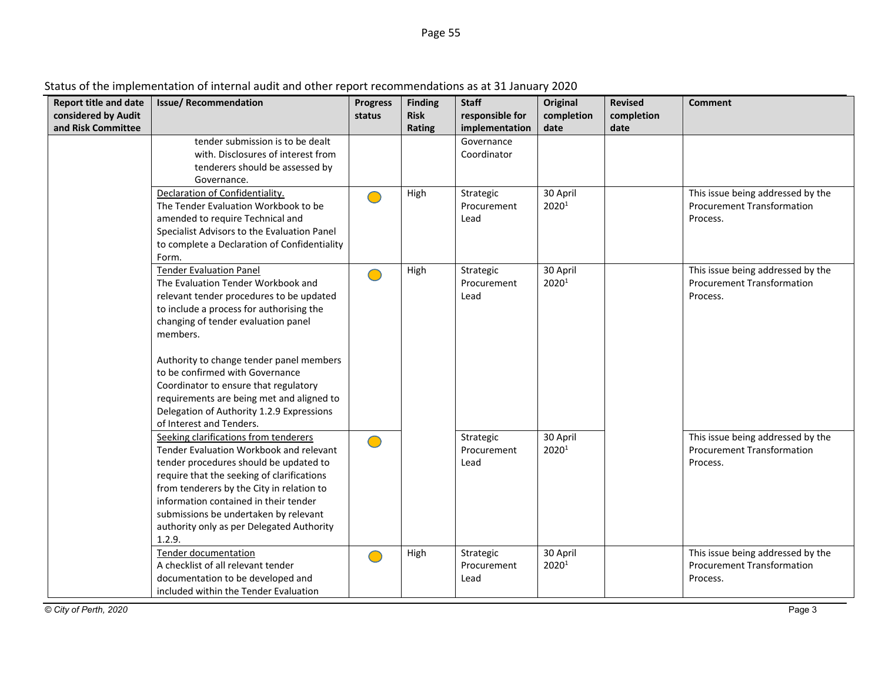| Status of the implementation of internal audit and other report recommendations as at 31 January 2020 |  |
|-------------------------------------------------------------------------------------------------------|--|
|                                                                                                       |  |

| <b>Report title and date</b> | <b>Issue/ Recommendation</b>                 | <b>Progress</b> | <b>Finding</b> | <b>Staff</b>    | Original          | <b>Revised</b> | <b>Comment</b>                    |
|------------------------------|----------------------------------------------|-----------------|----------------|-----------------|-------------------|----------------|-----------------------------------|
| considered by Audit          |                                              | status          | <b>Risk</b>    | responsible for | completion        | completion     |                                   |
| and Risk Committee           |                                              |                 | Rating         | implementation  | date              | date           |                                   |
|                              | tender submission is to be dealt             |                 |                | Governance      |                   |                |                                   |
|                              | with. Disclosures of interest from           |                 |                | Coordinator     |                   |                |                                   |
|                              | tenderers should be assessed by              |                 |                |                 |                   |                |                                   |
|                              | Governance.                                  |                 |                |                 |                   |                |                                   |
|                              | Declaration of Confidentiality.              | $\bigcirc$      | High           | Strategic       | 30 April          |                | This issue being addressed by the |
|                              | The Tender Evaluation Workbook to be         |                 |                | Procurement     | 20201             |                | <b>Procurement Transformation</b> |
|                              | amended to require Technical and             |                 |                | Lead            |                   |                | Process.                          |
|                              | Specialist Advisors to the Evaluation Panel  |                 |                |                 |                   |                |                                   |
|                              | to complete a Declaration of Confidentiality |                 |                |                 |                   |                |                                   |
|                              | Form.                                        |                 |                |                 |                   |                |                                   |
|                              | <b>Tender Evaluation Panel</b>               | $\bigcirc$      | High           | Strategic       | 30 April          |                | This issue being addressed by the |
|                              | The Evaluation Tender Workbook and           |                 |                | Procurement     | 20201             |                | <b>Procurement Transformation</b> |
|                              | relevant tender procedures to be updated     |                 |                | Lead            |                   |                | Process.                          |
|                              | to include a process for authorising the     |                 |                |                 |                   |                |                                   |
|                              | changing of tender evaluation panel          |                 |                |                 |                   |                |                                   |
|                              | members.                                     |                 |                |                 |                   |                |                                   |
|                              | Authority to change tender panel members     |                 |                |                 |                   |                |                                   |
|                              | to be confirmed with Governance              |                 |                |                 |                   |                |                                   |
|                              | Coordinator to ensure that regulatory        |                 |                |                 |                   |                |                                   |
|                              | requirements are being met and aligned to    |                 |                |                 |                   |                |                                   |
|                              | Delegation of Authority 1.2.9 Expressions    |                 |                |                 |                   |                |                                   |
|                              | of Interest and Tenders.                     |                 |                |                 |                   |                |                                   |
|                              | Seeking clarifications from tenderers        | $\bigcirc$      |                | Strategic       | 30 April          |                | This issue being addressed by the |
|                              | Tender Evaluation Workbook and relevant      |                 |                | Procurement     | 2020 <sup>1</sup> |                | <b>Procurement Transformation</b> |
|                              | tender procedures should be updated to       |                 |                | Lead            |                   |                | Process.                          |
|                              | require that the seeking of clarifications   |                 |                |                 |                   |                |                                   |
|                              | from tenderers by the City in relation to    |                 |                |                 |                   |                |                                   |
|                              | information contained in their tender        |                 |                |                 |                   |                |                                   |
|                              | submissions be undertaken by relevant        |                 |                |                 |                   |                |                                   |
|                              | authority only as per Delegated Authority    |                 |                |                 |                   |                |                                   |
|                              | 1.2.9.                                       |                 |                |                 |                   |                |                                   |
|                              | <b>Tender documentation</b>                  | $\bigcirc$      | High           | Strategic       | 30 April          |                | This issue being addressed by the |
|                              | A checklist of all relevant tender           |                 |                | Procurement     | 2020 <sup>1</sup> |                | <b>Procurement Transformation</b> |
|                              | documentation to be developed and            |                 |                | Lead            |                   |                | Process.                          |
|                              | included within the Tender Evaluation        |                 |                |                 |                   |                |                                   |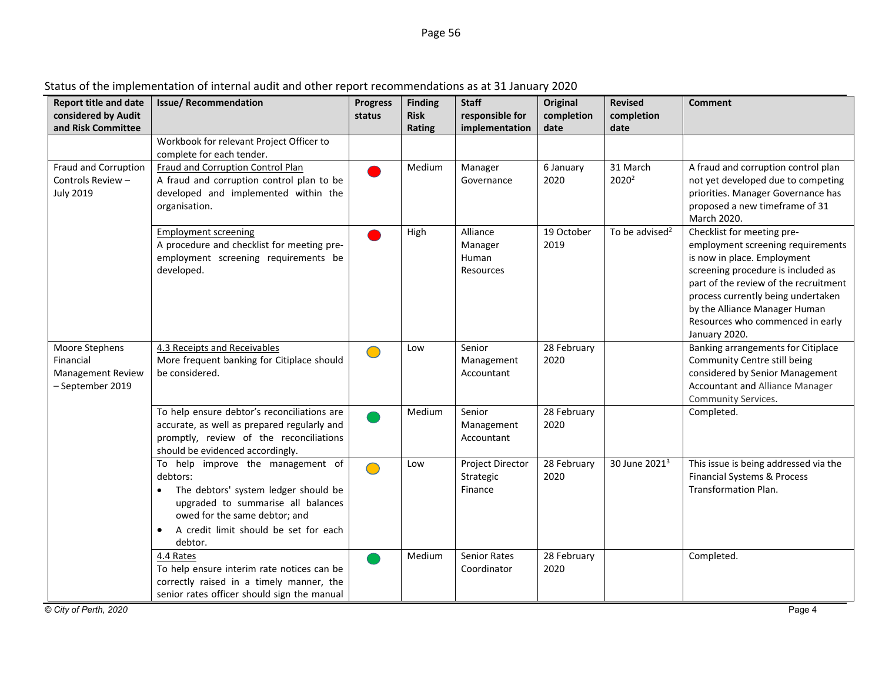| <b>Report title and date</b>                                                | <b>Issue/ Recommendation</b>                                                                                                                                                                                                  | <b>Progress</b> | <b>Finding</b>        | <b>Staff</b>                              | <b>Original</b>     | <b>Revised</b>                | <b>Comment</b>                                                                                                                                                                                                                                                                                            |
|-----------------------------------------------------------------------------|-------------------------------------------------------------------------------------------------------------------------------------------------------------------------------------------------------------------------------|-----------------|-----------------------|-------------------------------------------|---------------------|-------------------------------|-----------------------------------------------------------------------------------------------------------------------------------------------------------------------------------------------------------------------------------------------------------------------------------------------------------|
| considered by Audit<br>and Risk Committee                                   |                                                                                                                                                                                                                               | status          | <b>Risk</b><br>Rating | responsible for<br>implementation         | completion<br>date  | completion<br>date            |                                                                                                                                                                                                                                                                                                           |
|                                                                             | Workbook for relevant Project Officer to<br>complete for each tender.                                                                                                                                                         |                 |                       |                                           |                     |                               |                                                                                                                                                                                                                                                                                                           |
| Fraud and Corruption<br>Controls Review -<br><b>July 2019</b>               | Fraud and Corruption Control Plan<br>A fraud and corruption control plan to be<br>developed and implemented within the<br>organisation.                                                                                       |                 | Medium                | Manager<br>Governance                     | 6 January<br>2020   | 31 March<br>2020 <sup>2</sup> | A fraud and corruption control plan<br>not yet developed due to competing<br>priorities. Manager Governance has<br>proposed a new timeframe of 31<br>March 2020.                                                                                                                                          |
|                                                                             | <b>Employment screening</b><br>A procedure and checklist for meeting pre-<br>employment screening requirements be<br>developed.                                                                                               |                 | High                  | Alliance<br>Manager<br>Human<br>Resources | 19 October<br>2019  | To be advised <sup>2</sup>    | Checklist for meeting pre-<br>employment screening requirements<br>is now in place. Employment<br>screening procedure is included as<br>part of the review of the recruitment<br>process currently being undertaken<br>by the Alliance Manager Human<br>Resources who commenced in early<br>January 2020. |
| Moore Stephens<br>Financial<br><b>Management Review</b><br>- September 2019 | 4.3 Receipts and Receivables<br>More frequent banking for Citiplace should<br>be considered.                                                                                                                                  | $\bigcirc$      | Low                   | Senior<br>Management<br>Accountant        | 28 February<br>2020 |                               | Banking arrangements for Citiplace<br>Community Centre still being<br>considered by Senior Management<br><b>Accountant and Alliance Manager</b><br>Community Services.                                                                                                                                    |
|                                                                             | To help ensure debtor's reconciliations are<br>accurate, as well as prepared regularly and<br>promptly, review of the reconciliations<br>should be evidenced accordingly.                                                     |                 | Medium                | Senior<br>Management<br>Accountant        | 28 February<br>2020 |                               | Completed.                                                                                                                                                                                                                                                                                                |
|                                                                             | To help improve the management of<br>debtors:<br>The debtors' system ledger should be<br>upgraded to summarise all balances<br>owed for the same debtor; and<br>A credit limit should be set for each<br>$\bullet$<br>debtor. | $\bigcirc$      | Low                   | Project Director<br>Strategic<br>Finance  | 28 February<br>2020 | 30 June 2021 <sup>3</sup>     | This issue is being addressed via the<br><b>Financial Systems &amp; Process</b><br><b>Transformation Plan.</b>                                                                                                                                                                                            |
|                                                                             | 4.4 Rates<br>To help ensure interim rate notices can be<br>correctly raised in a timely manner, the<br>senior rates officer should sign the manual                                                                            |                 | Medium                | Senior Rates<br>Coordinator               | 28 February<br>2020 |                               | Completed.                                                                                                                                                                                                                                                                                                |
| © City of Perth, 2020                                                       |                                                                                                                                                                                                                               |                 |                       |                                           |                     |                               | Page 4                                                                                                                                                                                                                                                                                                    |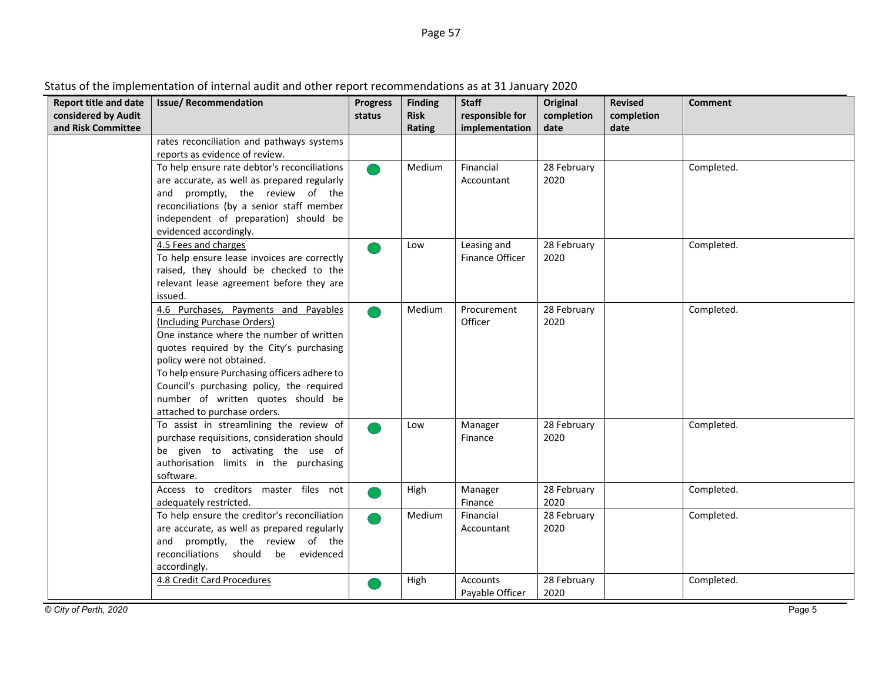| Status of the implementation of internal audit and other report recommendations as at 31 January 2020 |  |
|-------------------------------------------------------------------------------------------------------|--|
|                                                                                                       |  |

| <b>Report title and date</b> | <b>Issue/Recommendation</b>                                                            | <b>Progress</b> | <b>Finding</b> | <b>Staff</b>       | Original            | <b>Revised</b> | <b>Comment</b> |
|------------------------------|----------------------------------------------------------------------------------------|-----------------|----------------|--------------------|---------------------|----------------|----------------|
| considered by Audit          |                                                                                        | status          | <b>Risk</b>    | responsible for    | completion          | completion     |                |
| and Risk Committee           |                                                                                        |                 | Rating         | implementation     | date                | date           |                |
|                              | rates reconciliation and pathways systems                                              |                 |                |                    |                     |                |                |
|                              | reports as evidence of review.                                                         |                 |                |                    |                     |                |                |
|                              | To help ensure rate debtor's reconciliations                                           |                 | Medium         | Financial          | 28 February         |                | Completed.     |
|                              | are accurate, as well as prepared regularly                                            |                 |                | Accountant         | 2020                |                |                |
|                              | and promptly, the review of the                                                        |                 |                |                    |                     |                |                |
|                              | reconciliations (by a senior staff member<br>independent of preparation) should be     |                 |                |                    |                     |                |                |
|                              | evidenced accordingly.                                                                 |                 |                |                    |                     |                |                |
|                              | 4.5 Fees and charges                                                                   |                 | Low            | Leasing and        | 28 February         |                | Completed.     |
|                              | To help ensure lease invoices are correctly                                            |                 |                | Finance Officer    | 2020                |                |                |
|                              | raised, they should be checked to the                                                  |                 |                |                    |                     |                |                |
|                              | relevant lease agreement before they are                                               |                 |                |                    |                     |                |                |
|                              | issued.                                                                                |                 |                |                    |                     |                |                |
|                              | 4.6 Purchases, Payments and Payables                                                   |                 | Medium         | Procurement        | 28 February         |                | Completed.     |
|                              | (Including Purchase Orders)                                                            |                 |                | Officer            | 2020                |                |                |
|                              | One instance where the number of written                                               |                 |                |                    |                     |                |                |
|                              | quotes required by the City's purchasing                                               |                 |                |                    |                     |                |                |
|                              | policy were not obtained.                                                              |                 |                |                    |                     |                |                |
|                              | To help ensure Purchasing officers adhere to                                           |                 |                |                    |                     |                |                |
|                              | Council's purchasing policy, the required                                              |                 |                |                    |                     |                |                |
|                              | number of written quotes should be                                                     |                 |                |                    |                     |                |                |
|                              | attached to purchase orders.                                                           |                 |                |                    |                     |                |                |
|                              | To assist in streamlining the review of<br>purchase requisitions, consideration should |                 | Low            | Manager<br>Finance | 28 February<br>2020 |                | Completed.     |
|                              | be given to activating the use of                                                      |                 |                |                    |                     |                |                |
|                              | authorisation limits in the purchasing                                                 |                 |                |                    |                     |                |                |
|                              | software.                                                                              |                 |                |                    |                     |                |                |
|                              | Access to creditors master files not                                                   |                 | High           | Manager            | 28 February         |                | Completed.     |
|                              | adequately restricted.                                                                 |                 |                | Finance            | 2020                |                |                |
|                              | To help ensure the creditor's reconciliation                                           |                 | Medium         | Financial          | 28 February         |                | Completed.     |
|                              | are accurate, as well as prepared regularly                                            |                 |                | Accountant         | 2020                |                |                |
|                              | and promptly, the review of the                                                        |                 |                |                    |                     |                |                |
|                              | reconciliations should be evidenced                                                    |                 |                |                    |                     |                |                |
|                              | accordingly.                                                                           |                 |                |                    |                     |                |                |
|                              | 4.8 Credit Card Procedures                                                             |                 | High           | <b>Accounts</b>    | 28 February         |                | Completed.     |
|                              |                                                                                        |                 |                | Payable Officer    | 2020                |                |                |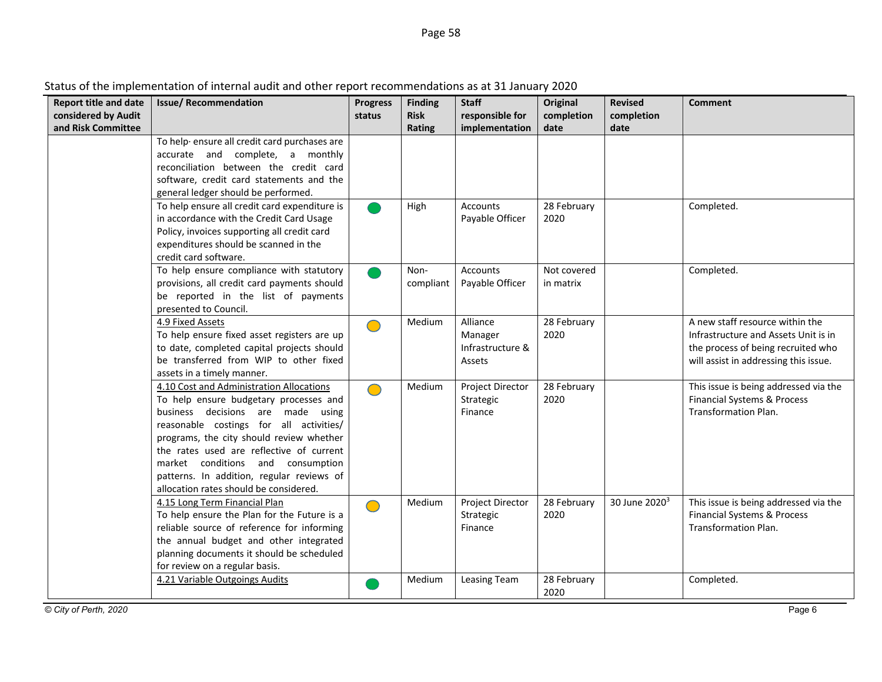| <b>Report title and date</b><br>considered by Audit<br>and Risk Committee | <b>Issue/ Recommendation</b>                                                                                                                                                                                                                                                                                                                                                           | <b>Progress</b><br>status | <b>Finding</b><br><b>Risk</b><br>Rating | <b>Staff</b><br>responsible for<br>implementation | Original<br>completion<br>date | <b>Revised</b><br>completion<br>date | <b>Comment</b>                                                                                                                                         |
|---------------------------------------------------------------------------|----------------------------------------------------------------------------------------------------------------------------------------------------------------------------------------------------------------------------------------------------------------------------------------------------------------------------------------------------------------------------------------|---------------------------|-----------------------------------------|---------------------------------------------------|--------------------------------|--------------------------------------|--------------------------------------------------------------------------------------------------------------------------------------------------------|
|                                                                           | To help ensure all credit card purchases are<br>accurate and complete, a monthly<br>reconciliation between the credit card<br>software, credit card statements and the<br>general ledger should be performed.                                                                                                                                                                          |                           |                                         |                                                   |                                |                                      |                                                                                                                                                        |
|                                                                           | To help ensure all credit card expenditure is<br>in accordance with the Credit Card Usage<br>Policy, invoices supporting all credit card<br>expenditures should be scanned in the<br>credit card software.                                                                                                                                                                             |                           | High                                    | <b>Accounts</b><br>Payable Officer                | 28 February<br>2020            |                                      | Completed.                                                                                                                                             |
|                                                                           | To help ensure compliance with statutory<br>provisions, all credit card payments should<br>be reported in the list of payments<br>presented to Council.                                                                                                                                                                                                                                |                           | Non-<br>compliant                       | <b>Accounts</b><br>Payable Officer                | Not covered<br>in matrix       |                                      | Completed.                                                                                                                                             |
|                                                                           | 4.9 Fixed Assets<br>To help ensure fixed asset registers are up<br>to date, completed capital projects should<br>be transferred from WIP to other fixed<br>assets in a timely manner.                                                                                                                                                                                                  | $\bigcirc$                | Medium                                  | Alliance<br>Manager<br>Infrastructure &<br>Assets | 28 February<br>2020            |                                      | A new staff resource within the<br>Infrastructure and Assets Unit is in<br>the process of being recruited who<br>will assist in addressing this issue. |
|                                                                           | 4.10 Cost and Administration Allocations<br>To help ensure budgetary processes and<br>business decisions are made using<br>reasonable costings for all activities/<br>programs, the city should review whether<br>the rates used are reflective of current<br>market conditions and consumption<br>patterns. In addition, regular reviews of<br>allocation rates should be considered. | $\bigcirc$                | Medium                                  | Project Director<br>Strategic<br>Finance          | 28 February<br>2020            |                                      | This issue is being addressed via the<br>Financial Systems & Process<br><b>Transformation Plan.</b>                                                    |
|                                                                           | 4.15 Long Term Financial Plan<br>To help ensure the Plan for the Future is a<br>reliable source of reference for informing<br>the annual budget and other integrated<br>planning documents it should be scheduled<br>for review on a regular basis.                                                                                                                                    | $\bigcirc$                | Medium                                  | Project Director<br>Strategic<br>Finance          | 28 February<br>2020            | 30 June 2020 <sup>3</sup>            | This issue is being addressed via the<br>Financial Systems & Process<br><b>Transformation Plan.</b>                                                    |
|                                                                           | 4.21 Variable Outgoings Audits                                                                                                                                                                                                                                                                                                                                                         |                           | Medium                                  | <b>Leasing Team</b>                               | 28 February<br>2020            |                                      | Completed.                                                                                                                                             |

### Status of the implementation of internal audit and other report recommendations as at 31 January 2020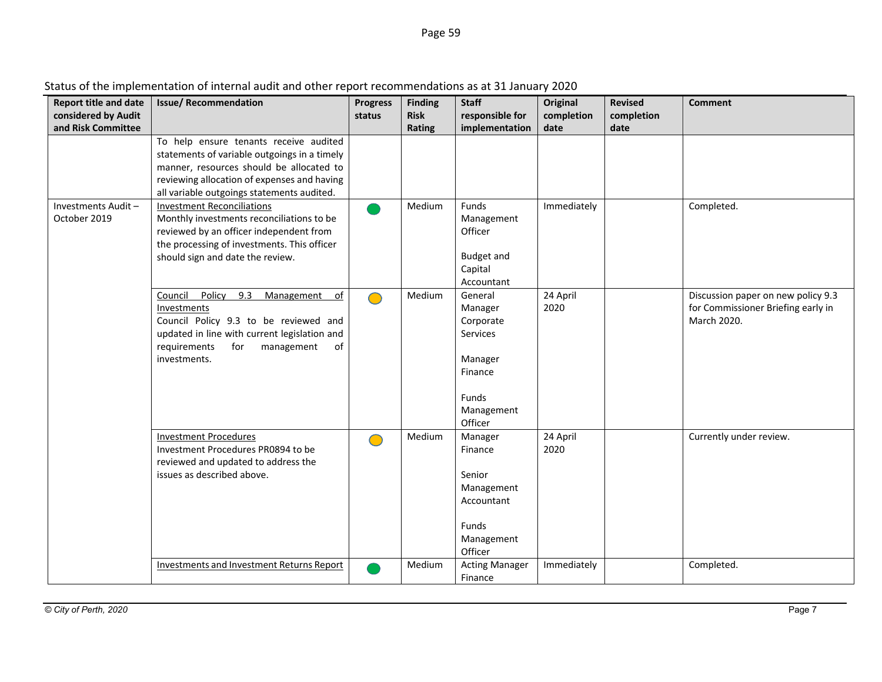| <b>Report title and date</b><br>considered by Audit<br>and Risk Committee | <b>Issue/ Recommendation</b>                                                                                                                                                                                                    | <b>Progress</b><br>status | <b>Finding</b><br><b>Risk</b><br><b>Rating</b> | <b>Staff</b><br>responsible for<br>implementation                                                   | Original<br>completion<br>date | <b>Revised</b><br>completion<br>date | <b>Comment</b>                                                                          |
|---------------------------------------------------------------------------|---------------------------------------------------------------------------------------------------------------------------------------------------------------------------------------------------------------------------------|---------------------------|------------------------------------------------|-----------------------------------------------------------------------------------------------------|--------------------------------|--------------------------------------|-----------------------------------------------------------------------------------------|
|                                                                           | To help ensure tenants receive audited<br>statements of variable outgoings in a timely<br>manner, resources should be allocated to<br>reviewing allocation of expenses and having<br>all variable outgoings statements audited. |                           |                                                |                                                                                                     |                                |                                      |                                                                                         |
| Investments Audit-<br>October 2019                                        | <b>Investment Reconciliations</b><br>Monthly investments reconciliations to be<br>reviewed by an officer independent from<br>the processing of investments. This officer<br>should sign and date the review.                    |                           | Medium                                         | Funds<br>Management<br>Officer<br>Budget and<br>Capital<br>Accountant                               | Immediately                    |                                      | Completed.                                                                              |
|                                                                           | Council<br>Policy<br>9.3<br>Management<br>of<br>Investments<br>Council Policy 9.3 to be reviewed and<br>updated in line with current legislation and<br>requirements<br>of<br>for<br>management<br>investments.                 | $\bigcirc$                | Medium                                         | General<br>Manager<br>Corporate<br>Services<br>Manager<br>Finance<br>Funds<br>Management<br>Officer | 24 April<br>2020               |                                      | Discussion paper on new policy 9.3<br>for Commissioner Briefing early in<br>March 2020. |
|                                                                           | <b>Investment Procedures</b><br>Investment Procedures PR0894 to be<br>reviewed and updated to address the<br>issues as described above.                                                                                         | $\bigcirc$                | Medium                                         | Manager<br>Finance<br>Senior<br>Management<br>Accountant<br>Funds<br>Management<br>Officer          | 24 April<br>2020               |                                      | Currently under review.                                                                 |
|                                                                           | Investments and Investment Returns Report                                                                                                                                                                                       |                           | Medium                                         | <b>Acting Manager</b><br>Finance                                                                    | Immediately                    |                                      | Completed.                                                                              |

### Status of the implementation of internal audit and other report recommendations as at 31 January 2020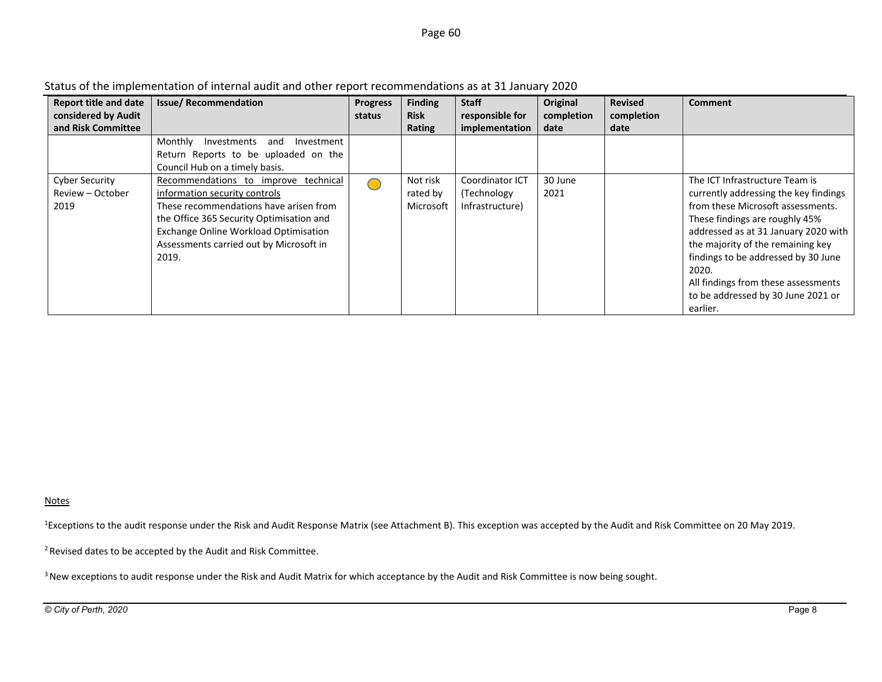### Page <sup>60</sup>

| <b>Report title and date</b> | <b>Issue/Recommendation</b>                 | <b>Progress</b> | <b>Finding</b> | <b>Staff</b>    | Original   | <b>Revised</b> | <b>Comment</b>                        |
|------------------------------|---------------------------------------------|-----------------|----------------|-----------------|------------|----------------|---------------------------------------|
| considered by Audit          |                                             | status          | <b>Risk</b>    | responsible for | completion | completion     |                                       |
| and Risk Committee           |                                             |                 | Rating         | implementation  | date       | date           |                                       |
|                              | Monthly<br>Investments<br>Investment<br>and |                 |                |                 |            |                |                                       |
|                              | Return Reports to be uploaded on the        |                 |                |                 |            |                |                                       |
|                              | Council Hub on a timely basis.              |                 |                |                 |            |                |                                       |
| <b>Cyber Security</b>        | Recommendations to improve technical        |                 | Not risk       | Coordinator ICT | 30 June    |                | The ICT Infrastructure Team is        |
| Review - October             | information security controls               |                 | rated by       | (Technology     | 2021       |                | currently addressing the key findings |
| 2019                         | These recommendations have arisen from      |                 | Microsoft      | Infrastructure) |            |                | from these Microsoft assessments.     |
|                              | the Office 365 Security Optimisation and    |                 |                |                 |            |                | These findings are roughly 45%        |
|                              | Exchange Online Workload Optimisation       |                 |                |                 |            |                | addressed as at 31 January 2020 with  |
|                              | Assessments carried out by Microsoft in     |                 |                |                 |            |                | the majority of the remaining key     |
|                              | 2019.                                       |                 |                |                 |            |                | findings to be addressed by 30 June   |
|                              |                                             |                 |                |                 |            |                | 2020.                                 |
|                              |                                             |                 |                |                 |            |                | All findings from these assessments   |
|                              |                                             |                 |                |                 |            |                | to be addressed by 30 June 2021 or    |
|                              |                                             |                 |                |                 |            |                | earlier.                              |

Status of the implementation of internal audit and other report recommendations as at 31 January 2020

### Notes

<sup>1</sup>Exceptions to the audit response under the Risk and Audit Response Matrix (see Attachment B). This exception was accepted by the Audit and Risk Committee on 20 May 2019.

2 Revised dates to be accepted by the Audit and Risk Committee.

<sup>3</sup> New exceptions to audit response under the Risk and Audit Matrix for which acceptance by the Audit and Risk Committee is now being sought.